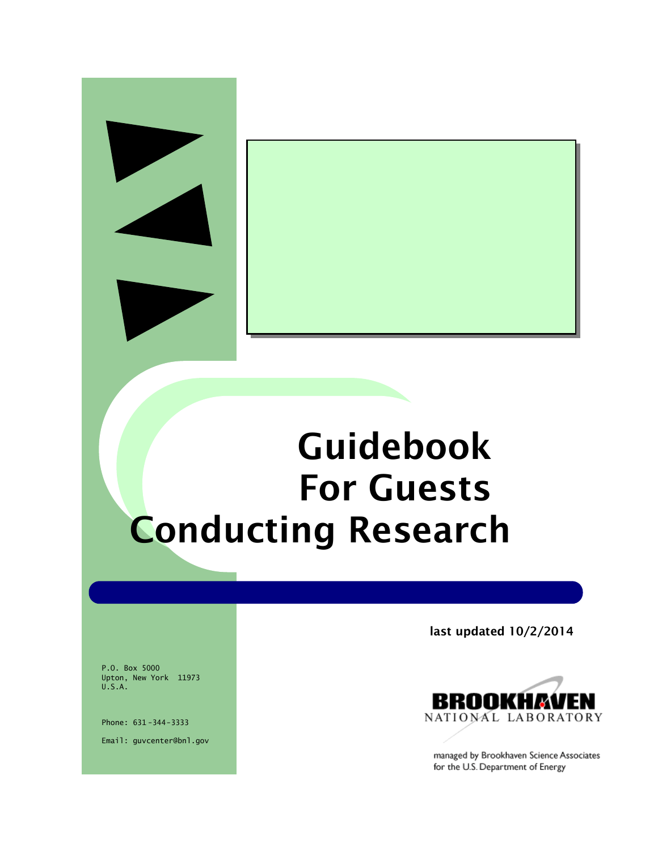# **Guidebook For Guests Conducting Research**

P.O. Box 5000 Upton, New York 11973 U.S.A.

Phone: 631 -344-3333 Email: guvcenter@bnl.gov **last updated 10/2/2014**



managed by Brookhaven Science Associates for the U.S. Department of Energy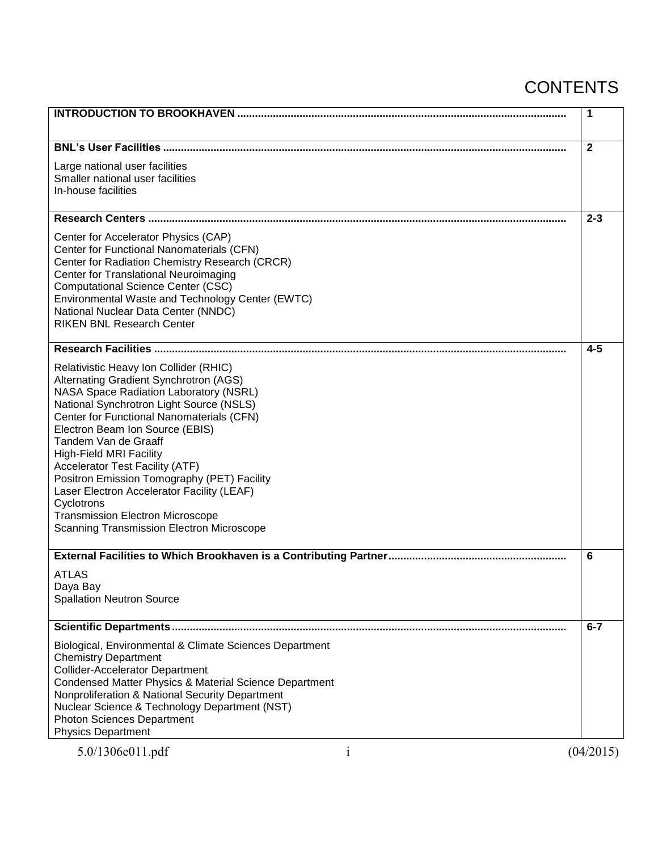# **CONTENTS**

|                                                                                                                                                                                                                                                                                                                                                                                                                                                                                                                                                                             | 1            |           |
|-----------------------------------------------------------------------------------------------------------------------------------------------------------------------------------------------------------------------------------------------------------------------------------------------------------------------------------------------------------------------------------------------------------------------------------------------------------------------------------------------------------------------------------------------------------------------------|--------------|-----------|
|                                                                                                                                                                                                                                                                                                                                                                                                                                                                                                                                                                             | $\mathbf{2}$ |           |
| Large national user facilities<br>Smaller national user facilities<br>In-house facilities                                                                                                                                                                                                                                                                                                                                                                                                                                                                                   |              |           |
|                                                                                                                                                                                                                                                                                                                                                                                                                                                                                                                                                                             |              | $2 - 3$   |
| Center for Accelerator Physics (CAP)<br>Center for Functional Nanomaterials (CFN)<br>Center for Radiation Chemistry Research (CRCR)<br>Center for Translational Neuroimaging<br><b>Computational Science Center (CSC)</b><br>Environmental Waste and Technology Center (EWTC)<br>National Nuclear Data Center (NNDC)<br><b>RIKEN BNL Research Center</b>                                                                                                                                                                                                                    |              |           |
|                                                                                                                                                                                                                                                                                                                                                                                                                                                                                                                                                                             |              | $4 - 5$   |
| Relativistic Heavy Ion Collider (RHIC)<br>Alternating Gradient Synchrotron (AGS)<br><b>NASA Space Radiation Laboratory (NSRL)</b><br>National Synchrotron Light Source (NSLS)<br>Center for Functional Nanomaterials (CFN)<br>Electron Beam Ion Source (EBIS)<br>Tandem Van de Graaff<br><b>High-Field MRI Facility</b><br><b>Accelerator Test Facility (ATF)</b><br>Positron Emission Tomography (PET) Facility<br>Laser Electron Accelerator Facility (LEAF)<br>Cyclotrons<br><b>Transmission Electron Microscope</b><br><b>Scanning Transmission Electron Microscope</b> |              |           |
|                                                                                                                                                                                                                                                                                                                                                                                                                                                                                                                                                                             | 6            |           |
| ATLAS<br>Daya Bay<br><b>Spallation Neutron Source</b>                                                                                                                                                                                                                                                                                                                                                                                                                                                                                                                       |              |           |
|                                                                                                                                                                                                                                                                                                                                                                                                                                                                                                                                                                             |              | $6 - 7$   |
| Biological, Environmental & Climate Sciences Department<br><b>Chemistry Department</b><br><b>Collider-Accelerator Department</b><br>Condensed Matter Physics & Material Science Department<br>Nonproliferation & National Security Department<br>Nuclear Science & Technology Department (NST)<br><b>Photon Sciences Department</b><br><b>Physics Department</b>                                                                                                                                                                                                            |              |           |
| 5.0/1306e011.pdf<br>$\mathbf{1}$                                                                                                                                                                                                                                                                                                                                                                                                                                                                                                                                            |              | (04/2015) |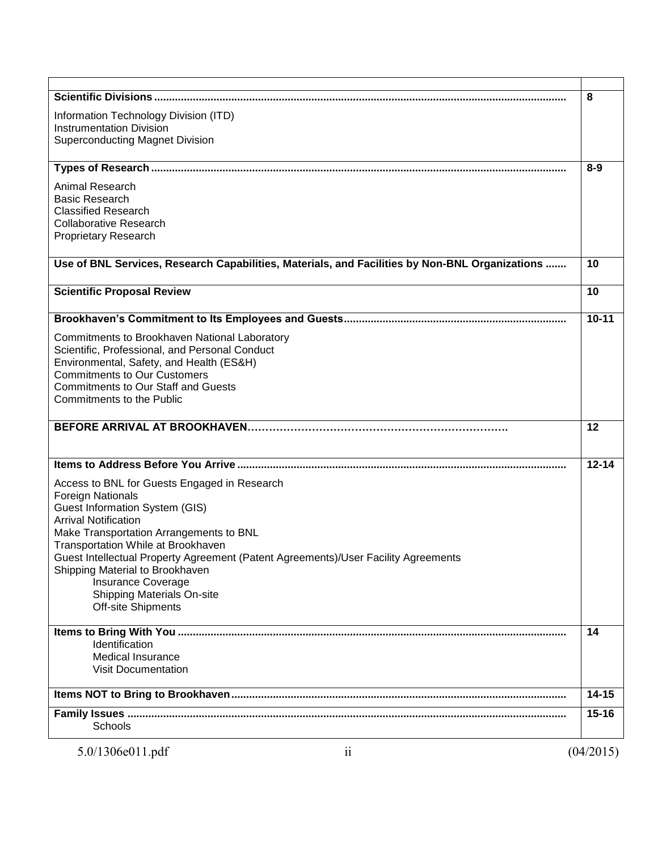|                                                                                                                  | 8         |
|------------------------------------------------------------------------------------------------------------------|-----------|
| Information Technology Division (ITD)                                                                            |           |
| <b>Instrumentation Division</b>                                                                                  |           |
| <b>Superconducting Magnet Division</b>                                                                           |           |
| and the control of the control of the control of the control of the control of the control of the control of the | $8 - 9$   |
| <b>Animal Research</b>                                                                                           |           |
| <b>Basic Research</b>                                                                                            |           |
| <b>Classified Research</b>                                                                                       |           |
| <b>Collaborative Research</b>                                                                                    |           |
| <b>Proprietary Research</b>                                                                                      |           |
| Use of BNL Services, Research Capabilities, Materials, and Facilities by Non-BNL Organizations                   | 10        |
| <b>Scientific Proposal Review</b>                                                                                | 10        |
|                                                                                                                  |           |
|                                                                                                                  | $10 - 11$ |
| Commitments to Brookhaven National Laboratory                                                                    |           |
| Scientific, Professional, and Personal Conduct                                                                   |           |
| Environmental, Safety, and Health (ES&H)                                                                         |           |
| <b>Commitments to Our Customers</b>                                                                              |           |
| <b>Commitments to Our Staff and Guests</b>                                                                       |           |
| <b>Commitments to the Public</b>                                                                                 |           |
|                                                                                                                  | 12        |
|                                                                                                                  | $12 - 14$ |
| Access to BNL for Guests Engaged in Research                                                                     |           |
| <b>Foreign Nationals</b>                                                                                         |           |
| <b>Guest Information System (GIS)</b>                                                                            |           |
| <b>Arrival Notification</b><br>Make Transportation Arrangements to BNL                                           |           |
| Transportation While at Brookhaven                                                                               |           |
| Guest Intellectual Property Agreement (Patent Agreements)/User Facility Agreements                               |           |
| Shipping Material to Brookhaven                                                                                  |           |
| Insurance Coverage                                                                                               |           |
| <b>Shipping Materials On-site</b>                                                                                |           |
| <b>Off-site Shipments</b>                                                                                        |           |
|                                                                                                                  |           |
|                                                                                                                  | 14        |
| Identification                                                                                                   |           |
| <b>Medical Insurance</b>                                                                                         |           |
| <b>Visit Documentation</b>                                                                                       |           |
|                                                                                                                  | $14 - 15$ |
|                                                                                                                  | $15 - 16$ |
| Schools                                                                                                          |           |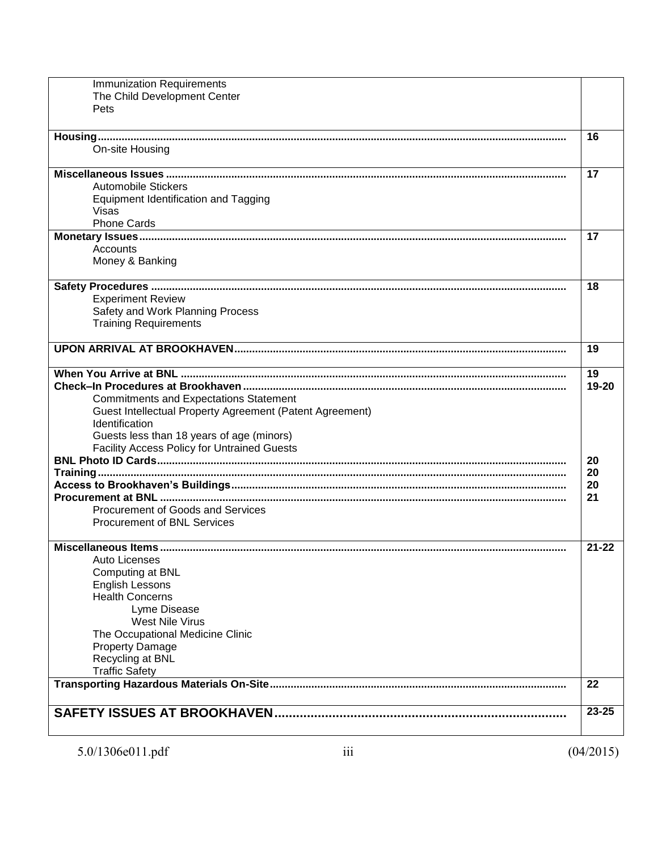| <b>Immunization Requirements</b>                           |           |
|------------------------------------------------------------|-----------|
| The Child Development Center                               |           |
| Pets                                                       |           |
|                                                            |           |
|                                                            | 16        |
| On-site Housing                                            |           |
|                                                            | 17        |
| <b>Automobile Stickers</b>                                 |           |
| <b>Equipment Identification and Tagging</b>                |           |
| Visas                                                      |           |
| <b>Phone Cards</b>                                         |           |
|                                                            | 17        |
| Accounts                                                   |           |
| Money & Banking                                            |           |
| <u> 1989 - Johann Stoff, amerikansk politiker (* 1908)</u> |           |
|                                                            | 18        |
| <b>Experiment Review</b>                                   |           |
| Safety and Work Planning Process                           |           |
| <b>Training Requirements</b>                               |           |
|                                                            | 19        |
|                                                            |           |
|                                                            | 19        |
|                                                            | 19-20     |
| <b>Commitments and Expectations Statement</b>              |           |
| Guest Intellectual Property Agreement (Patent Agreement)   |           |
| Identification                                             |           |
| Guests less than 18 years of age (minors)                  |           |
| <b>Facility Access Policy for Untrained Guests</b>         |           |
|                                                            | 20<br>20  |
|                                                            | 20        |
|                                                            | 21        |
| Procurement of Goods and Services                          |           |
| <b>Procurement of BNL Services</b>                         |           |
|                                                            |           |
|                                                            | $21 - 22$ |
| Auto Licenses                                              |           |
| Computing at BNL                                           |           |
| <b>English Lessons</b>                                     |           |
| <b>Health Concerns</b><br>Lyme Disease                     |           |
| West Nile Virus                                            |           |
| The Occupational Medicine Clinic                           |           |
| <b>Property Damage</b>                                     |           |
| Recycling at BNL                                           |           |
| <b>Traffic Safety</b>                                      |           |
|                                                            | 22        |
|                                                            |           |
|                                                            | 23-25     |
|                                                            |           |
|                                                            |           |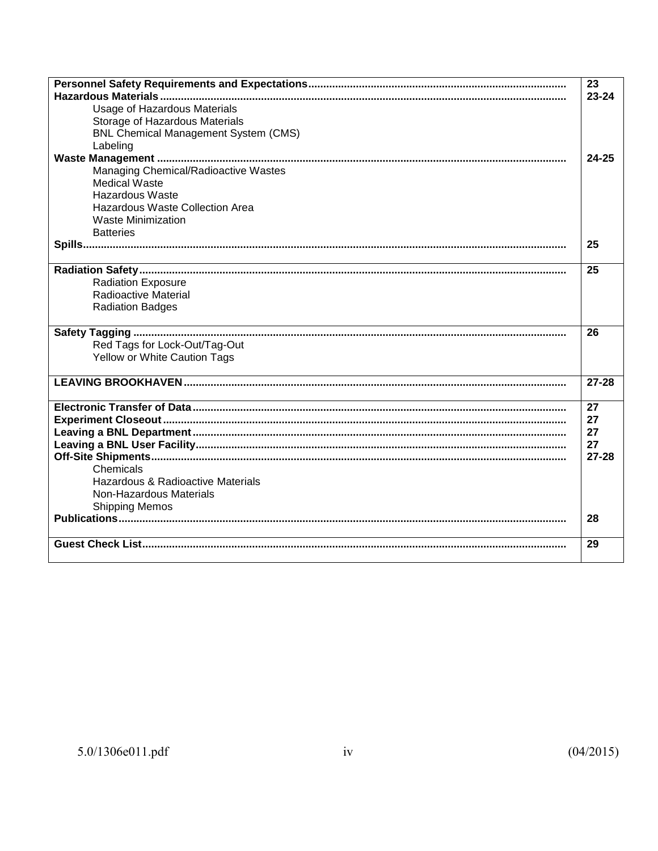|                                             | 23        |
|---------------------------------------------|-----------|
|                                             | $23 - 24$ |
| Usage of Hazardous Materials                |           |
| Storage of Hazardous Materials              |           |
| <b>BNL Chemical Management System (CMS)</b> |           |
| Labeling                                    |           |
|                                             | $24 - 25$ |
| Managing Chemical/Radioactive Wastes        |           |
| <b>Medical Waste</b>                        |           |
| <b>Hazardous Waste</b>                      |           |
| Hazardous Waste Collection Area             |           |
| <b>Waste Minimization</b>                   |           |
| <b>Batteries</b>                            |           |
|                                             | 25        |
|                                             |           |
|                                             | 25        |
| <b>Radiation Exposure</b>                   |           |
| <b>Radioactive Material</b>                 |           |
| <b>Radiation Badges</b>                     |           |
|                                             |           |
|                                             | 26        |
| Red Tags for Lock-Out/Tag-Out               |           |
| Yellow or White Caution Tags                |           |
|                                             |           |
|                                             | $27 - 28$ |
|                                             |           |
|                                             | 27        |
|                                             | 27        |
|                                             | 27        |
|                                             | 27        |
|                                             | $27 - 28$ |
| Chemicals                                   |           |
| Hazardous & Radioactive Materials           |           |
| <b>Non-Hazardous Materials</b>              |           |
| <b>Shipping Memos</b>                       |           |
|                                             | 28        |
|                                             |           |
|                                             | 29        |
|                                             |           |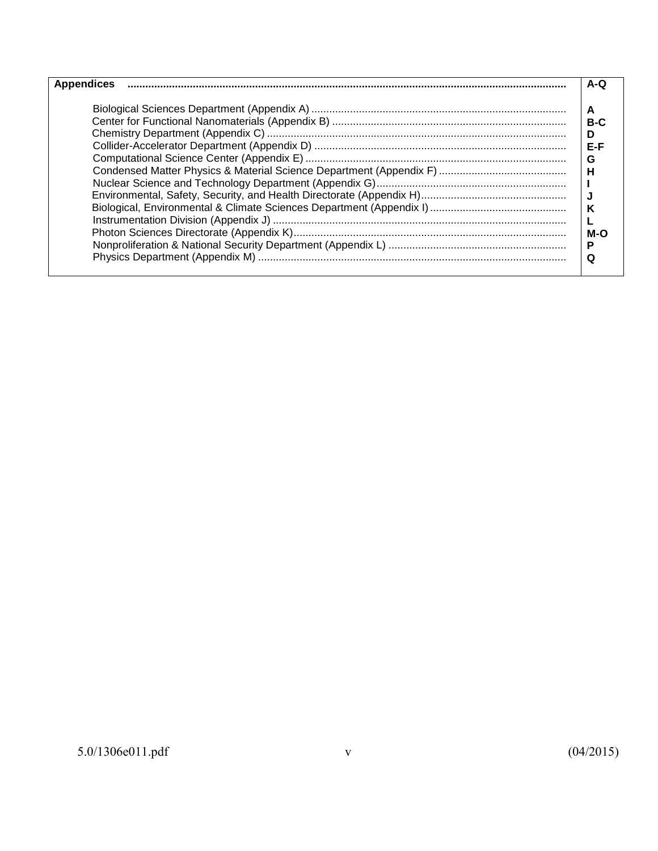| <b>Appendices</b> | A-Q |
|-------------------|-----|
|                   | А   |
|                   | B-C |
|                   | D   |
|                   | E-F |
|                   | G   |
|                   | н   |
|                   |     |
|                   |     |
|                   | κ   |
|                   |     |
|                   | M-O |
|                   | Р   |
|                   | Q   |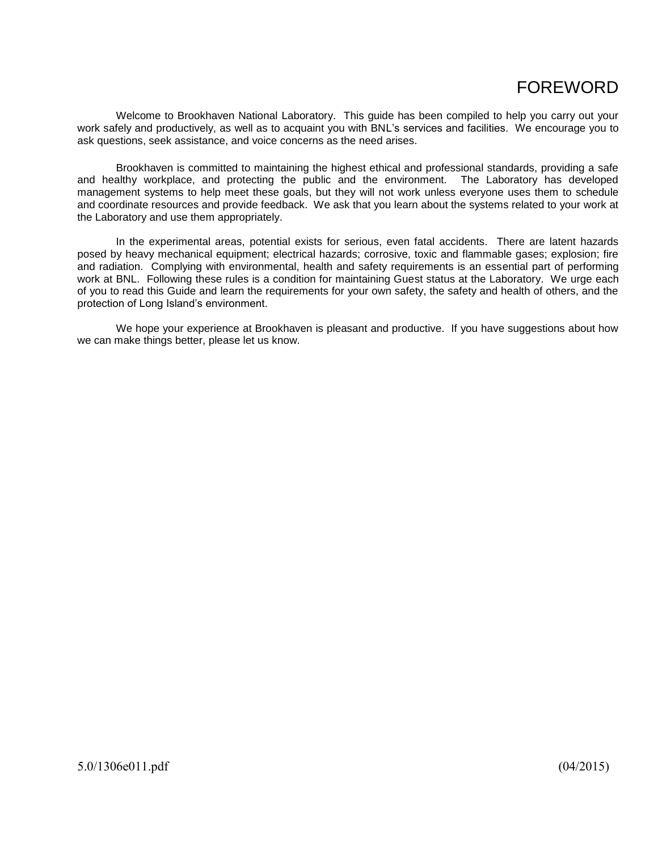# FOREWORD

Welcome to Brookhaven National Laboratory. This guide has been compiled to help you carry out your work safely and productively, as well as to acquaint you with BNL's services and facilities. We encourage you to ask questions, seek assistance, and voice concerns as the need arises.

Brookhaven is committed to maintaining the highest ethical and professional standards, providing a safe and healthy workplace, and protecting the public and the environment. The Laboratory has developed management systems to help meet these goals, but they will not work unless everyone uses them to schedule and coordinate resources and provide feedback. We ask that you learn about the systems related to your work at the Laboratory and use them appropriately.

In the experimental areas, potential exists for serious, even fatal accidents. There are latent hazards posed by heavy mechanical equipment; electrical hazards; corrosive, toxic and flammable gases; explosion; fire and radiation. Complying with environmental, health and safety requirements is an essential part of performing work at BNL. Following these rules is a condition for maintaining Guest status at the Laboratory. We urge each of you to read this Guide and learn the requirements for your own safety, the safety and health of others, and the protection of Long Island's environment.

We hope your experience at Brookhaven is pleasant and productive. If you have suggestions about how we can make things better, please let us know.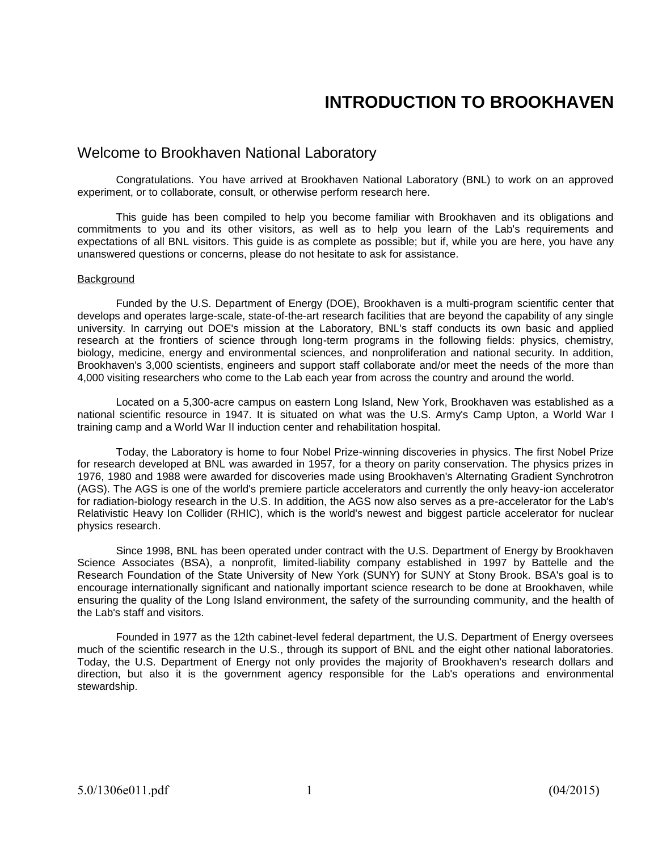# **INTRODUCTION TO BROOKHAVEN**

### Welcome to Brookhaven National Laboratory

Congratulations. You have arrived at Brookhaven National Laboratory (BNL) to work on an approved experiment, or to collaborate, consult, or otherwise perform research here.

This guide has been compiled to help you become familiar with Brookhaven and its obligations and commitments to you and its other visitors, as well as to help you learn of the Lab's requirements and expectations of all BNL visitors. This guide is as complete as possible; but if, while you are here, you have any unanswered questions or concerns, please do not hesitate to ask for assistance.

#### Background

Funded by the U.S. Department of Energy (DOE), Brookhaven is a multi-program scientific center that develops and operates large-scale, state-of-the-art research facilities that are beyond the capability of any single university. In carrying out DOE's mission at the Laboratory, BNL's staff conducts its own basic and applied research at the frontiers of science through long-term programs in the following fields: physics, chemistry, biology, medicine, energy and environmental sciences, and nonproliferation and national security. In addition, Brookhaven's 3,000 scientists, engineers and support staff collaborate and/or meet the needs of the more than 4,000 visiting researchers who come to the Lab each year from across the country and around the world.

Located on a 5,300-acre campus on eastern Long Island, New York, Brookhaven was established as a national scientific resource in 1947. It is situated on what was the U.S. Army's Camp Upton, a World War I training camp and a World War II induction center and rehabilitation hospital.

Today, the Laboratory is home to four Nobel Prize-winning discoveries in physics. The first Nobel Prize for research developed at BNL was awarded in 1957, for a theory on parity conservation. The physics prizes in 1976, 1980 and 1988 were awarded for discoveries made using Brookhaven's Alternating Gradient Synchrotron (AGS). The AGS is one of the world's premiere particle accelerators and currently the only heavy-ion accelerator for radiation-biology research in the U.S. In addition, the AGS now also serves as a pre-accelerator for the Lab's Relativistic Heavy Ion Collider (RHIC), which is the world's newest and biggest particle accelerator for nuclear physics research.

Since 1998, BNL has been operated under contract with the U.S. Department of Energy by Brookhaven Science Associates (BSA), a nonprofit, limited-liability company established in 1997 by Battelle and the Research Foundation of the State University of New York (SUNY) for SUNY at Stony Brook. BSA's goal is to encourage internationally significant and nationally important science research to be done at Brookhaven, while ensuring the quality of the Long Island environment, the safety of the surrounding community, and the health of the Lab's staff and visitors.

Founded in 1977 as the 12th cabinet-level federal department, the U.S. Department of Energy oversees much of the scientific research in the U.S., through its support of BNL and the eight other national laboratories. Today, the U.S. Department of Energy not only provides the majority of Brookhaven's research dollars and direction, but also it is the government agency responsible for the Lab's operations and environmental stewardship.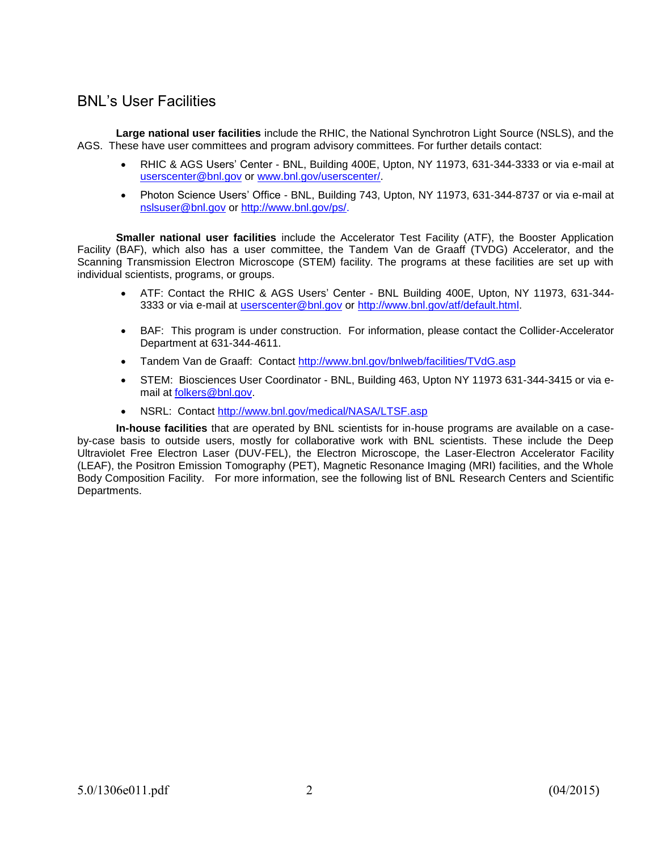# BNL's User Facilities

**Large national user facilities** include the RHIC, the National Synchrotron Light Source (NSLS), and the AGS. These have user committees and program advisory committees. For further details contact:

- RHIC & AGS Users' Center BNL, Building 400E, Upton, NY 11973, 631-344-3333 or via e-mail at [userscenter@bnl.gov](mailto:userscenter@bnl.gov) or [www.bnl.gov/userscenter/.](http://www.bnl.gov/userscenter/)
- Photon Science Users' Office BNL, Building 743, Upton, NY 11973, 631-344-8737 or via e-mail at [nslsuser@bnl.gov](mailto:nslsuser@bnl.gov) or [http://www.bnl.gov/ps/.](http://www.bnl.gov/ps/)

**Smaller national user facilities** include the Accelerator Test Facility (ATF), the Booster Application Facility (BAF), which also has a user committee, the Tandem Van de Graaff (TVDG) Accelerator, and the Scanning Transmission Electron Microscope (STEM) facility. The programs at these facilities are set up with individual scientists, programs, or groups.

- ATF: Contact the RHIC & AGS Users' Center BNL Building 400E, Upton, NY 11973, 631-344- 3333 or via e-mail at [userscenter@bnl.gov](mailto:userscenter@bnl.gov) or [http://www.bnl.gov/atf/default.html.](http://www.bnl.gov/atf/default.html)
- BAF: This program is under construction. For information, please contact the Collider-Accelerator Department at 631-344-4611.
- Tandem Van de Graaff: Contact<http://www.bnl.gov/bnlweb/facilities/TVdG.asp>
- STEM: Biosciences User Coordinator BNL, Building 463, Upton NY 11973 631-344-3415 or via email a[t folkers@bnl.gov.](mailto:folkers@bnl.gov)
- NSRL: Contact<http://www.bnl.gov/medical/NASA/LTSF.asp>

**In-house facilities** that are operated by BNL scientists for in-house programs are available on a caseby-case basis to outside users, mostly for collaborative work with BNL scientists. These include the Deep Ultraviolet Free Electron Laser (DUV-FEL), the Electron Microscope, the Laser-Electron Accelerator Facility (LEAF), the Positron Emission Tomography (PET), Magnetic Resonance Imaging (MRI) facilities, and the Whole Body Composition Facility. For more information, see the following list of BNL Research Centers and Scientific Departments.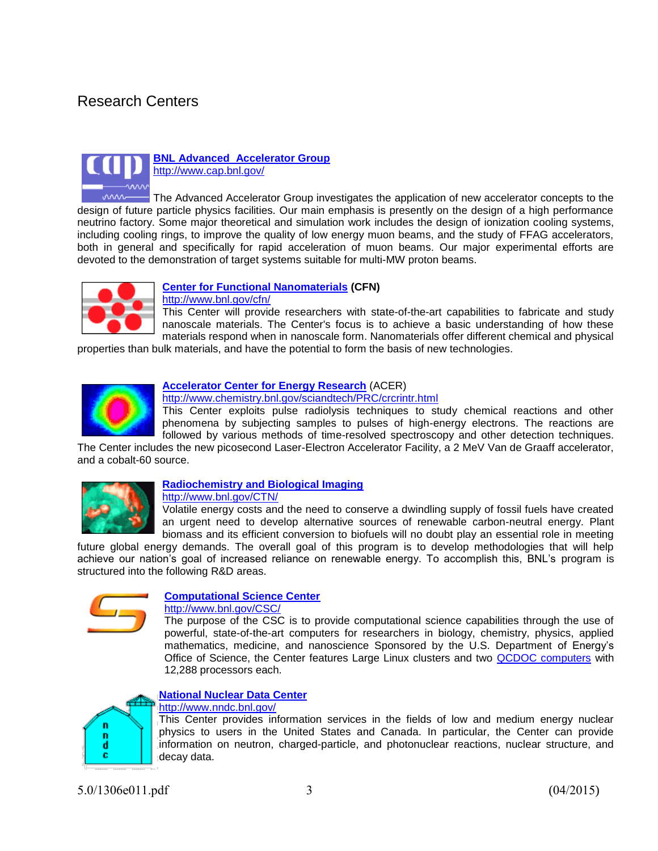# Research Centers



#### **[BNL Advanced Accelerator Group](http://www.cap.bnl.gov/)** <http://www.cap.bnl.gov/>

 $~\sim~$ The Advanced Accelerator Group investigates the application of new accelerator concepts to the design of future particle physics facilities. Our main emphasis is presently on the design of a high performance neutrino factory. Some major theoretical and simulation work includes the design of ionization cooling systems, including cooling rings, to improve the quality of low energy muon beams, and the study of FFAG accelerators, both in general and specifically for rapid acceleration of muon beams. Our major experimental efforts are devoted to the demonstration of target systems suitable for multi-MW proton beams.



#### **[Center for Functional Nanomaterials](http://www.cfn.bnl.gov/) (CFN)**

<http://www.bnl.gov/cfn/>

This Center will provide researchers with state-of-the-art capabilities to fabricate and study nanoscale materials. The Center's focus is to achieve a basic understanding of how these materials respond when in nanoscale form. Nanomaterials offer different chemical and physical

properties than bulk materials, and have the potential to form the basis of new technologies.



#### **[Accelerator Center for Energy Research](file://BNLNT2/sbms$/Morrison/SA-50%20Maj%20Rev%205.0/10-13-14%20Guidebook%20file/Center%20for%20Energy%20Research)** (ACER)

<http://www.chemistry.bnl.gov/sciandtech/PRC/crcrintr.html>

This Center exploits pulse radiolysis techniques to study chemical reactions and other phenomena by subjecting samples to pulses of high-energy electrons. The reactions are followed by various methods of time-resolved spectroscopy and other detection techniques.

The Center includes the new picosecond Laser-Electron Accelerator Facility, a 2 MeV Van de Graaff accelerator, and a cobalt-60 source.



### **[Radiochemistry and Biological Imaging](http://www.bnl.gov/CTN)**

<http://www.bnl.gov/CTN/>

Volatile energy costs and the need to conserve a dwindling supply of fossil fuels have created an urgent need to develop alternative sources of renewable carbon-neutral energy. Plant biomass and its efficient conversion to biofuels will no doubt play an essential role in meeting

future global energy demands. The overall goal of this program is to develop methodologies that will help achieve our nation's goal of increased reliance on renewable energy. To accomplish this, BNL's program is structured into the following R&D areas.



#### **[Computational Science Center](http://www.bnl.gov/csc/)**

<http://www.bnl.gov/CSC/>

The purpose of the CSC is to provide computational science capabilities through the use of powerful, state-of-the-art computers for researchers in biology, chemistry, physics, applied mathematics, medicine, and nanoscience Sponsored by the U.S. Department of Energy's Office of Science, the Center features Large Linux clusters and two [QCDOC computers](http://www.bnl.gov/itd/bcf/qcdoc.asp) with 12,288 processors each.

#### **[National Nuclear Data Center](http://www.nndc.bnl.gov/)**



#### <http://www.nndc.bnl.gov/>

This Center provides information services in the fields of low and medium energy nuclear physics to users in the United States and Canada. In particular, the Center can provide information on neutron, charged-particle, and photonuclear reactions, nuclear structure, and decay data.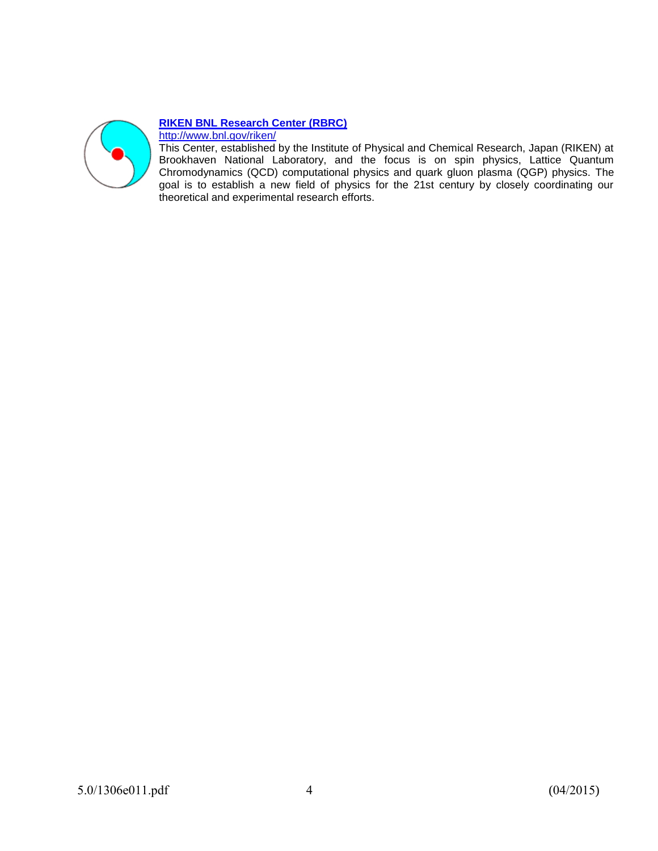

#### **[RIKEN BNL Research Center](http://www.bnl.gov/riken) (RBRC)**

<http://www.bnl.gov/riken/>

This Center, established by the Institute of Physical and Chemical Research, Japan (RIKEN) at Brookhaven National Laboratory, and the focus is on spin physics, Lattice Quantum Chromodynamics (QCD) computational physics and quark gluon plasma (QGP) physics. The goal is to establish a new field of physics for the 21st century by closely coordinating our theoretical and experimental research efforts.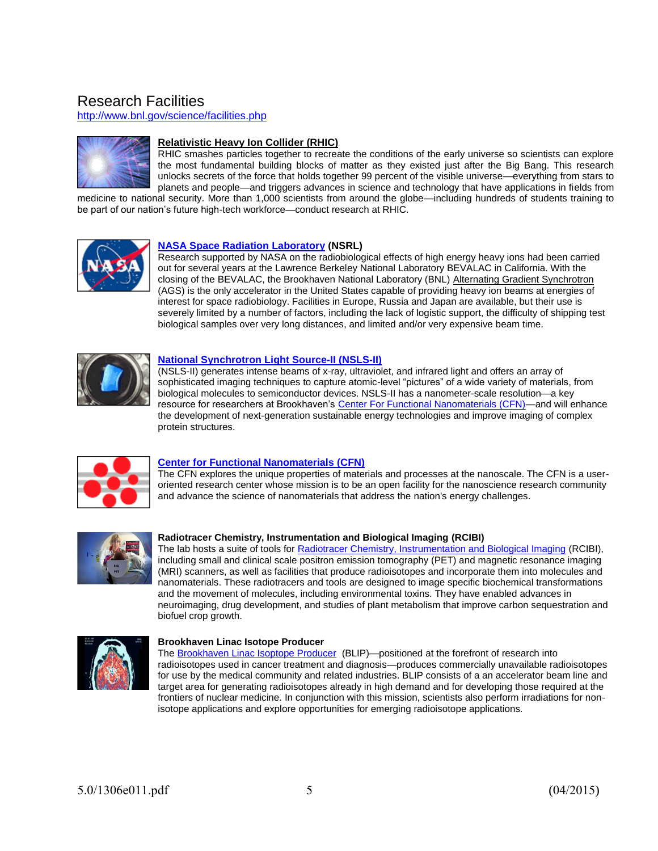# Research Facilities

<http://www.bnl.gov/science/facilities.php>



#### **Relativistic Heavy Ion Collider (RHIC)**

RHIC smashes particles together to recreate the conditions of the early universe so scientists can explore the most fundamental building blocks of matter as they existed just after the Big Bang. This research unlocks secrets of the force that holds together 99 percent of the visible universe—everything from stars to planets and people—and triggers advances in science and technology that have applications in fields from

medicine to national security. More than 1,000 scientists from around the globe—including hundreds of students training to be part of our nation's future high-tech workforce—conduct research at RHIC.



#### **[NASA Space Radiation Laboratory](http://www.bnl.gov/medical/NASA/LTSF.asp) (NSRL)**

Research supported by NASA on the radiobiological effects of high energy heavy ions had been carried out for several years at the Lawrence Berkeley National Laboratory BEVALAC in California. With the closing of the BEVALAC, the Brookhaven National Laboratory (BNL) [Alternating Gradient Synchrotron](http://www.bnl.gov/bnlweb/facilities/AGS.asp) (AGS) is the only accelerator in the United States capable of providing heavy ion beams at energies of interest for space radiobiology. Facilities in Europe, Russia and Japan are available, but their use is severely limited by a number of factors, including the lack of logistic support, the difficulty of shipping test biological samples over very long distances, and limited and/or very expensive beam time.



#### **[National Synchrotron Light Source-](http://www.nsls.bnl.gov/)II (NSLS-II)**

(NSLS-II) generates intense beams of x-ray, ultraviolet, and infrared light and offers an array of sophisticated imaging techniques to capture atomic-level "pictures" of a wide variety of materials, from biological molecules to semiconductor devices. NSLS-II has a nanometer-scale resolution—a key resource for researchers at Brookhaven's [Center For Functional Nanomaterials \(CFN\)—](http://www.bnl.gov/cfn/)and will enhance the development of next-generation sustainable energy technologies and improve imaging of complex protein structures.



#### **[Center for Functional Nanomaterials](http://www.bnl.gov/cfn) (CFN)**

The CFN explores the unique properties of materials and processes at the nanoscale. The CFN is a useroriented research center whose mission is to be an open facility for the nanoscience research community and advance the science of nanomaterials that address the nation's energy challenges.



#### **Radiotracer Chemistry, Instrumentation and Biological Imaging (RCIBI)**

The lab hosts a suite of tools for [Radiotracer Chemistry, Instrumentation and Biological Imaging](http://www.bnl.gov/medical/RCIBI/) (RCIBI), including small and clinical scale positron emission tomography (PET) and magnetic resonance imaging (MRI) scanners, as well as facilities that produce radioisotopes and incorporate them into molecules and nanomaterials. These radiotracers and tools are designed to image specific biochemical transformations and the movement of molecules, including environmental toxins. They have enabled advances in neuroimaging, drug development, and studies of plant metabolism that improve carbon sequestration and biofuel crop growth.



#### **Brookhaven Linac Isotope Producer**

The [Brookhaven Linac Isoptope Producer](http://www.bnl.gov/cad/Isotope_Distribution/Isodistoff.asp) (BLIP)—positioned at the forefront of research into radioisotopes used in cancer treatment and diagnosis—produces commercially unavailable radioisotopes for use by the medical community and related industries. BLIP consists of a an accelerator beam line and target area for generating radioisotopes already in high demand and for developing those required at the frontiers of nuclear medicine. In conjunction with this mission, scientists also perform irradiations for nonisotope applications and explore opportunities for emerging radioisotope applications.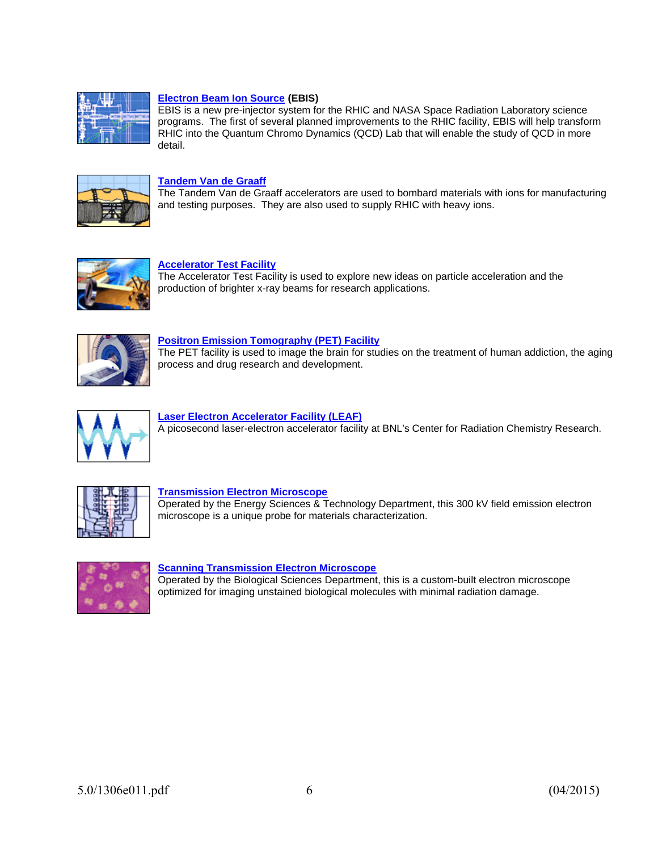

#### **[Electron Beam Ion Source](http://www.bnl.gov/cad/ebis) (EBIS)**

EBIS is a new pre-injector system for the RHIC and NASA Space Radiation Laboratory science programs. The first of several planned improvements to the RHIC facility, EBIS will help transform RHIC into the Quantum Chromo Dynamics (QCD) Lab that will enable the study of QCD in more detail.



#### **[Tandem Van de Graaff](http://www.bnl.gov/bnlweb/facilities/TVdG.asp)**

The Tandem Van de Graaff accelerators are used to bombard materials with ions for manufacturing and testing purposes. They are also used to supply RHIC with heavy ions.



#### **[Accelerator Test Facility](http://www.bnl.gov/bnlweb/facilities/ATF.asp)**

The Accelerator Test Facility is used to explore new ideas on particle acceleration and the production of brighter x-ray beams for research applications.



#### **[Positron Emission Tomography \(PET\) Facility](http://www.bnl.gov/CTN/PET.asp)**

The PET facility is used to image the brain for studies on the treatment of human addiction, the aging process and drug research and development.



#### **[Laser Electron Accelerator Facility \(LEAF\)](http://chemfo.chm.bnl.gov/SciandTech/PRC/wishart/crcrintr.html)** A picosecond laser-electron accelerator facility at BNL's Center for Radiation Chemistry Research.



#### **[Transmission Electron Microscope](http://www.bnl.gov/bnlweb/facilities/TEM.asp)**

Operated by the Energy Sciences & Technology Department, this 300 kV field emission electron microscope is a unique probe for materials characterization.



#### **[Scanning Transmission Electron Microscope](http://www.biology.bnl.gov/stem/stem.html)**

Operated by the Biological Sciences Department, this is a custom-built electron microscope optimized for imaging unstained biological molecules with minimal radiation damage.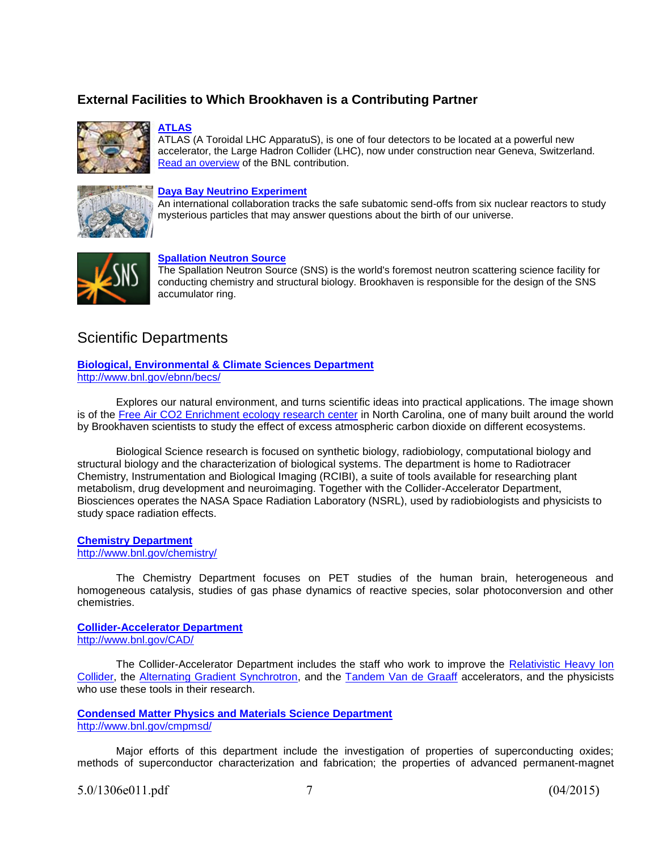### **External Facilities to Which Brookhaven is a Contributing Partner**



#### **[ATLAS](http://www.usatlas.bnl.gov/)**

ATLAS (A Toroidal LHC ApparatuS), is one of four detectors to be located at a powerful new accelerator, the Large Hadron Collider (LHC), now under construction near Geneva, Switzerland. [Read an overview](http://www.bnl.gov/atlas) of the BNL contribution.



#### **[Daya Bay Neutrino Experiment](http://www.bnl.gov/science/dayabay.php)**

An international collaboration tracks the safe subatomic send-offs from six nuclear reactors to study mysterious particles that may answer questions about the birth of our universe.



#### **[Spallation Neutron Source](http://www.bnl.gov/cad/sns/)**

The Spallation Neutron Source (SNS) is the world's foremost neutron scattering science facility for conducting chemistry and structural biology. Brookhaven is responsible for the design of the SNS accumulator ring.

### Scientific Departments

**[Biological, Environmental & Climate Sciences Department](http://www.bnl.gov/ebnn/becs/)** http://www.bnl.gov/ebnn/becs/

Explores our natural environment, and turns scientific ideas into practical applications. The image shown is of the [Free Air CO2 Enrichment ecology research center](http://www.face.bnl.gov/) in North Carolina, one of many built around the world by Brookhaven scientists to study the effect of excess atmospheric carbon dioxide on different ecosystems.

Biological Science research is focused on synthetic biology, radiobiology, computational biology and structural biology and the characterization of biological systems. The department is home to Radiotracer Chemistry, Instrumentation and Biological Imaging (RCIBI), a suite of tools available for researching plant metabolism, drug development and neuroimaging. Together with the Collider-Accelerator Department, Biosciences operates the NASA Space Radiation Laboratory (NSRL), used by radiobiologists and physicists to study space radiation effects.

#### **[Chemistry Department](http://www.bnl.gov/chemistry)** <http://www.bnl.gov/chemistry/>

The Chemistry Department focuses on PET studies of the human brain, heterogeneous and homogeneous catalysis, studies of gas phase dynamics of reactive species, solar photoconversion and other chemistries.

#### **[Collider-Accelerator Department](http://www.bnl.gov/cad)**  <http://www.bnl.gov/CAD/>

The Collider-Accelerator Department includes the staff who work to improve the Relativistic Heavy Ion [Collider,](http://www.bnl.gov/rhic/) the [Alternating Gradient Synchrotron,](http://www.bnl.gov/bnlweb/facilities/AGS.asp) and the [Tandem Van de Graaff](http://www.bnl.gov/bnlweb/facilities/TVdG.html) accelerators, and the physicists who use these tools in their research.

#### **[Condensed Matter Physics and Materials Science Department](http://www.bnl.gov/cmpmsd/)** <http://www.bnl.gov/cmpmsd/>

Major efforts of this department include the investigation of properties of superconducting oxides; methods of superconductor characterization and fabrication; the properties of advanced permanent-magnet

```
5.0/1306e011.pdf 7 (04/2015)
```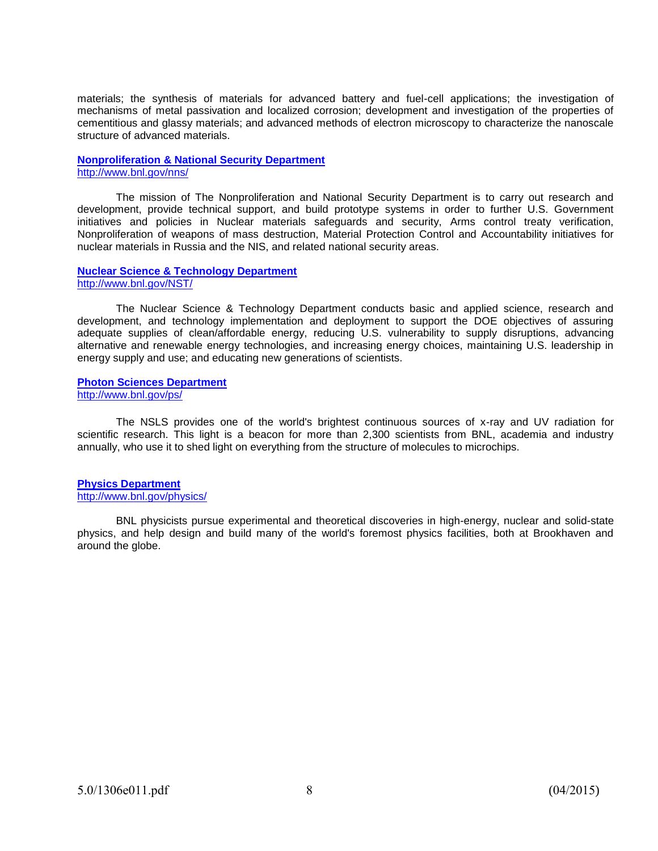materials; the synthesis of materials for advanced battery and fuel-cell applications; the investigation of mechanisms of metal passivation and localized corrosion; development and investigation of the properties of cementitious and glassy materials; and advanced methods of electron microscopy to characterize the nanoscale structure of advanced materials.

#### **[Nonproliferation & National Security Department](http://www.bnl.gov/nns)**  <http://www.bnl.gov/nns/>

The mission of The Nonproliferation and National Security Department is to carry out research and development, provide technical support, and build prototype systems in order to further U.S. Government initiatives and policies in Nuclear materials safeguards and security, Arms control treaty verification, Nonproliferation of weapons of mass destruction, Material Protection Control and Accountability initiatives for nuclear materials in Russia and the NIS, and related national security areas.

#### **[Nuclear Science & Technology Department](http://www.bnl.gov/NST/)**  <http://www.bnl.gov/NST/>

The Nuclear Science & Technology Department conducts basic and applied science, research and development, and technology implementation and deployment to support the DOE objectives of assuring adequate supplies of clean/affordable energy, reducing U.S. vulnerability to supply disruptions, advancing alternative and renewable energy technologies, and increasing energy choices, maintaining U.S. leadership in energy supply and use; and educating new generations of scientists.

#### **[Photon Sciences Department](http://www.bnl.gov/ps/)** http://www.bnl.gov/ps/

The NSLS provides one of the world's brightest continuous sources of x-ray and UV radiation for scientific research. This light is a beacon for more than 2,300 scientists from BNL, academia and industry annually, who use it to shed light on everything from the structure of molecules to microchips.

#### **[Physics Department](http://www.bnl.gov/physics)**

<http://www.bnl.gov/physics/>

BNL physicists pursue experimental and theoretical discoveries in high-energy, nuclear and solid-state physics, and help design and build many of the world's foremost physics facilities, both at Brookhaven and around the globe.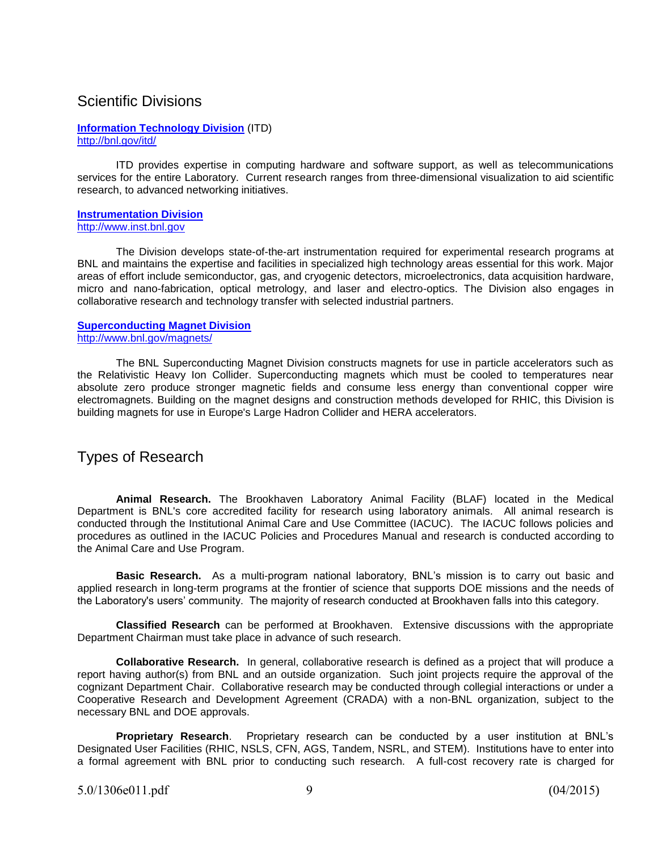### Scientific Divisions

#### **[Information Technology Division](http://www.bnl.gov/itd/)** (ITD) <http://bnl.gov/itd/>

ITD provides expertise in computing hardware and software support, as well as telecommunications services for the entire Laboratory. Current research ranges from three-dimensional visualization to aid scientific research, to advanced networking initiatives.

#### **[Instrumentation Division](http://www.inst.bnl.gov/)**  [http://www.inst.bnl.gov](http://www.inst.bnl.gov/)

The Division develops state-of-the-art instrumentation required for experimental research programs at BNL and maintains the expertise and facilities in specialized high technology areas essential for this work. Major areas of effort include semiconductor, gas, and cryogenic detectors, microelectronics, data acquisition hardware, micro and nano-fabrication, optical metrology, and laser and electro-optics. The Division also engages in collaborative research and technology transfer with selected industrial partners.

#### **[Superconducting Magnet Division](http://www.bnl.gov/magnets)** <http://www.bnl.gov/magnets/>

The BNL Superconducting Magnet Division constructs magnets for use in particle accelerators such as the Relativistic Heavy Ion Collider. Superconducting magnets which must be cooled to temperatures near absolute zero produce stronger magnetic fields and consume less energy than conventional copper wire electromagnets. Building on the magnet designs and construction methods developed for RHIC, this Division is building magnets for use in Europe's Large Hadron Collider and HERA accelerators.

# Types of Research

**Animal Research.** The Brookhaven Laboratory Animal Facility (BLAF) located in the Medical Department is BNL's core accredited facility for research using laboratory animals. All animal research is conducted through the Institutional Animal Care and Use Committee (IACUC). The IACUC follows policies and procedures as outlined in the IACUC Policies and Procedures Manual and research is conducted according to the Animal Care and Use Program.

**Basic Research.** As a multi-program national laboratory, BNL's mission is to carry out basic and applied research in long-term programs at the frontier of science that supports DOE missions and the needs of the Laboratory's users' community. The majority of research conducted at Brookhaven falls into this category.

**Classified Research** can be performed at Brookhaven. Extensive discussions with the appropriate Department Chairman must take place in advance of such research.

**Collaborative Research.** In general, collaborative research is defined as a project that will produce a report having author(s) from BNL and an outside organization. Such joint projects require the approval of the cognizant Department Chair. Collaborative research may be conducted through collegial interactions or under a Cooperative Research and Development Agreement (CRADA) with a non-BNL organization, subject to the necessary BNL and DOE approvals.

**Proprietary Research**. Proprietary research can be conducted by a user institution at BNL's Designated User Facilities (RHIC, NSLS, CFN, AGS, Tandem, NSRL, and STEM). Institutions have to enter into a formal agreement with BNL prior to conducting such research. A full-cost recovery rate is charged for

5.0/1306e011.pdf 9 (04/2015)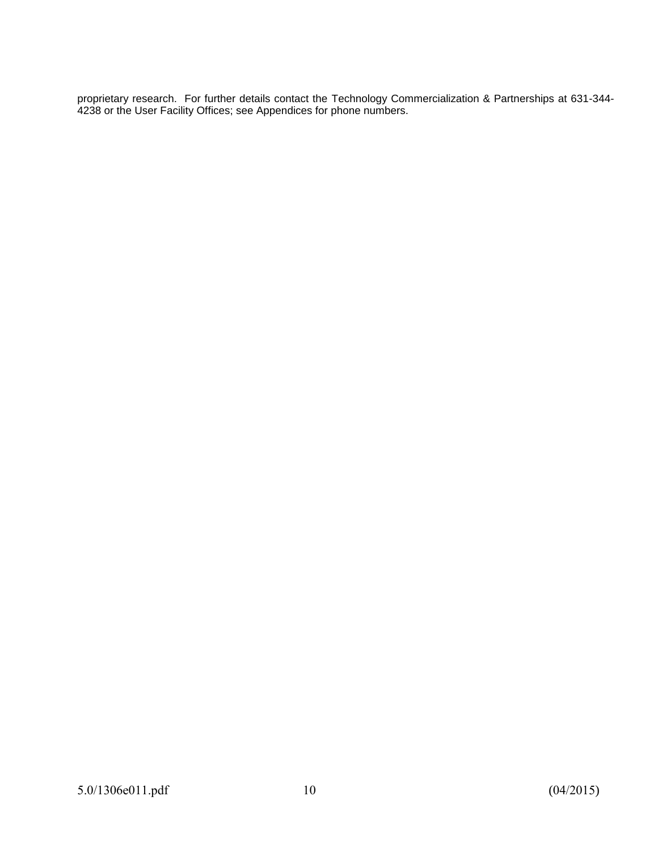proprietary research. For further details contact the Technology Commercialization & Partnerships at 631-344- 4238 or the User Facility Offices; see Appendices for phone numbers.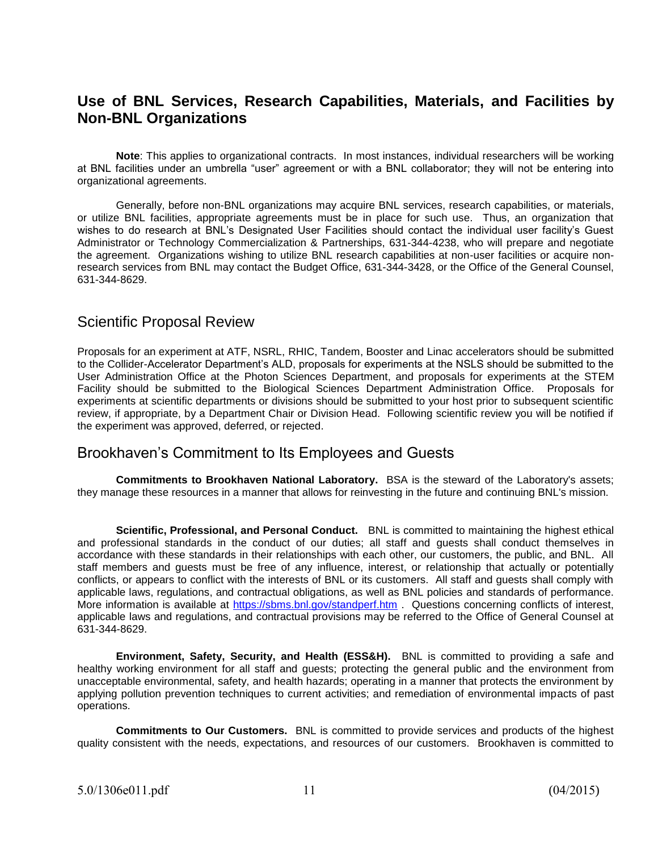# **Use of BNL Services, Research Capabilities, Materials, and Facilities by Non-BNL Organizations**

**Note**: This applies to organizational contracts. In most instances, individual researchers will be working at BNL facilities under an umbrella "user" agreement or with a BNL collaborator; they will not be entering into organizational agreements.

Generally, before non-BNL organizations may acquire BNL services, research capabilities, or materials, or utilize BNL facilities, appropriate agreements must be in place for such use. Thus, an organization that wishes to do research at BNL's Designated User Facilities should contact the individual user facility's Guest Administrator or Technology Commercialization & Partnerships, 631-344-4238, who will prepare and negotiate the agreement. Organizations wishing to utilize BNL research capabilities at non-user facilities or acquire nonresearch services from BNL may contact the Budget Office, 631-344-3428, or the Office of the General Counsel, 631-344-8629.

### Scientific Proposal Review

Proposals for an experiment at ATF, NSRL, RHIC, Tandem, Booster and Linac accelerators should be submitted to the Collider-Accelerator Department's ALD, proposals for experiments at the NSLS should be submitted to the User Administration Office at the Photon Sciences Department, and proposals for experiments at the STEM Facility should be submitted to the Biological Sciences Department Administration Office. Proposals for experiments at scientific departments or divisions should be submitted to your host prior to subsequent scientific review, if appropriate, by a Department Chair or Division Head. Following scientific review you will be notified if the experiment was approved, deferred, or rejected.

# Brookhaven's Commitment to Its Employees and Guests

**Commitments to Brookhaven National Laboratory.** BSA is the steward of the Laboratory's assets; they manage these resources in a manner that allows for reinvesting in the future and continuing BNL's mission.

**Scientific, Professional, and Personal Conduct.** BNL is committed to maintaining the highest ethical and professional standards in the conduct of our duties; all staff and guests shall conduct themselves in accordance with these standards in their relationships with each other, our customers, the public, and BNL. All staff members and guests must be free of any influence, interest, or relationship that actually or potentially conflicts, or appears to conflict with the interests of BNL or its customers. All staff and guests shall comply with applicable laws, regulations, and contractual obligations, as well as BNL policies and standards of performance. More information is available at<https://sbms.bnl.gov/standperf.htm>. Questions concerning conflicts of interest, applicable laws and regulations, and contractual provisions may be referred to the Office of General Counsel at 631-344-8629.

**Environment, Safety, Security, and Health (ESS&H).** BNL is committed to providing a safe and healthy working environment for all staff and guests; protecting the general public and the environment from unacceptable environmental, safety, and health hazards; operating in a manner that protects the environment by applying pollution prevention techniques to current activities; and remediation of environmental impacts of past operations.

**Commitments to Our Customers.** BNL is committed to provide services and products of the highest quality consistent with the needs, expectations, and resources of our customers. Brookhaven is committed to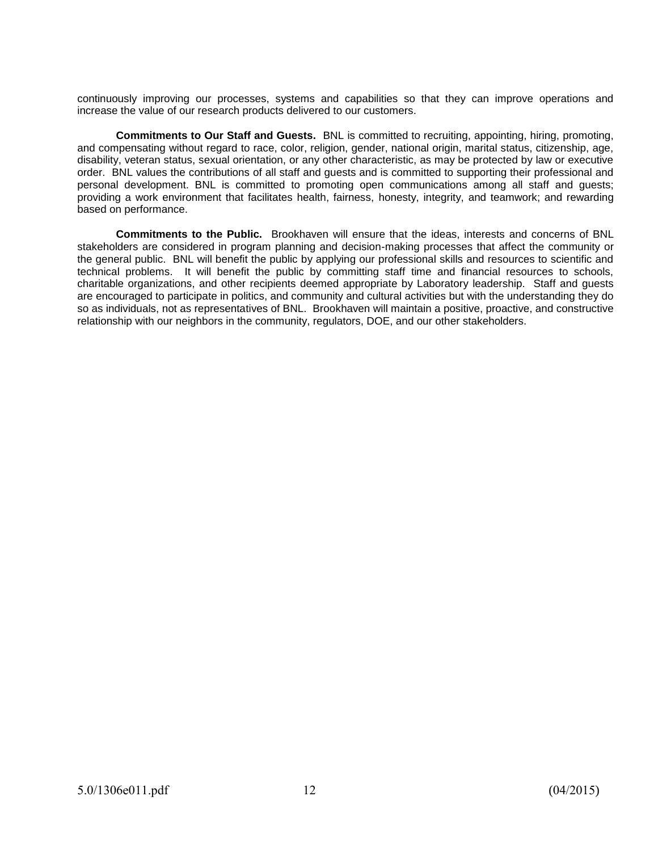continuously improving our processes, systems and capabilities so that they can improve operations and increase the value of our research products delivered to our customers.

**Commitments to Our Staff and Guests.** BNL is committed to recruiting, appointing, hiring, promoting, and compensating without regard to race, color, religion, gender, national origin, marital status, citizenship, age, disability, veteran status, sexual orientation, or any other characteristic, as may be protected by law or executive order. BNL values the contributions of all staff and guests and is committed to supporting their professional and personal development. BNL is committed to promoting open communications among all staff and guests; providing a work environment that facilitates health, fairness, honesty, integrity, and teamwork; and rewarding based on performance.

**Commitments to the Public.** Brookhaven will ensure that the ideas, interests and concerns of BNL stakeholders are considered in program planning and decision-making processes that affect the community or the general public. BNL will benefit the public by applying our professional skills and resources to scientific and technical problems. It will benefit the public by committing staff time and financial resources to schools, charitable organizations, and other recipients deemed appropriate by Laboratory leadership. Staff and guests are encouraged to participate in politics, and community and cultural activities but with the understanding they do so as individuals, not as representatives of BNL. Brookhaven will maintain a positive, proactive, and constructive relationship with our neighbors in the community, regulators, DOE, and our other stakeholders.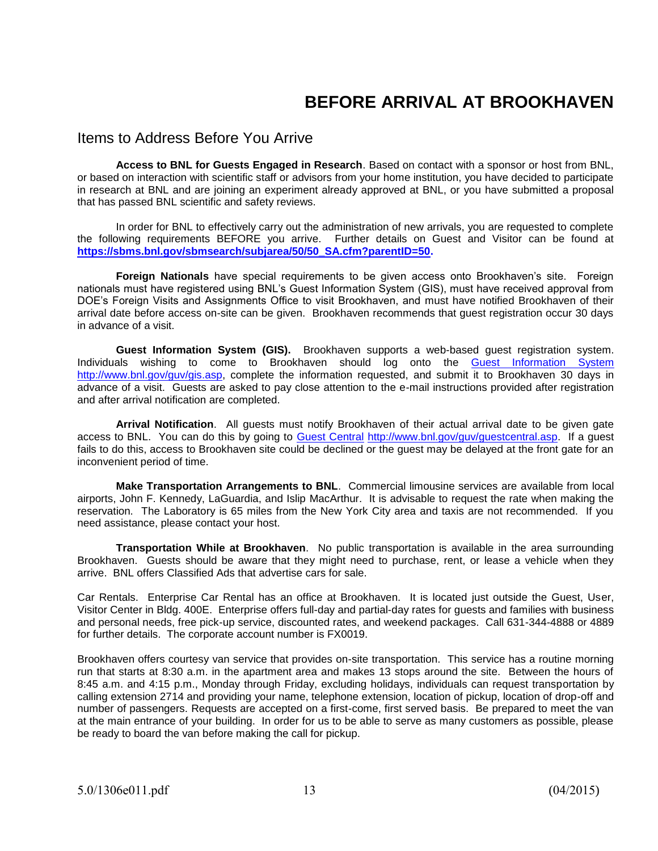# **BEFORE ARRIVAL AT BROOKHAVEN**

#### Items to Address Before You Arrive

**Access to BNL for Guests Engaged in Research**. Based on contact with a sponsor or host from BNL, or based on interaction with scientific staff or advisors from your home institution, you have decided to participate in research at BNL and are joining an experiment already approved at BNL, or you have submitted a proposal that has passed BNL scientific and safety reviews.

In order for BNL to effectively carry out the administration of new arrivals, you are requested to complete the following requirements BEFORE you arrive. Further details on Guest and Visitor can be found at **[https://sbms.bnl.gov/sbmsearch/subjarea/50/50\\_SA.cfm?parentID=50.](https://sbms.bnl.gov/sbmsearch/subjarea/50/50_SA.cfm?parentID=50)** 

**Foreign Nationals** have special requirements to be given access onto Brookhaven's site. Foreign nationals must have registered using BNL's Guest Information System (GIS), must have received approval from DOE's Foreign Visits and Assignments Office to visit Brookhaven, and must have notified Brookhaven of their arrival date before access on-site can be given. Brookhaven recommends that guest registration occur 30 days in advance of a visit.

**Guest Information System (GIS).** Brookhaven supports a web-based guest registration system. Individuals wishing to come to Brookhaven should log onto the [Guest Information System](https://fsd84.bis.bnl.gov/guest/guest.asp) [http://www.bnl.gov/guv/gis.asp,](http://www.bnl.gov/guv/gis.asp) complete the information requested, and submit it to Brookhaven 30 days in advance of a visit. Guests are asked to pay close attention to the e-mail instructions provided after registration and after arrival notification are completed.

**Arrival Notification**. All guests must notify Brookhaven of their actual arrival date to be given gate access to BNL. You can do this by going to [Guest Central](http://www.bnl.gov/guv/guestcentral.asp) [http://www.bnl.gov/guv/guestcentral.asp.](http://www.bnl.gov/guv/guestcentral.asp) If a guest fails to do this, access to Brookhaven site could be declined or the guest may be delayed at the front gate for an inconvenient period of time.

**Make Transportation Arrangements to BNL**. Commercial limousine services are available from local airports, John F. Kennedy, LaGuardia, and Islip MacArthur. It is advisable to request the rate when making the reservation. The Laboratory is 65 miles from the New York City area and taxis are not recommended. If you need assistance, please contact your host.

**Transportation While at Brookhaven**. No public transportation is available in the area surrounding Brookhaven. Guests should be aware that they might need to purchase, rent, or lease a vehicle when they arrive. BNL offers Classified Ads that advertise cars for sale.

Car Rentals. Enterprise Car Rental has an office at Brookhaven. It is located just outside the Guest, User, Visitor Center in Bldg. 400E. Enterprise offers full-day and partial-day rates for guests and families with business and personal needs, free pick-up service, discounted rates, and weekend packages. Call 631-344-4888 or 4889 for further details. The corporate account number is FX0019.

Brookhaven offers courtesy van service that provides on-site transportation. This service has a routine morning run that starts at 8:30 a.m. in the apartment area and makes 13 stops around the site. Between the hours of 8:45 a.m. and 4:15 p.m., Monday through Friday, excluding holidays, individuals can request transportation by calling extension 2714 and providing your name, telephone extension, location of pickup, location of drop-off and number of passengers. Requests are accepted on a first-come, first served basis. Be prepared to meet the van at the main entrance of your building. In order for us to be able to serve as many customers as possible, please be ready to board the van before making the call for pickup.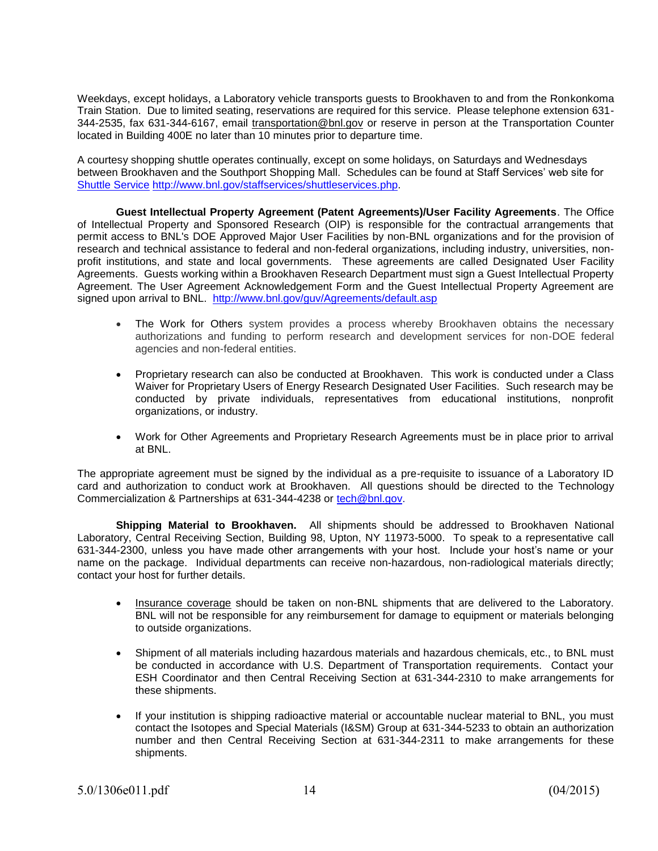Weekdays, except holidays, a Laboratory vehicle transports guests to Brookhaven to and from the Ronkonkoma Train Station. Due to limited seating, reservations are required for this service. Please telephone extension 631- 344-2535, fax 631-344-6167, email [transportation@bnl.gov](mailto:transportation@bnl.gov) or reserve in person at the Transportation Counter located in Building 400E no later than 10 minutes prior to departure time.

A courtesy shopping shuttle operates continually, except on some holidays, on Saturdays and Wednesdays between Brookhaven and the Southport Shopping Mall. Schedules can be found at Staff Services' web site for [Shuttle Service](http://www.bnl.gov/staffservices/shuttleservices.php) [http://www.bnl.gov/staffservices/shuttleservices.php.](http://www.bnl.gov/staffservices/shuttleservices.php)

**Guest Intellectual Property Agreement (Patent Agreements)/User Facility Agreements**. The Office of Intellectual Property and Sponsored Research (OIP) is responsible for the contractual arrangements that permit access to BNL's DOE Approved Major User Facilities by non-BNL organizations and for the provision of research and technical assistance to federal and non-federal organizations, including industry, universities, nonprofit institutions, and state and local governments. These agreements are called Designated User Facility Agreements. Guests working within a Brookhaven Research Department must sign a Guest Intellectual Property Agreement. The User Agreement Acknowledgement Form and the Guest Intellectual Property Agreement are signed upon arrival to BNL. <http://www.bnl.gov/guv/Agreements/default.asp>

- The Work for Others system provides a process whereby Brookhaven obtains the necessary authorizations and funding to perform research and development services for non-DOE federal agencies and non-federal entities.
- Proprietary research can also be conducted at Brookhaven. This work is conducted under a Class Waiver for Proprietary Users of Energy Research Designated User Facilities. Such research may be conducted by private individuals, representatives from educational institutions, nonprofit organizations, or industry.
- Work for Other Agreements and Proprietary Research Agreements must be in place prior to arrival at BNL.

The appropriate agreement must be signed by the individual as a pre-requisite to issuance of a Laboratory ID card and authorization to conduct work at Brookhaven. All questions should be directed to the Technology Commercialization & Partnerships at 631-344-4238 or [tech@bnl.gov.](mailto:tech@bnl.gov)

**Shipping Material to Brookhaven.** All shipments should be addressed to Brookhaven National Laboratory, Central Receiving Section, Building 98, Upton, NY 11973-5000. To speak to a representative call 631-344-2300, unless you have made other arrangements with your host. Include your host's name or your name on the package. Individual departments can receive non-hazardous, non-radiological materials directly; contact your host for further details.

- Insurance coverage should be taken on non-BNL shipments that are delivered to the Laboratory. BNL will not be responsible for any reimbursement for damage to equipment or materials belonging to outside organizations.
- Shipment of all materials including hazardous materials and hazardous chemicals, etc., to BNL must be conducted in accordance with U.S. Department of Transportation requirements. Contact your ESH Coordinator and then Central Receiving Section at 631-344-2310 to make arrangements for these shipments.
- If your institution is shipping radioactive material or accountable nuclear material to BNL, you must contact the Isotopes and Special Materials (I&SM) Group at 631-344-5233 to obtain an authorization number and then Central Receiving Section at 631-344-2311 to make arrangements for these shipments.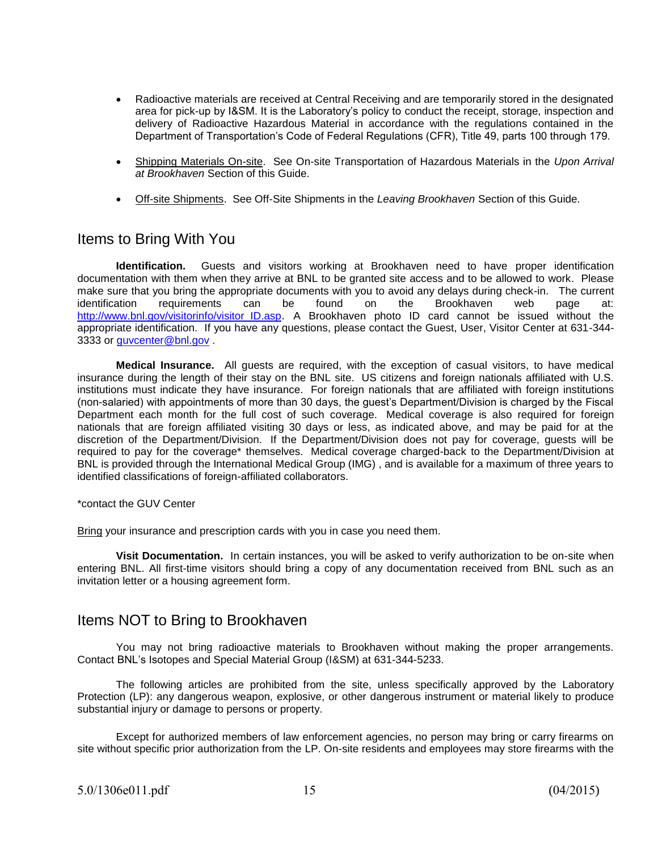- Radioactive materials are received at Central Receiving and are temporarily stored in the designated area for pick-up by I&SM. It is the Laboratory's policy to conduct the receipt, storage, inspection and delivery of Radioactive Hazardous Material in accordance with the regulations contained in the Department of Transportation's Code of Federal Regulations (CFR), Title 49, parts 100 through 179.
- Shipping Materials On-site. See On-site Transportation of Hazardous Materials in the *Upon Arrival at Brookhaven* Section of this Guide.
- Off-site Shipments. See Off-Site Shipments in the *Leaving Brookhaven* Section of this Guide.

### Items to Bring With You

**Identification.** Guests and visitors working at Brookhaven need to have proper identification documentation with them when they arrive at BNL to be granted site access and to be allowed to work. Please make sure that you bring the appropriate documents with you to avoid any delays during check-in. The current identification requirements can be found on the Brookhaven web page at: [http://www.bnl.gov/visitorinfo/visitor\\_ID.asp](http://www.bnl.gov/visitorinfo/visitor_ID.asp). A Brookhaven photo ID card cannot be issued without the appropriate identification. If you have any questions, please contact the Guest, User, Visitor Center at 631-344 3333 or [guvcenter@bnl.gov](mailto:guvcenter@bnl.gov)

**Medical Insurance.** All guests are required, with the exception of casual visitors, to have medical insurance during the length of their stay on the BNL site. US citizens and foreign nationals affiliated with U.S. institutions must indicate they have insurance. For foreign nationals that are affiliated with foreign institutions (non-salaried) with appointments of more than 30 days, the guest's Department/Division is charged by the Fiscal Department each month for the full cost of such coverage. Medical coverage is also required for foreign nationals that are foreign affiliated visiting 30 days or less, as indicated above, and may be paid for at the discretion of the Department/Division. If the Department/Division does not pay for coverage, guests will be required to pay for the coverage\* themselves. Medical coverage charged-back to the Department/Division at BNL is provided through the International Medical Group (IMG) , and is available for a maximum of three years to identified classifications of foreign-affiliated collaborators.

\*contact the GUV Center

Bring your insurance and prescription cards with you in case you need them.

**Visit Documentation.** In certain instances, you will be asked to verify authorization to be on-site when entering BNL. All first-time visitors should bring a copy of any documentation received from BNL such as an invitation letter or a housing agreement form.

### Items NOT to Bring to Brookhaven

You may not bring radioactive materials to Brookhaven without making the proper arrangements. Contact BNL's Isotopes and Special Material Group (I&SM) at 631-344-5233.

The following articles are prohibited from the site, unless specifically approved by the Laboratory Protection (LP): any dangerous weapon, explosive, or other dangerous instrument or material likely to produce substantial injury or damage to persons or property.

Except for authorized members of law enforcement agencies, no person may bring or carry firearms on site without specific prior authorization from the LP. On-site residents and employees may store firearms with the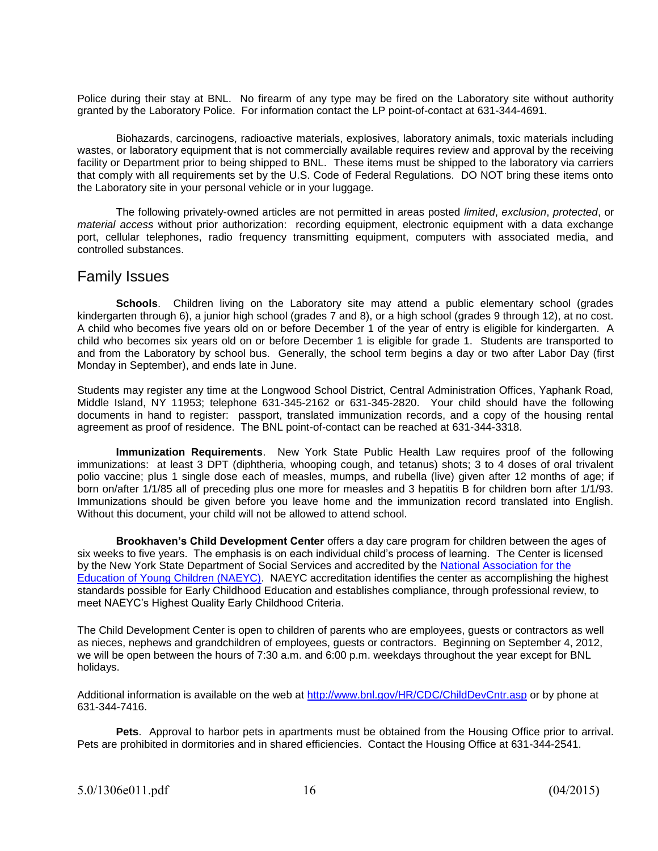Police during their stay at BNL. No firearm of any type may be fired on the Laboratory site without authority granted by the Laboratory Police. For information contact the LP point-of-contact at 631-344-4691.

Biohazards, carcinogens, radioactive materials, explosives, laboratory animals, toxic materials including wastes, or laboratory equipment that is not commercially available requires review and approval by the receiving facility or Department prior to being shipped to BNL. These items must be shipped to the laboratory via carriers that comply with all requirements set by the U.S. Code of Federal Regulations. DO NOT bring these items onto the Laboratory site in your personal vehicle or in your luggage.

The following privately-owned articles are not permitted in areas posted *limited*, *exclusion*, *protected*, or *material access* without prior authorization: recording equipment, electronic equipment with a data exchange port, cellular telephones, radio frequency transmitting equipment, computers with associated media, and controlled substances.

### Family Issues

**Schools**. Children living on the Laboratory site may attend a public elementary school (grades kindergarten through 6), a junior high school (grades 7 and 8), or a high school (grades 9 through 12), at no cost. A child who becomes five years old on or before December 1 of the year of entry is eligible for kindergarten. A child who becomes six years old on or before December 1 is eligible for grade 1. Students are transported to and from the Laboratory by school bus. Generally, the school term begins a day or two after Labor Day (first Monday in September), and ends late in June.

Students may register any time at the Longwood School District, Central Administration Offices, Yaphank Road, Middle Island, NY 11953; telephone 631-345-2162 or 631-345-2820. Your child should have the following documents in hand to register: passport, translated immunization records, and a copy of the housing rental agreement as proof of residence. The BNL point-of-contact can be reached at 631-344-3318.

**Immunization Requirements**. New York State Public Health Law requires proof of the following immunizations: at least 3 DPT (diphtheria, whooping cough, and tetanus) shots; 3 to 4 doses of oral trivalent polio vaccine; plus 1 single dose each of measles, mumps, and rubella (live) given after 12 months of age; if born on/after 1/1/85 all of preceding plus one more for measles and 3 hepatitis B for children born after 1/1/93. Immunizations should be given before you leave home and the immunization record translated into English. Without this document, your child will not be allowed to attend school.

**Brookhaven's Child Development Center** offers a day care program for children between the ages of six weeks to five years. The emphasis is on each individual child's process of learning. The Center is licensed by the New York State Department of Social Services and accredited by the [National Association for the](http://www.naeyc.org/)  [Education of Young Children \(NAEYC\).](http://www.naeyc.org/) NAEYC accreditation identifies the center as accomplishing the highest standards possible for Early Childhood Education and establishes compliance, through professional review, to meet NAEYC's Highest Quality Early Childhood Criteria.

The Child Development Center is open to children of parents who are employees, guests or contractors as well as nieces, nephews and grandchildren of employees, guests or contractors. Beginning on September 4, 2012, we will be open between the hours of 7:30 a.m. and 6:00 p.m. weekdays throughout the year except for BNL holidays.

Additional information is available on the web at<http://www.bnl.gov/HR/CDC/ChildDevCntr.asp>or by phone at 631-344-7416.

**Pets**. Approval to harbor pets in apartments must be obtained from the Housing Office prior to arrival. Pets are prohibited in dormitories and in shared efficiencies. Contact the Housing Office at 631-344-2541.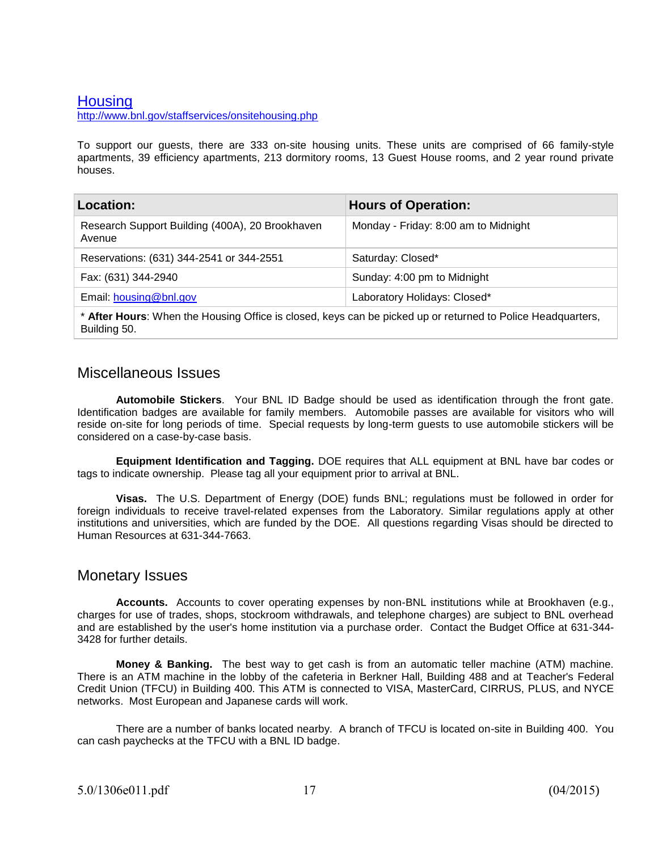### **[Housing](http://www.bnl.gov/staffservices/onsitehousing.php)**

<http://www.bnl.gov/staffservices/onsitehousing.php>

To support our guests, there are 333 on-site housing units. These units are comprised of 66 family-style apartments, 39 efficiency apartments, 213 dormitory rooms, 13 Guest House rooms, and 2 year round private houses.

| <b>Hours of Operation:</b>           |
|--------------------------------------|
| Monday - Friday: 8:00 am to Midnight |
| Saturday: Closed*                    |
| Sunday: 4:00 pm to Midnight          |
| Laboratory Holidays: Closed*         |
|                                      |

\* **After Hours**: When the Housing Office is closed, keys can be picked up or returned to Police Headquarters, Building 50.

### Miscellaneous Issues

**Automobile Stickers**. Your BNL ID Badge should be used as identification through the front gate. Identification badges are available for family members. Automobile passes are available for visitors who will reside on-site for long periods of time. Special requests by long-term guests to use automobile stickers will be considered on a case-by-case basis.

**Equipment Identification and Tagging.** DOE requires that ALL equipment at BNL have bar codes or tags to indicate ownership. Please tag all your equipment prior to arrival at BNL.

**Visas.** The U.S. Department of Energy (DOE) funds BNL; regulations must be followed in order for foreign individuals to receive travel-related expenses from the Laboratory. Similar regulations apply at other institutions and universities, which are funded by the DOE. All questions regarding Visas should be directed to Human Resources at 631-344-7663.

#### Monetary Issues

**Accounts.** Accounts to cover operating expenses by non-BNL institutions while at Brookhaven (e.g., charges for use of trades, shops, stockroom withdrawals, and telephone charges) are subject to BNL overhead and are established by the user's home institution via a purchase order. Contact the Budget Office at 631-344- 3428 for further details.

**Money & Banking.** The best way to get cash is from an automatic teller machine (ATM) machine. There is an ATM machine in the lobby of the cafeteria in Berkner Hall, Building 488 and at Teacher's Federal Credit Union (TFCU) in Building 400. This ATM is connected to VISA, MasterCard, CIRRUS, PLUS, and NYCE networks. Most European and Japanese cards will work.

There are a number of banks located nearby. A branch of TFCU is located on-site in Building 400. You can cash paychecks at the TFCU with a BNL ID badge.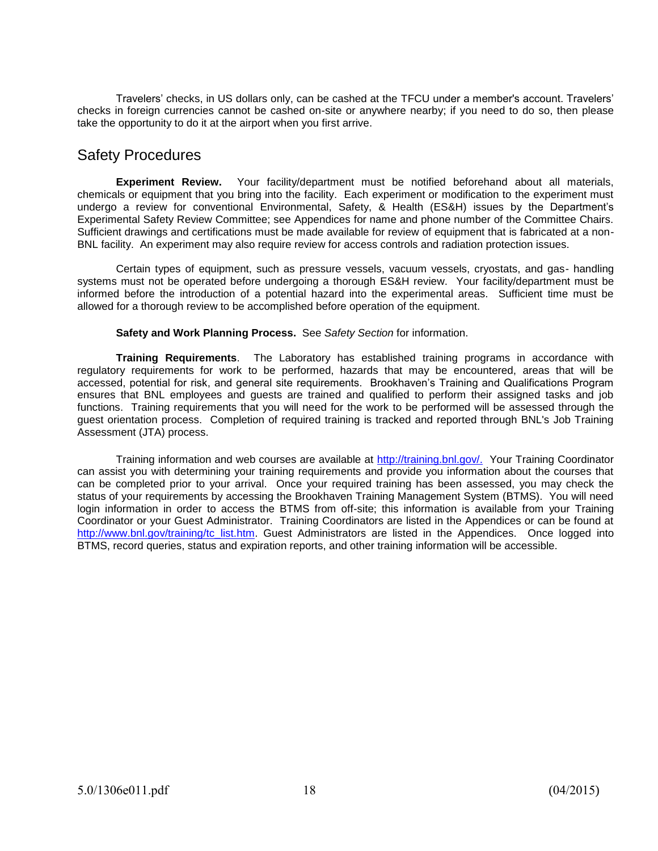Travelers' checks, in US dollars only, can be cashed at the TFCU under a member's account. Travelers' checks in foreign currencies cannot be cashed on-site or anywhere nearby; if you need to do so, then please take the opportunity to do it at the airport when you first arrive.

# Safety Procedures

**Experiment Review.** Your facility/department must be notified beforehand about all materials, chemicals or equipment that you bring into the facility. Each experiment or modification to the experiment must undergo a review for conventional Environmental, Safety, & Health (ES&H) issues by the Department's Experimental Safety Review Committee; see Appendices for name and phone number of the Committee Chairs. Sufficient drawings and certifications must be made available for review of equipment that is fabricated at a non-BNL facility. An experiment may also require review for access controls and radiation protection issues.

Certain types of equipment, such as pressure vessels, vacuum vessels, cryostats, and gas- handling systems must not be operated before undergoing a thorough ES&H review. Your facility/department must be informed before the introduction of a potential hazard into the experimental areas. Sufficient time must be allowed for a thorough review to be accomplished before operation of the equipment.

#### **Safety and Work Planning Process.** See *Safety Section* for information.

**Training Requirements**. The Laboratory has established training programs in accordance with regulatory requirements for work to be performed, hazards that may be encountered, areas that will be accessed, potential for risk, and general site requirements. Brookhaven's Training and Qualifications Program ensures that BNL employees and guests are trained and qualified to perform their assigned tasks and job functions. Training requirements that you will need for the work to be performed will be assessed through the guest orientation process. Completion of required training is tracked and reported through BNL's Job Training Assessment (JTA) process.

Training information and web courses are available at [http://training.bnl.gov/.](http://training.bnl.gov/) Your Training Coordinator can assist you with determining your training requirements and provide you information about the courses that can be completed prior to your arrival. Once your required training has been assessed, you may check the status of your requirements by accessing the Brookhaven Training Management System (BTMS). You will need login information in order to access the BTMS from off-site; this information is available from your Training Coordinator or your Guest Administrator. Training Coordinators are listed in the Appendices or can be found at [http://www.bnl.gov/training/tc\\_list.htm.](http://www.bnl.gov/training/tc_list.htm) Guest Administrators are listed in the Appendices. Once logged into BTMS, record queries, status and expiration reports, and other training information will be accessible.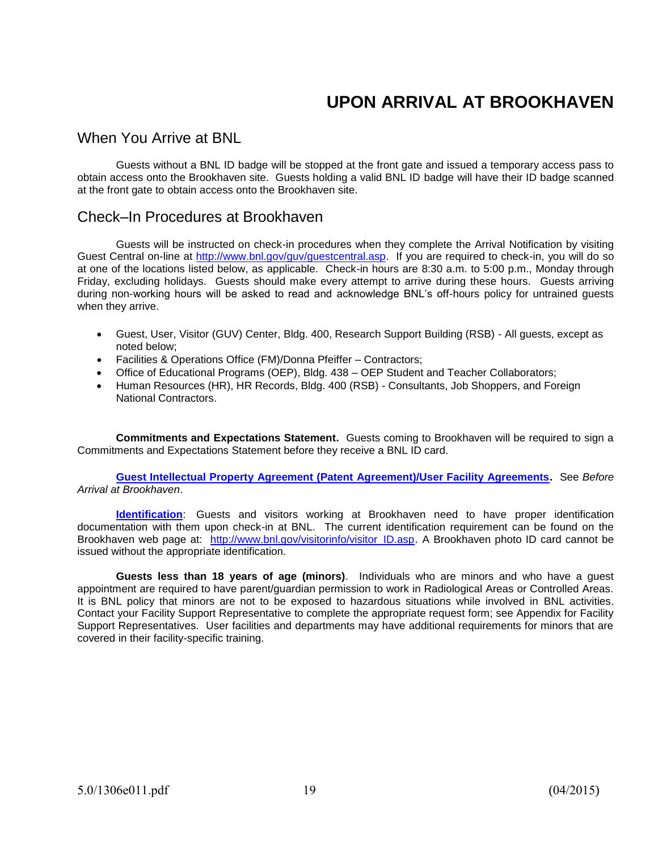# **UPON ARRIVAL AT BROOKHAVEN**

### When You Arrive at BNL

Guests without a BNL ID badge will be stopped at the front gate and issued a temporary access pass to obtain access onto the Brookhaven site. Guests holding a valid BNL ID badge will have their ID badge scanned at the front gate to obtain access onto the Brookhaven site.

### Check–In Procedures at Brookhaven

Guests will be instructed on check-in procedures when they complete the Arrival Notification by visiting Guest Central on-line at [http://www.bnl.gov/guv/guestcentral.asp.](http://www.bnl.gov/guv/guestcentral.asp) If you are required to check-in, you will do so at one of the locations listed below, as applicable. Check-in hours are 8:30 a.m. to 5:00 p.m., Monday through Friday, excluding holidays. Guests should make every attempt to arrive during these hours. Guests arriving during non-working hours will be asked to read and acknowledge BNL's off-hours policy for untrained guests when they arrive.

- Guest, User, Visitor (GUV) Center, Bldg. 400, Research Support Building (RSB) All guests, except as noted below;
- Facilities & Operations Office (FM)/Donna Pfeiffer Contractors;
- Office of Educational Programs (OEP), Bldg. 438 OEP Student and Teacher Collaborators;
- Human Resources (HR), HR Records, Bldg. 400 (RSB) Consultants, Job Shoppers, and Foreign National Contractors.

**Commitments and Expectations Statement.** Guests coming to Brookhaven will be required to sign a Commitments and Expectations Statement before they receive a BNL ID card.

**[Guest Intellectual Property Agreement \(Patent Agreement\)/User Facility Agreements.](http://www.bnl.gov/guv/Agreements/legal_agreements.asp)** See *Before Arrival at Brookhaven*.

**[Identification](http://www.bnl.gov/visitorinfo/visitor_ID.asp)**: Guests and visitors working at Brookhaven need to have proper identification documentation with them upon check-in at BNL. The current identification requirement can be found on the Brookhaven web page at: http://www.bnl.gov/visitorinfo/visitor ID.asp. A Brookhaven photo ID card cannot be issued without the appropriate identification.

**Guests less than 18 years of age (minors)**. Individuals who are minors and who have a guest appointment are required to have parent/guardian permission to work in Radiological Areas or Controlled Areas. It is BNL policy that minors are not to be exposed to hazardous situations while involved in BNL activities. Contact your Facility Support Representative to complete the appropriate request form; see Appendix for Facility Support Representatives. User facilities and departments may have additional requirements for minors that are covered in their facility-specific training.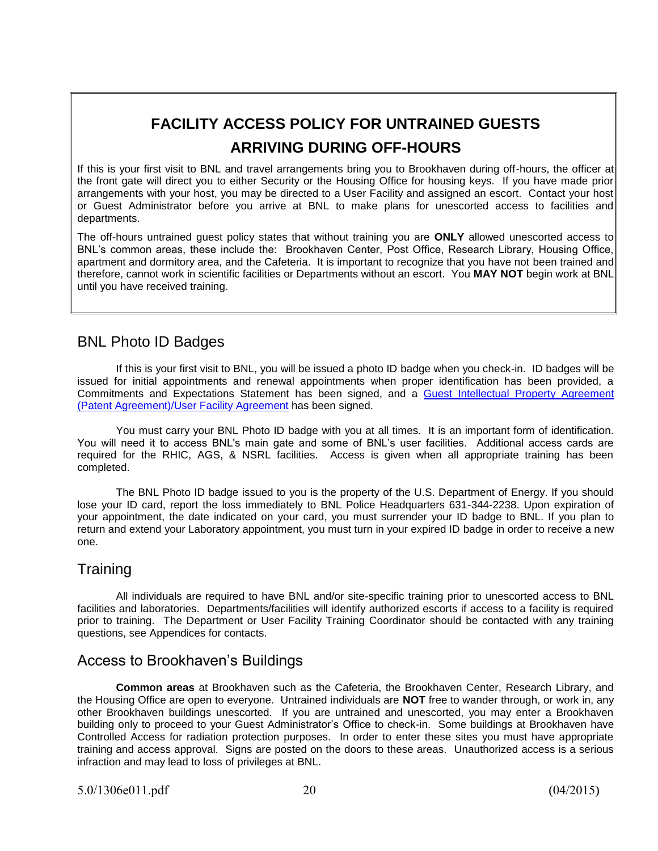# **FACILITY ACCESS POLICY FOR UNTRAINED GUESTS ARRIVING DURING OFF-HOURS**

If this is your first visit to BNL and travel arrangements bring you to Brookhaven during off-hours, the officer at the front gate will direct you to either Security or the Housing Office for housing keys. If you have made prior arrangements with your host, you may be directed to a User Facility and assigned an escort. Contact your host or Guest Administrator before you arrive at BNL to make plans for unescorted access to facilities and departments.

The off-hours untrained guest policy states that without training you are **ONLY** allowed unescorted access to BNL's common areas, these include the: Brookhaven Center, Post Office, Research Library, Housing Office, apartment and dormitory area, and the Cafeteria. It is important to recognize that you have not been trained and therefore, cannot work in scientific facilities or Departments without an escort. You **MAY NOT** begin work at BNL until you have received training.

# BNL Photo ID Badges

If this is your first visit to BNL, you will be issued a photo ID badge when you check-in. ID badges will be issued for initial appointments and renewal appointments when proper identification has been provided, a Commitments and Expectations Statement has been signed, and a [Guest Intellectual Property Agreement](http://www.bnl.gov/guv/Agreements/legal_agreements.asp)  [\(Patent Agreement\)/User Facility Agreement](http://www.bnl.gov/guv/Agreements/legal_agreements.asp) has been signed.

You must carry your BNL Photo ID badge with you at all times. It is an important form of identification. You will need it to access BNL's main gate and some of BNL's user facilities. Additional access cards are required for the RHIC, AGS, & NSRL facilities. Access is given when all appropriate training has been completed.

The BNL Photo ID badge issued to you is the property of the U.S. Department of Energy. If you should lose your ID card, report the loss immediately to BNL Police Headquarters 631-344-2238. Upon expiration of your appointment, the date indicated on your card, you must surrender your ID badge to BNL. If you plan to return and extend your Laboratory appointment, you must turn in your expired ID badge in order to receive a new one.

# Training

All individuals are required to have BNL and/or site-specific training prior to unescorted access to BNL facilities and laboratories. Departments/facilities will identify authorized escorts if access to a facility is required prior to training. The Department or User Facility Training Coordinator should be contacted with any training questions, see Appendices for contacts.

# Access to Brookhaven's Buildings

**Common areas** at Brookhaven such as the Cafeteria, the Brookhaven Center, Research Library, and the Housing Office are open to everyone. Untrained individuals are **NOT** free to wander through, or work in, any other Brookhaven buildings unescorted. If you are untrained and unescorted, you may enter a Brookhaven building only to proceed to your Guest Administrator's Office to check-in. Some buildings at Brookhaven have Controlled Access for radiation protection purposes. In order to enter these sites you must have appropriate training and access approval. Signs are posted on the doors to these areas. Unauthorized access is a serious infraction and may lead to loss of privileges at BNL.

5.0/1306e011.pdf 20 (04/2015)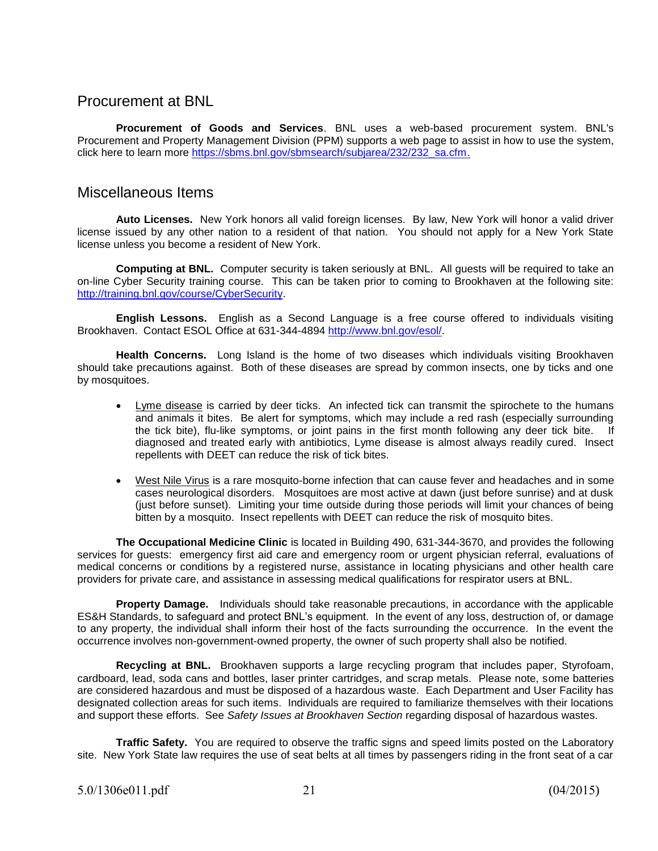### Procurement at BNL

**Procurement of Goods and Services**. BNL uses a web-based procurement system. BNL's Procurement and Property Management Division (PPM) supports a web page to assist in how to use the system, click here to learn more [https://sbms.bnl.gov/sbmsearch/subjarea/232/232\\_sa.cfm.](https://sbms.bnl.gov/sbmsearch/subjarea/232/232_sa.cfm)

### Miscellaneous Items

**Auto Licenses.** New York honors all valid foreign licenses. By law, New York will honor a valid driver license issued by any other nation to a resident of that nation. You should not apply for a New York State license unless you become a resident of New York.

**Computing at BNL.** Computer security is taken seriously at BNL.All guests will be required to take an on-line Cyber Security training course. This can be taken prior to coming to Brookhaven at the following site: [http://training.bnl.gov/course/CyberSecurity.](http://training.bnl.gov/course/CyberSecurity)

**English Lessons.** English as a Second Language is a free course offered to individuals visiting Brookhaven. Contact ESOL Office at 631-344-4894 [http://www.bnl.gov/esol/.](http://www.bnl.gov/esol/)

**Health Concerns.** Long Island is the home of two diseases which individuals visiting Brookhaven should take precautions against. Both of these diseases are spread by common insects, one by ticks and one by mosquitoes.

- Lyme disease is carried by deer ticks. An infected tick can transmit the spirochete to the humans and animals it bites. Be alert for symptoms, which may include a red rash (especially surrounding the tick bite), flu-like symptoms, or joint pains in the first month following any deer tick bite. If diagnosed and treated early with antibiotics, Lyme disease is almost always readily cured. Insect repellents with DEET can reduce the risk of tick bites.
- West Nile Virus is a rare mosquito-borne infection that can cause fever and headaches and in some cases neurological disorders. Mosquitoes are most active at dawn (just before sunrise) and at dusk (just before sunset). Limiting your time outside during those periods will limit your chances of being bitten by a mosquito. Insect repellents with DEET can reduce the risk of mosquito bites.

**The Occupational Medicine Clinic** is located in Building 490, 631-344-3670, and provides the following services for guests: emergency first aid care and emergency room or urgent physician referral, evaluations of medical concerns or conditions by a registered nurse, assistance in locating physicians and other health care providers for private care, and assistance in assessing medical qualifications for respirator users at BNL.

**Property Damage.** Individuals should take reasonable precautions, in accordance with the applicable ES&H Standards, to safeguard and protect BNL's equipment. In the event of any loss, destruction of, or damage to any property, the individual shall inform their host of the facts surrounding the occurrence. In the event the occurrence involves non-government-owned property, the owner of such property shall also be notified.

**Recycling at BNL.** Brookhaven supports a large recycling program that includes paper, Styrofoam, cardboard, lead, soda cans and bottles, laser printer cartridges, and scrap metals. Please note, some batteries are considered hazardous and must be disposed of a hazardous waste. Each Department and User Facility has designated collection areas for such items. Individuals are required to familiarize themselves with their locations and support these efforts. See *Safety Issues at Brookhaven Section* regarding disposal of hazardous wastes.

**Traffic Safety.** You are required to observe the traffic signs and speed limits posted on the Laboratory site. New York State law requires the use of seat belts at all times by passengers riding in the front seat of a car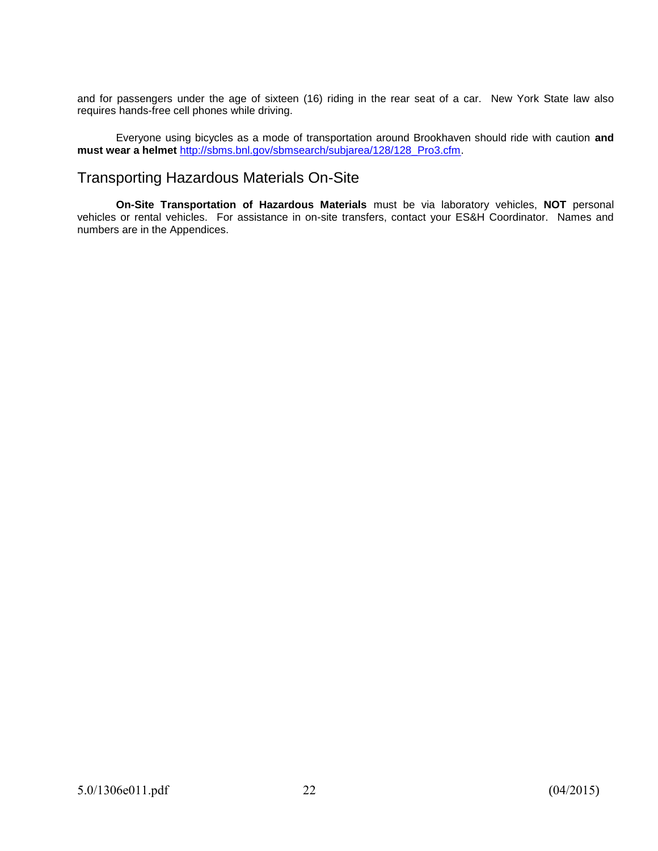and for passengers under the age of sixteen (16) riding in the rear seat of a car. New York State law also requires hands-free cell phones while driving.

Everyone using bicycles as a mode of transportation around Brookhaven should ride with caution **and must wear a helmet** [http://sbms.bnl.gov/sbmsearch/subjarea/128/128\\_Pro3.cfm.](http://sbms.bnl.gov/sbmsearch/subjarea/128/128_Pro3.cfm)

### Transporting Hazardous Materials On-Site

**On-Site Transportation of Hazardous Materials** must be via laboratory vehicles, **NOT** personal vehicles or rental vehicles. For assistance in on-site transfers, contact your ES&H Coordinator. Names and numbers are in the Appendices.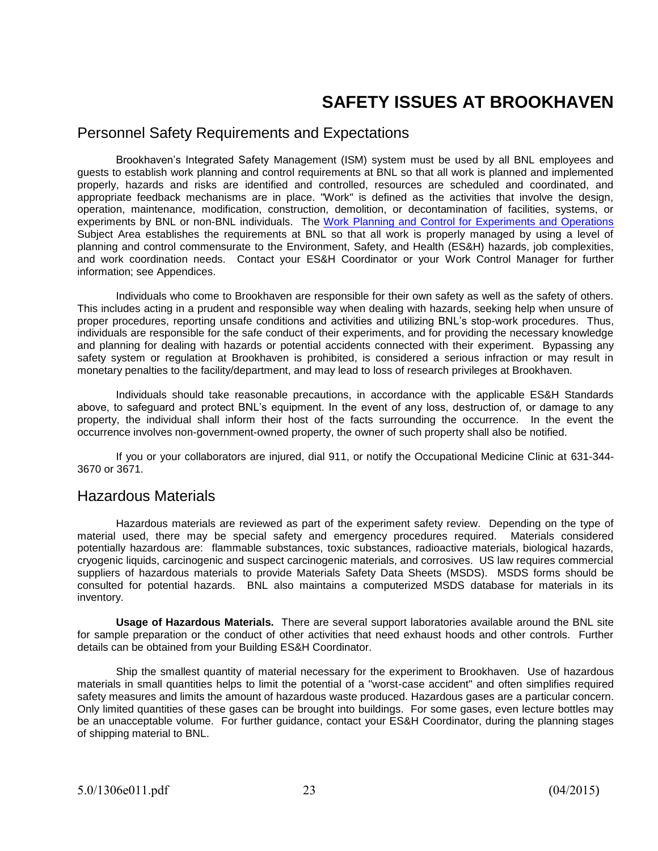# **SAFETY ISSUES AT BROOKHAVEN**

### Personnel Safety Requirements and Expectations

Brookhaven's Integrated Safety Management (ISM) system must be used by all BNL employees and guests to establish work planning and control requirements at BNL so that all work is planned and implemented properly, hazards and risks are identified and controlled, resources are scheduled and coordinated, and appropriate feedback mechanisms are in place. "Work" is defined as the activities that involve the design, operation, maintenance, modification, construction, demolition, or decontamination of facilities, systems, or experiments by BNL or non-BNL individuals. The [Work Planning and Control for Experiments and Operations](https://sbms.bnl.gov/sbmsearch/subjarea/109/109_SA.cfm) Subject Area establishes the requirements at BNL so that all work is properly managed by using a level of planning and control commensurate to the Environment, Safety, and Health (ES&H) hazards, job complexities, and work coordination needs. Contact your ES&H Coordinator or your Work Control Manager for further information; see Appendices.

Individuals who come to Brookhaven are responsible for their own safety as well as the safety of others. This includes acting in a prudent and responsible way when dealing with hazards, seeking help when unsure of proper procedures, reporting unsafe conditions and activities and utilizing BNL's stop-work procedures. Thus, individuals are responsible for the safe conduct of their experiments, and for providing the necessary knowledge and planning for dealing with hazards or potential accidents connected with their experiment. Bypassing any safety system or regulation at Brookhaven is prohibited, is considered a serious infraction or may result in monetary penalties to the facility/department, and may lead to loss of research privileges at Brookhaven.

Individuals should take reasonable precautions, in accordance with the applicable ES&H Standards above, to safeguard and protect BNL's equipment. In the event of any loss, destruction of, or damage to any property, the individual shall inform their host of the facts surrounding the occurrence. In the event the occurrence involves non-government-owned property, the owner of such property shall also be notified.

If you or your collaborators are injured, dial 911, or notify the Occupational Medicine Clinic at 631-344- 3670 or 3671.

#### Hazardous Materials

Hazardous materials are reviewed as part of the experiment safety review. Depending on the type of material used, there may be special safety and emergency procedures required. Materials considered potentially hazardous are: flammable substances, toxic substances, radioactive materials, biological hazards, cryogenic liquids, carcinogenic and suspect carcinogenic materials, and corrosives. US law requires commercial suppliers of hazardous materials to provide Materials Safety Data Sheets (MSDS). MSDS forms should be consulted for potential hazards. BNL also maintains a computerized MSDS database for materials in its inventory.

**Usage of Hazardous Materials.** There are several support laboratories available around the BNL site for sample preparation or the conduct of other activities that need exhaust hoods and other controls. Further details can be obtained from your Building ES&H Coordinator.

Ship the smallest quantity of material necessary for the experiment to Brookhaven. Use of hazardous materials in small quantities helps to limit the potential of a "worst-case accident" and often simplifies required safety measures and limits the amount of hazardous waste produced. Hazardous gases are a particular concern. Only limited quantities of these gases can be brought into buildings. For some gases, even lecture bottles may be an unacceptable volume. For further guidance, contact your ES&H Coordinator, during the planning stages of shipping material to BNL.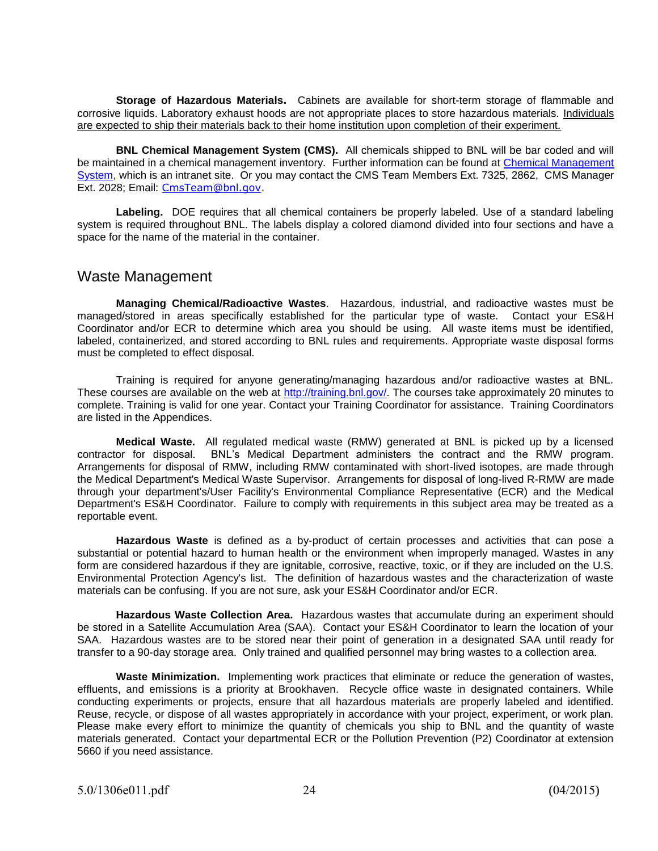**Storage of Hazardous Materials.** Cabinets are available for short-term storage of flammable and corrosive liquids. Laboratory exhaust hoods are not appropriate places to store hazardous materials. Individuals are expected to ship their materials back to their home institution upon completion of their experiment.

**BNL Chemical Management System (CMS).** All chemicals shipped to BNL will be bar coded and will be maintained in a chemical management inventory.Further information can be found at [Chemical Management](http://intranet.bnl.gov/esh/cms/)  [System,](http://intranet.bnl.gov/esh/cms/) which is an intranet site. Or you may contact the CMS Team Members Ext. 7325, 2862, CMS Manager Ext. 2028; Email: [CmsTeam@bnl.gov.](mailto:cmsteam@bnl.gov)

**Labeling.** DOE requires that all chemical containers be properly labeled. Use of a standard labeling system is required throughout BNL. The labels display a colored diamond divided into four sections and have a space for the name of the material in the container.

#### Waste Management

**Managing Chemical/Radioactive Wastes**. Hazardous, industrial, and radioactive wastes must be managed/stored in areas specifically established for the particular type of waste. Contact your ES&H Coordinator and/or ECR to determine which area you should be using. All waste items must be identified, labeled, containerized, and stored according to BNL rules and requirements. Appropriate waste disposal forms must be completed to effect disposal.

Training is required for anyone generating/managing hazardous and/or radioactive wastes at BNL. These courses are available on the web at [http://training.bnl.gov/.](http://training.bnl.gov/) The courses take approximately 20 minutes to complete. Training is valid for one year. Contact your Training Coordinator for assistance. Training Coordinators are listed in the Appendices.

**Medical Waste.** All regulated medical waste (RMW) generated at BNL is picked up by a licensed contractor for disposal. BNL's Medical Department administers the contract and the RMW program. Arrangements for disposal of RMW, including RMW contaminated with short-lived isotopes, are made through the Medical Department's Medical Waste Supervisor. Arrangements for disposal of long-lived R-RMW are made through your department's/User Facility's Environmental Compliance Representative (ECR) and the Medical Department's ES&H Coordinator. Failure to comply with requirements in this subject area may be treated as a reportable event.

**Hazardous Waste** is defined as a by-product of certain processes and activities that can pose a substantial or potential hazard to human health or the environment when improperly managed. Wastes in any form are considered hazardous if they are ignitable, corrosive, reactive, toxic, or if they are included on the U.S. Environmental Protection Agency's list. The definition of hazardous wastes and the characterization of waste materials can be confusing. If you are not sure, ask your ES&H Coordinator and/or ECR.

**Hazardous Waste Collection Area.** Hazardous wastes that accumulate during an experiment should be stored in a Satellite Accumulation Area (SAA). Contact your ES&H Coordinator to learn the location of your SAA. Hazardous wastes are to be stored near their point of generation in a designated SAA until ready for transfer to a 90-day storage area. Only trained and qualified personnel may bring wastes to a collection area.

**Waste Minimization.** Implementing work practices that eliminate or reduce the generation of wastes, effluents, and emissions is a priority at Brookhaven. Recycle office waste in designated containers. While conducting experiments or projects, ensure that all hazardous materials are properly labeled and identified. Reuse, recycle, or dispose of all wastes appropriately in accordance with your project, experiment, or work plan. Please make every effort to minimize the quantity of chemicals you ship to BNL and the quantity of waste materials generated. Contact your departmental ECR or the Pollution Prevention (P2) Coordinator at extension 5660 if you need assistance.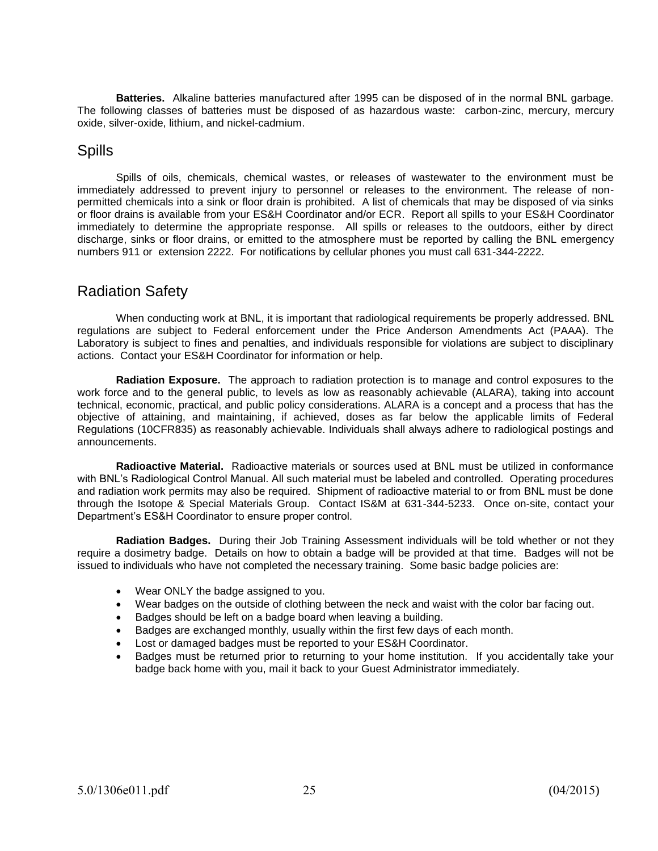**Batteries.** Alkaline batteries manufactured after 1995 can be disposed of in the normal BNL garbage. The following classes of batteries must be disposed of as hazardous waste: carbon-zinc, mercury, mercury oxide, silver-oxide, lithium, and nickel-cadmium.

### Spills

Spills of oils, chemicals, chemical wastes, or releases of wastewater to the environment must be immediately addressed to prevent injury to personnel or releases to the environment. The release of nonpermitted chemicals into a sink or floor drain is prohibited. A list of chemicals that may be disposed of via sinks or floor drains is available from your ES&H Coordinator and/or ECR. Report all spills to your ES&H Coordinator immediately to determine the appropriate response. All spills or releases to the outdoors, either by direct discharge, sinks or floor drains, or emitted to the atmosphere must be reported by calling the BNL emergency numbers 911 or extension 2222. For notifications by cellular phones you must call 631-344-2222.

# Radiation Safety

When conducting work at BNL, it is important that radiological requirements be properly addressed. BNL regulations are subject to Federal enforcement under the Price Anderson Amendments Act (PAAA). The Laboratory is subject to fines and penalties, and individuals responsible for violations are subject to disciplinary actions. Contact your ES&H Coordinator for information or help.

**Radiation Exposure.** The approach to radiation protection is to manage and control exposures to the work force and to the general public, to levels as low as reasonably achievable (ALARA), taking into account technical, economic, practical, and public policy considerations. ALARA is a concept and a process that has the objective of attaining, and maintaining, if achieved, doses as far below the applicable limits of Federal Regulations (10CFR835) as reasonably achievable. Individuals shall always adhere to radiological postings and announcements.

**Radioactive Material.** Radioactive materials or sources used at BNL must be utilized in conformance with BNL's Radiological Control Manual. All such material must be labeled and controlled. Operating procedures and radiation work permits may also be required. Shipment of radioactive material to or from BNL must be done through the Isotope & Special Materials Group. Contact IS&M at 631-344-5233. Once on-site, contact your Department's ES&H Coordinator to ensure proper control.

**Radiation Badges.** During their Job Training Assessment individuals will be told whether or not they require a dosimetry badge. Details on how to obtain a badge will be provided at that time. Badges will not be issued to individuals who have not completed the necessary training. Some basic badge policies are:

- Wear ONLY the badge assigned to you.
- Wear badges on the outside of clothing between the neck and waist with the color bar facing out.
- Badges should be left on a badge board when leaving a building.
- Badges are exchanged monthly, usually within the first few days of each month.
- Lost or damaged badges must be reported to your ES&H Coordinator.
- Badges must be returned prior to returning to your home institution. If you accidentally take your badge back home with you, mail it back to your Guest Administrator immediately.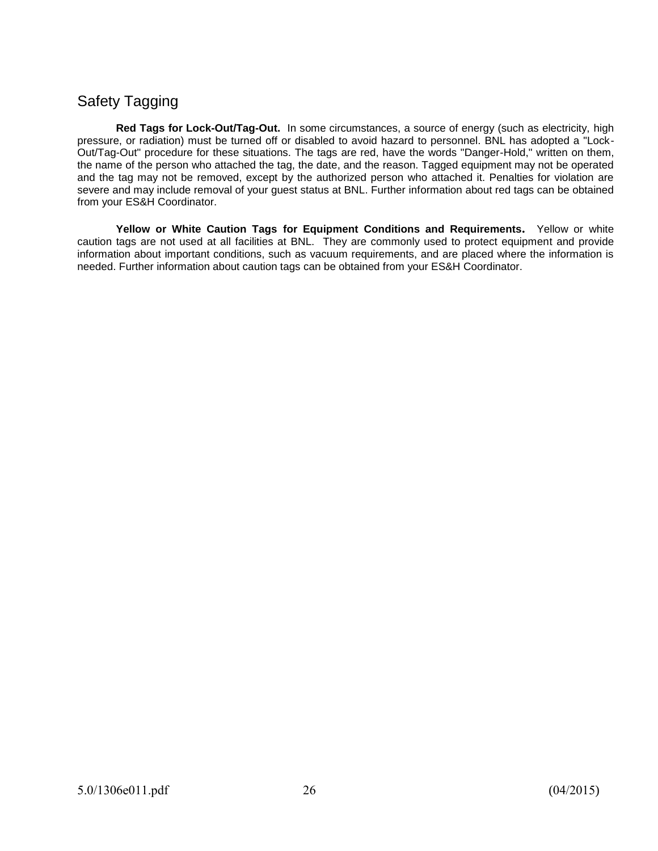# Safety Tagging

**Red Tags for Lock-Out/Tag-Out.** In some circumstances, a source of energy (such as electricity, high pressure, or radiation) must be turned off or disabled to avoid hazard to personnel. BNL has adopted a "Lock-Out/Tag-Out" procedure for these situations. The tags are red, have the words "Danger-Hold," written on them, the name of the person who attached the tag, the date, and the reason. Tagged equipment may not be operated and the tag may not be removed, except by the authorized person who attached it. Penalties for violation are severe and may include removal of your guest status at BNL. Further information about red tags can be obtained from your ES&H Coordinator.

**Yellow or White Caution Tags for Equipment Conditions and Requirements.** Yellow or white caution tags are not used at all facilities at BNL. They are commonly used to protect equipment and provide information about important conditions, such as vacuum requirements, and are placed where the information is needed. Further information about caution tags can be obtained from your ES&H Coordinator.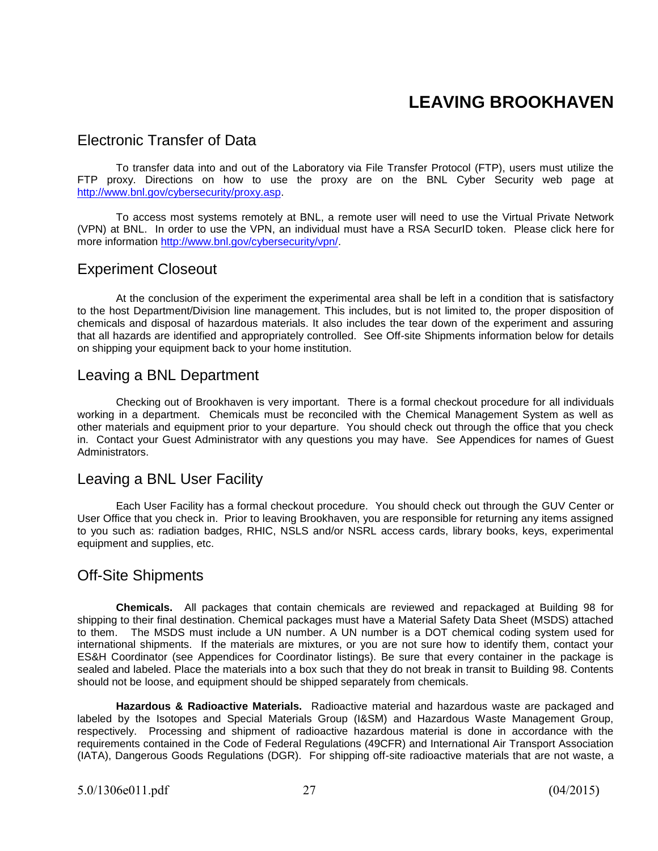# **LEAVING BROOKHAVEN**

### Electronic Transfer of Data

To transfer data into and out of the Laboratory via File Transfer Protocol (FTP), users must utilize the FTP proxy. Directions on how to use the proxy are on the BNL Cyber Security web page at [http://www.bnl.gov/cybersecurity/proxy.asp.](http://www.bnl.gov/cybersecurity/proxy.asp)

To access most systems remotely at BNL, a remote user will need to use the Virtual Private Network (VPN) at BNL. In order to use the VPN, an individual must have a RSA SecurID token. Please click here for more information [http://www.bnl.gov/cybersecurity/vpn/.](http://www.bnl.gov/cybersecurity/vpn/)

### Experiment Closeout

At the conclusion of the experiment the experimental area shall be left in a condition that is satisfactory to the host Department/Division line management. This includes, but is not limited to, the proper disposition of chemicals and disposal of hazardous materials. It also includes the tear down of the experiment and assuring that all hazards are identified and appropriately controlled. See Off-site Shipments information below for details on shipping your equipment back to your home institution.

### Leaving a BNL Department

Checking out of Brookhaven is very important.There is a formal checkout procedure for all individuals working in a department. Chemicals must be reconciled with the Chemical Management System as well as other materials and equipment prior to your departure. You should check out through the office that you check in. Contact your Guest Administrator with any questions you may have. See Appendices for names of Guest **Administrators** 

#### Leaving a BNL User Facility

Each User Facility has a formal checkout procedure. You should check out through the GUV Center or User Office that you check in. Prior to leaving Brookhaven, you are responsible for returning any items assigned to you such as: radiation badges, RHIC, NSLS and/or NSRL access cards, library books, keys, experimental equipment and supplies, etc.

### Off-Site Shipments

**Chemicals.** All packages that contain chemicals are reviewed and repackaged at Building 98 for shipping to their final destination. Chemical packages must have a Material Safety Data Sheet (MSDS) attached to them. The MSDS must include a UN number. A UN number is a DOT chemical coding system used for international shipments. If the materials are mixtures, or you are not sure how to identify them, contact your ES&H Coordinator (see Appendices for Coordinator listings). Be sure that every container in the package is sealed and labeled. Place the materials into a box such that they do not break in transit to Building 98. Contents should not be loose, and equipment should be shipped separately from chemicals.

**Hazardous & Radioactive Materials.** Radioactive material and hazardous waste are packaged and labeled by the Isotopes and Special Materials Group (I&SM) and Hazardous Waste Management Group, respectively. Processing and shipment of radioactive hazardous material is done in accordance with the requirements contained in the Code of Federal Regulations (49CFR) and International Air Transport Association (IATA), Dangerous Goods Regulations (DGR). For shipping off-site radioactive materials that are not waste, a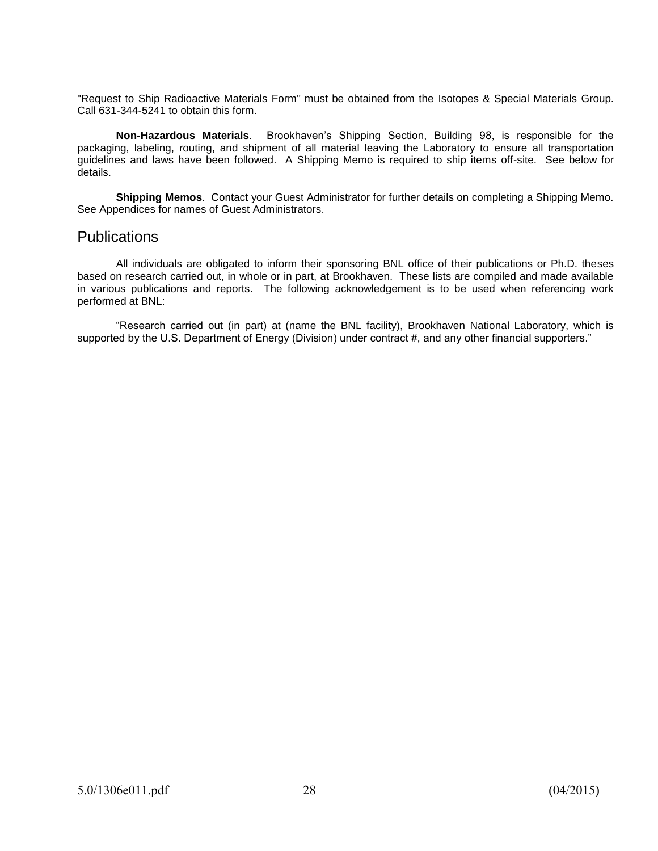"Request to Ship Radioactive Materials Form" must be obtained from the Isotopes & Special Materials Group. Call 631-344-5241 to obtain this form.

**Non-Hazardous Materials**. Brookhaven's Shipping Section, Building 98, is responsible for the packaging, labeling, routing, and shipment of all material leaving the Laboratory to ensure all transportation guidelines and laws have been followed. A Shipping Memo is required to ship items off-site. See below for details.

**Shipping Memos**. Contact your Guest Administrator for further details on completing a Shipping Memo. See Appendices for names of Guest Administrators.

#### **Publications**

All individuals are obligated to inform their sponsoring BNL office of their publications or Ph.D. theses based on research carried out, in whole or in part, at Brookhaven. These lists are compiled and made available in various publications and reports. The following acknowledgement is to be used when referencing work performed at BNL:

"Research carried out (in part) at (name the BNL facility), Brookhaven National Laboratory, which is supported by the U.S. Department of Energy (Division) under contract #, and any other financial supporters."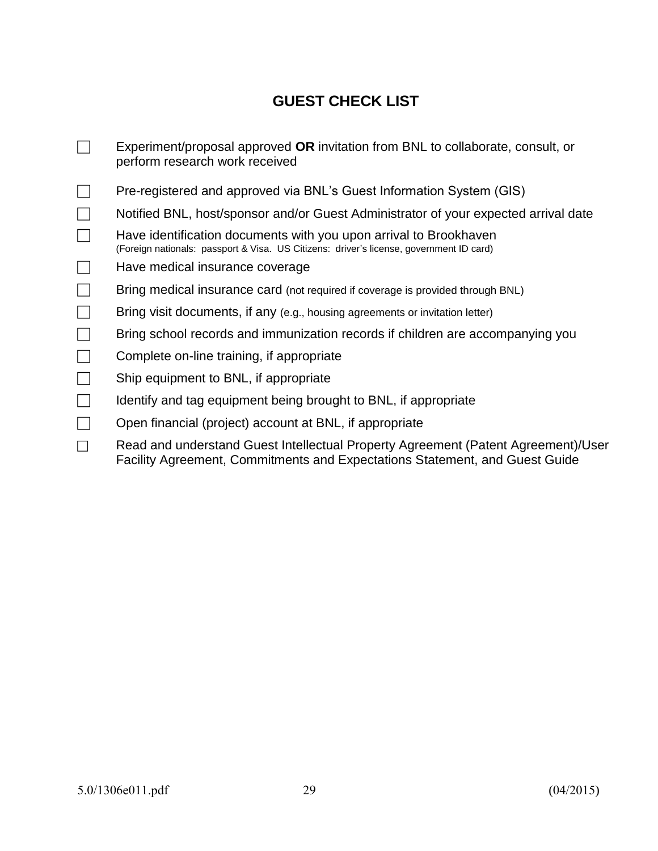# **GUEST CHECK LIST**

Experiment/proposal approved **OR** invitation from BNL to collaborate, consult, or perform research work received □ Pre-registered and approved via BNL's Guest Information System (GIS)  $\Box$  Notified BNL, host/sponsor and/or Guest Administrator of your expected arrival date  $\Box$  Have identification documents with you upon arrival to Brookhaven (Foreign nationals: passport & Visa. US Citizens: driver's license, government ID card)  $\Box$  Have medical insurance coverage  $\Box$  Bring medical insurance card (not required if coverage is provided through BNL)  $\Box$  Bring visit documents, if any (e.g., housing agreements or invitation letter)  $\Box$  Bring school records and immunization records if children are accompanying you  $\Box$  Complete on-line training, if appropriate  $\Box$  Ship equipment to BNL, if appropriate  $\Box$  Identify and tag equipment being brought to BNL, if appropriate  $\Box$  Open financial (project) account at BNL, if appropriate Read and understand Guest Intellectual Property Agreement (Patent Agreement)/User Facility Agreement, Commitments and Expectations Statement, and Guest Guide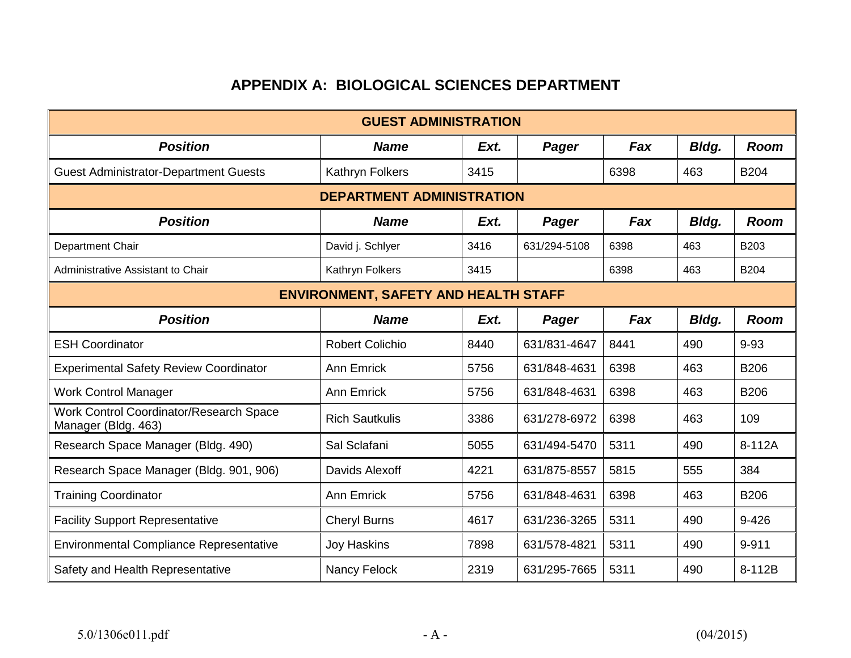# **APPENDIX A: BIOLOGICAL SCIENCES DEPARTMENT**

|                                                                | <b>GUEST ADMINISTRATION</b>                 |      |              |      |       |             |
|----------------------------------------------------------------|---------------------------------------------|------|--------------|------|-------|-------------|
| <b>Position</b>                                                | <b>Name</b>                                 | Ext. | Pager        | Fax  | Bldg. | <b>Room</b> |
| <b>Guest Administrator-Department Guests</b>                   | Kathryn Folkers                             | 3415 |              | 6398 | 463   | <b>B204</b> |
| <b>DEPARTMENT ADMINISTRATION</b>                               |                                             |      |              |      |       |             |
| <b>Position</b>                                                | <b>Name</b>                                 | Ext. | Pager        | Fax  | Bldg. | <b>Room</b> |
| Department Chair                                               | David j. Schlyer                            | 3416 | 631/294-5108 | 6398 | 463   | B203        |
| Administrative Assistant to Chair                              | Kathryn Folkers                             | 3415 |              | 6398 | 463   | <b>B204</b> |
|                                                                | <b>ENVIRONMENT, SAFETY AND HEALTH STAFF</b> |      |              |      |       |             |
| <b>Position</b>                                                | <b>Name</b>                                 | Ext. | <b>Pager</b> | Fax  | Bldg. | <b>Room</b> |
| <b>ESH Coordinator</b>                                         | <b>Robert Colichio</b>                      | 8440 | 631/831-4647 | 8441 | 490   | $9 - 93$    |
| <b>Experimental Safety Review Coordinator</b>                  | <b>Ann Emrick</b>                           | 5756 | 631/848-4631 | 6398 | 463   | <b>B206</b> |
| <b>Work Control Manager</b>                                    | <b>Ann Emrick</b>                           | 5756 | 631/848-4631 | 6398 | 463   | <b>B206</b> |
| Work Control Coordinator/Research Space<br>Manager (Bldg. 463) | <b>Rich Sautkulis</b>                       | 3386 | 631/278-6972 | 6398 | 463   | 109         |
| Research Space Manager (Bldg. 490)                             | Sal Sclafani                                | 5055 | 631/494-5470 | 5311 | 490   | 8-112A      |
| Research Space Manager (Bldg. 901, 906)                        | Davids Alexoff                              | 4221 | 631/875-8557 | 5815 | 555   | 384         |
| <b>Training Coordinator</b>                                    | <b>Ann Emrick</b>                           | 5756 | 631/848-4631 | 6398 | 463   | <b>B206</b> |
| <b>Facility Support Representative</b>                         | <b>Cheryl Burns</b>                         | 4617 | 631/236-3265 | 5311 | 490   | $9 - 426$   |
| <b>Environmental Compliance Representative</b>                 | <b>Joy Haskins</b>                          | 7898 | 631/578-4821 | 5311 | 490   | 9-911       |
| Safety and Health Representative                               | Nancy Felock                                | 2319 | 631/295-7665 | 5311 | 490   | 8-112B      |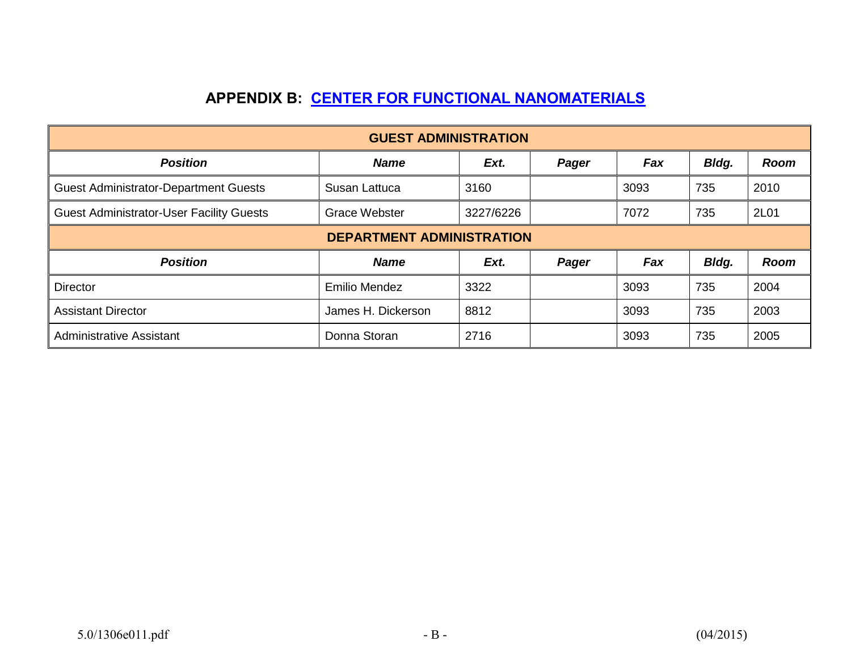# **APPENDIX B: [CENTER FOR FUNCTIONAL NANOMATERIALS](http://www.bnl.gov/cfn/)**

|                                                 | <b>GUEST ADMINISTRATION</b>      |           |       |      |       |             |
|-------------------------------------------------|----------------------------------|-----------|-------|------|-------|-------------|
| <b>Position</b>                                 | <b>Name</b>                      | Ext.      | Pager | Fax  | Bldg. | <b>Room</b> |
| <b>Guest Administrator-Department Guests</b>    | Susan Lattuca                    | 3160      |       | 3093 | 735   | 2010        |
| <b>Guest Administrator-User Facility Guests</b> | <b>Grace Webster</b>             | 3227/6226 |       | 7072 | 735   | 2L01        |
|                                                 | <b>DEPARTMENT ADMINISTRATION</b> |           |       |      |       |             |
| <b>Position</b>                                 | <b>Name</b>                      | Ext.      | Pager | Fax  | Bldg. | <b>Room</b> |
| Director                                        | <b>Emilio Mendez</b>             | 3322      |       | 3093 | 735   | 2004        |
| <b>Assistant Director</b>                       | James H. Dickerson               | 8812      |       | 3093 | 735   | 2003        |
| <b>Administrative Assistant</b>                 | Donna Storan                     | 2716      |       | 3093 | 735   | 2005        |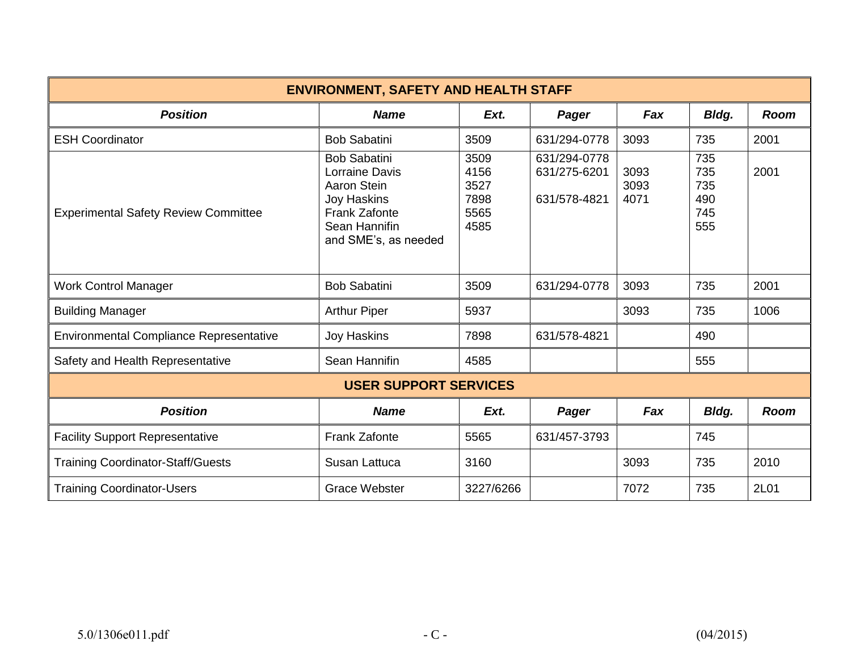| <b>ENVIRONMENT, SAFETY AND HEALTH STAFF</b>    |                                                                                                                                      |                                              |                                              |                      |                                        |             |
|------------------------------------------------|--------------------------------------------------------------------------------------------------------------------------------------|----------------------------------------------|----------------------------------------------|----------------------|----------------------------------------|-------------|
| <b>Position</b>                                | <b>Name</b>                                                                                                                          | Ext.                                         | Pager                                        | Fax                  | Bldg.                                  | <b>Room</b> |
| <b>ESH Coordinator</b>                         | <b>Bob Sabatini</b>                                                                                                                  | 3509                                         | 631/294-0778                                 | 3093                 | 735                                    | 2001        |
| <b>Experimental Safety Review Committee</b>    | <b>Bob Sabatini</b><br>Lorraine Davis<br>Aaron Stein<br>Joy Haskins<br><b>Frank Zafonte</b><br>Sean Hannifin<br>and SME's, as needed | 3509<br>4156<br>3527<br>7898<br>5565<br>4585 | 631/294-0778<br>631/275-6201<br>631/578-4821 | 3093<br>3093<br>4071 | 735<br>735<br>735<br>490<br>745<br>555 | 2001        |
| <b>Work Control Manager</b>                    | <b>Bob Sabatini</b>                                                                                                                  | 3509                                         | 631/294-0778                                 | 3093                 | 735                                    | 2001        |
| <b>Building Manager</b>                        | <b>Arthur Piper</b>                                                                                                                  | 5937                                         |                                              | 3093                 | 735                                    | 1006        |
| <b>Environmental Compliance Representative</b> | Joy Haskins                                                                                                                          | 7898                                         | 631/578-4821                                 |                      | 490                                    |             |
| Safety and Health Representative               | Sean Hannifin                                                                                                                        | 4585                                         |                                              |                      | 555                                    |             |
|                                                | <b>USER SUPPORT SERVICES</b>                                                                                                         |                                              |                                              |                      |                                        |             |
| <b>Position</b>                                | <b>Name</b>                                                                                                                          | Ext.                                         | Pager                                        | Fax                  | Bldg.                                  | <b>Room</b> |
| <b>Facility Support Representative</b>         | <b>Frank Zafonte</b>                                                                                                                 | 5565                                         | 631/457-3793                                 |                      | 745                                    |             |
| <b>Training Coordinator-Staff/Guests</b>       | Susan Lattuca                                                                                                                        | 3160                                         |                                              | 3093                 | 735                                    | 2010        |
| <b>Training Coordinator-Users</b>              | <b>Grace Webster</b>                                                                                                                 | 3227/6266                                    |                                              | 7072                 | 735                                    | 2L01        |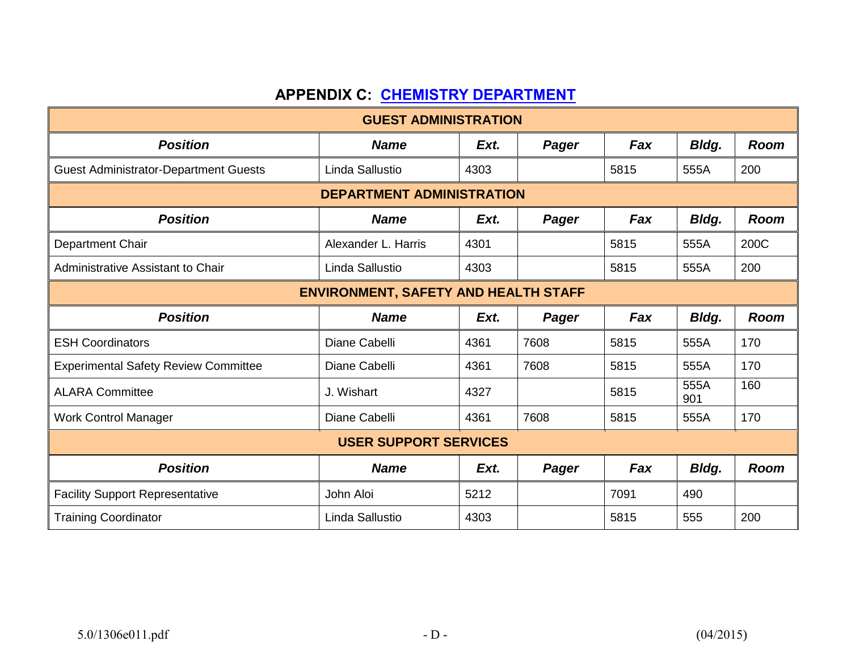# **APPENDIX C: [CHEMISTRY DEPARTMENT](http://www.bnl.gov/chemistry/)**

|                                              | <b>GUEST ADMINISTRATION</b>                 |      |       |      |              |             |
|----------------------------------------------|---------------------------------------------|------|-------|------|--------------|-------------|
| <b>Position</b>                              | <b>Name</b>                                 | Ext. | Pager | Fax  | Bldg.        | <b>Room</b> |
| <b>Guest Administrator-Department Guests</b> | Linda Sallustio                             | 4303 |       | 5815 | 555A         | 200         |
| <b>DEPARTMENT ADMINISTRATION</b>             |                                             |      |       |      |              |             |
| <b>Position</b>                              | <b>Name</b>                                 | Ext. | Pager | Fax  | Bldg.        | <b>Room</b> |
| Department Chair                             | Alexander L. Harris                         | 4301 |       | 5815 | 555A         | 200C        |
| <b>Administrative Assistant to Chair</b>     | Linda Sallustio                             | 4303 |       | 5815 | 555A         | 200         |
|                                              | <b>ENVIRONMENT, SAFETY AND HEALTH STAFF</b> |      |       |      |              |             |
| <b>Position</b>                              | <b>Name</b>                                 | Ext. | Pager | Fax  | <b>Bldg.</b> | <b>Room</b> |
| <b>ESH Coordinators</b>                      | Diane Cabelli                               | 4361 | 7608  | 5815 | 555A         | 170         |
| <b>Experimental Safety Review Committee</b>  | Diane Cabelli                               | 4361 | 7608  | 5815 | 555A         | 170         |
| <b>ALARA Committee</b>                       | J. Wishart                                  | 4327 |       | 5815 | 555A<br>901  | 160         |
| <b>Work Control Manager</b>                  | Diane Cabelli                               | 4361 | 7608  | 5815 | 555A         | 170         |
|                                              | <b>USER SUPPORT SERVICES</b>                |      |       |      |              |             |
| <b>Position</b>                              | <b>Name</b>                                 | Ext. | Pager | Fax  | Bldg.        | <b>Room</b> |
| <b>Facility Support Representative</b>       | John Aloi                                   | 5212 |       | 7091 | 490          |             |
| <b>Training Coordinator</b>                  | Linda Sallustio                             | 4303 |       | 5815 | 555          | 200         |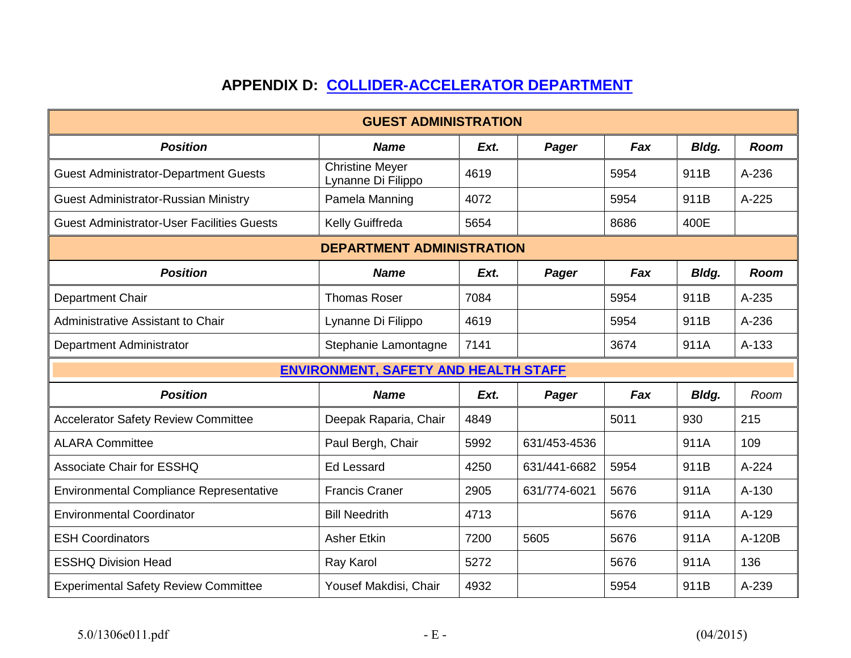# **APPENDIX D: [COLLIDER-ACCELERATOR DEPARTMENT](http://www.bnl.gov/cad/)**

|                                                   | <b>GUEST ADMINISTRATION</b>                  |      |              |      |       |             |
|---------------------------------------------------|----------------------------------------------|------|--------------|------|-------|-------------|
| <b>Position</b>                                   | <b>Name</b>                                  | Ext. | Pager        | Fax  | Bldg. | <b>Room</b> |
| <b>Guest Administrator-Department Guests</b>      | <b>Christine Meyer</b><br>Lynanne Di Filippo | 4619 |              | 5954 | 911B  | A-236       |
| <b>Guest Administrator-Russian Ministry</b>       | Pamela Manning                               | 4072 |              | 5954 | 911B  | A-225       |
| <b>Guest Administrator-User Facilities Guests</b> | Kelly Guiffreda                              | 5654 |              | 8686 | 400E  |             |
|                                                   | <b>DEPARTMENT ADMINISTRATION</b>             |      |              |      |       |             |
| <b>Position</b>                                   | <b>Name</b>                                  | Ext. | Pager        | Fax  | Bldg. | <b>Room</b> |
| Department Chair                                  | <b>Thomas Roser</b>                          | 7084 |              | 5954 | 911B  | A-235       |
| <b>Administrative Assistant to Chair</b>          | Lynanne Di Filippo                           | 4619 |              | 5954 | 911B  | A-236       |
| Department Administrator                          | Stephanie Lamontagne                         | 7141 |              | 3674 | 911A  | $A-133$     |
|                                                   | <b>ENVIRONMENT, SAFETY AND HEALTH STAFF</b>  |      |              |      |       |             |
| <b>Position</b>                                   | <b>Name</b>                                  | Ext. | Pager        | Fax  | Bldg. | Room        |
| <b>Accelerator Safety Review Committee</b>        | Deepak Raparia, Chair                        | 4849 |              | 5011 | 930   | 215         |
| <b>ALARA Committee</b>                            | Paul Bergh, Chair                            | 5992 | 631/453-4536 |      | 911A  | 109         |
| <b>Associate Chair for ESSHQ</b>                  | <b>Ed Lessard</b>                            | 4250 | 631/441-6682 | 5954 | 911B  | A-224       |
| <b>Environmental Compliance Representative</b>    | <b>Francis Craner</b>                        | 2905 | 631/774-6021 | 5676 | 911A  | A-130       |
| <b>Environmental Coordinator</b>                  | <b>Bill Needrith</b>                         | 4713 |              | 5676 | 911A  | $A-129$     |
| <b>ESH Coordinators</b>                           | <b>Asher Etkin</b>                           | 7200 | 5605         | 5676 | 911A  | A-120B      |
| <b>ESSHQ Division Head</b>                        | Ray Karol                                    | 5272 |              | 5676 | 911A  | 136         |
| <b>Experimental Safety Review Committee</b>       | Yousef Makdisi, Chair                        | 4932 |              | 5954 | 911B  | A-239       |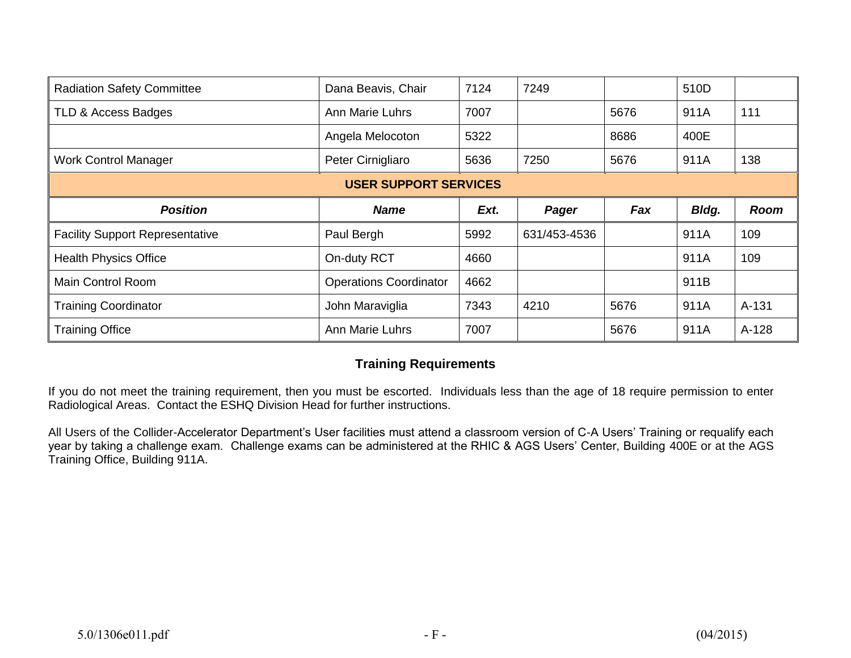| <b>Radiation Safety Committee</b>      | Dana Beavis, Chair            | 7124 | 7249         |      | 510D  |             |
|----------------------------------------|-------------------------------|------|--------------|------|-------|-------------|
| TLD & Access Badges                    | <b>Ann Marie Luhrs</b>        | 7007 |              | 5676 | 911A  | 111         |
|                                        | Angela Melocoton              | 5322 |              | 8686 | 400E  |             |
| <b>Work Control Manager</b>            | Peter Cirnigliaro             | 5636 | 7250         | 5676 | 911A  | 138         |
|                                        | <b>USER SUPPORT SERVICES</b>  |      |              |      |       |             |
| <b>Position</b>                        | <b>Name</b>                   | Ext. |              | Fax  | Bldg. | <b>Room</b> |
|                                        |                               |      | Pager        |      |       |             |
| <b>Facility Support Representative</b> | Paul Bergh                    | 5992 | 631/453-4536 |      | 911A  | 109         |
| <b>Health Physics Office</b>           | On-duty RCT                   | 4660 |              |      | 911A  | 109         |
| <b>Main Control Room</b>               | <b>Operations Coordinator</b> | 4662 |              |      | 911B  |             |
| <b>Training Coordinator</b>            | John Maraviglia               | 7343 | 4210         | 5676 | 911A  | A-131       |

### **Training Requirements**

If you do not meet the training requirement, then you must be escorted. Individuals less than the age of 18 require permission to enter Radiological Areas. Contact the ESHQ Division Head for further instructions.

All Users of the Collider-Accelerator Department's User facilities must attend a classroom version of C-A Users' Training or requalify each year by taking a challenge exam. Challenge exams can be administered at the RHIC & AGS Users' Center, Building 400E or at the AGS Training Office, Building 911A.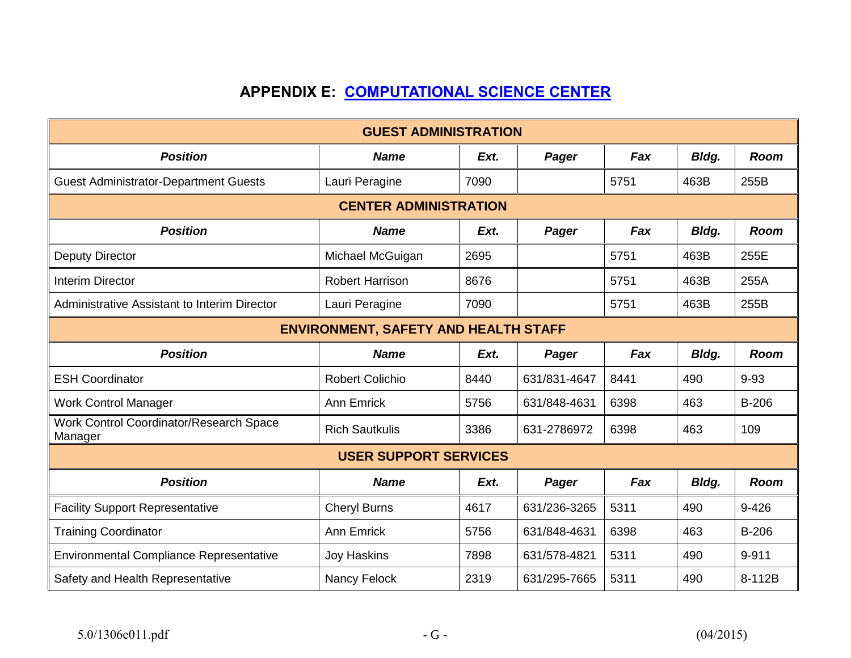# **APPENDIX E: [COMPUTATIONAL SCIENCE CENTER](http://www.bnl.gov/csc/)**

| <b>GUEST ADMINISTRATION</b>                        |                              |      |              |      |       |             |  |  |  |
|----------------------------------------------------|------------------------------|------|--------------|------|-------|-------------|--|--|--|
| <b>Position</b>                                    | <b>Name</b>                  | Ext. | Pager        | Fax  | Bldg. | <b>Room</b> |  |  |  |
| <b>Guest Administrator-Department Guests</b>       | Lauri Peragine               | 7090 |              | 5751 | 463B  | 255B        |  |  |  |
|                                                    | <b>CENTER ADMINISTRATION</b> |      |              |      |       |             |  |  |  |
| <b>Position</b>                                    | <b>Name</b>                  | Ext. | Pager        | Fax  | Bldg. | <b>Room</b> |  |  |  |
| <b>Deputy Director</b>                             | Michael McGuigan             | 2695 |              | 5751 | 463B  | 255E        |  |  |  |
| <b>Interim Director</b>                            | <b>Robert Harrison</b>       | 8676 |              | 5751 | 463B  | 255A        |  |  |  |
| Administrative Assistant to Interim Director       | Lauri Peragine               | 7090 |              | 5751 | 463B  | 255B        |  |  |  |
| <b>ENVIRONMENT, SAFETY AND HEALTH STAFF</b>        |                              |      |              |      |       |             |  |  |  |
| <b>Position</b>                                    | <b>Name</b>                  | Ext. | Pager        | Fax  | Bldg. | <b>Room</b> |  |  |  |
| <b>ESH Coordinator</b>                             | <b>Robert Colichio</b>       | 8440 | 631/831-4647 | 8441 | 490   | $9 - 93$    |  |  |  |
| <b>Work Control Manager</b>                        | Ann Emrick                   | 5756 | 631/848-4631 | 6398 | 463   | B-206       |  |  |  |
| Work Control Coordinator/Research Space<br>Manager | <b>Rich Sautkulis</b>        | 3386 | 631-2786972  | 6398 | 463   | 109         |  |  |  |
|                                                    | <b>USER SUPPORT SERVICES</b> |      |              |      |       |             |  |  |  |
| <b>Position</b>                                    | <b>Name</b>                  | Ext. | Pager        | Fax  | Bldg. | <b>Room</b> |  |  |  |
| <b>Facility Support Representative</b>             | <b>Cheryl Burns</b>          | 4617 | 631/236-3265 | 5311 | 490   | $9 - 426$   |  |  |  |
| <b>Training Coordinator</b>                        | Ann Emrick                   | 5756 | 631/848-4631 | 6398 | 463   | B-206       |  |  |  |
| <b>Environmental Compliance Representative</b>     | <b>Joy Haskins</b>           | 7898 | 631/578-4821 | 5311 | 490   | 9-911       |  |  |  |
| Safety and Health Representative                   | Nancy Felock                 | 2319 | 631/295-7665 | 5311 | 490   | 8-112B      |  |  |  |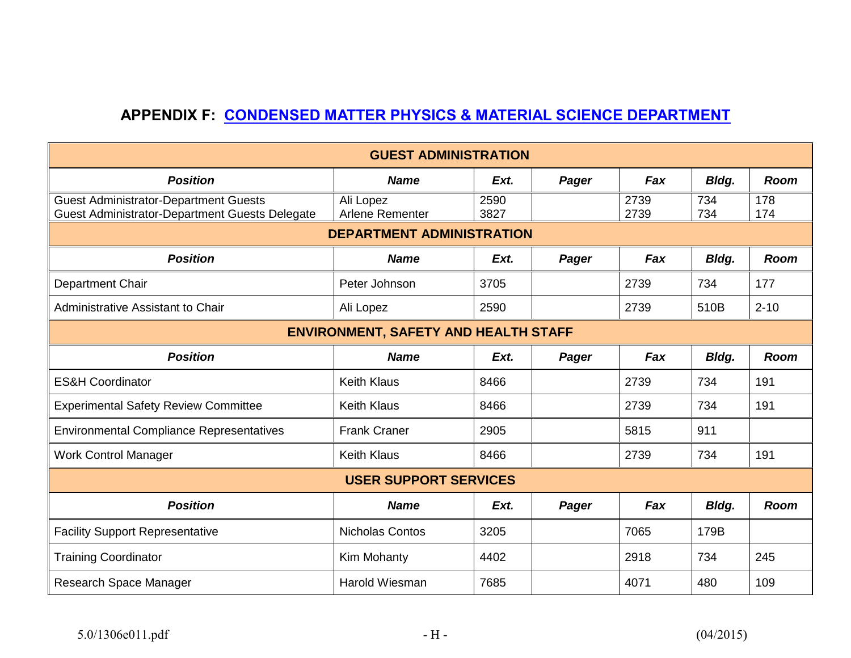# **APPENDIX F: [CONDENSED MATTER PHYSICS & MATERIAL SCIENCE DEPARTMENT](http://www.bnl.gov/cmpmsd/)**

|                                                                                                       | <b>GUEST ADMINISTRATION</b>      |              |       |              |            |             |  |  |
|-------------------------------------------------------------------------------------------------------|----------------------------------|--------------|-------|--------------|------------|-------------|--|--|
| <b>Position</b>                                                                                       | <b>Name</b>                      | Ext.         | Pager | Fax          | Bldg.      | <b>Room</b> |  |  |
| <b>Guest Administrator-Department Guests</b><br><b>Guest Administrator-Department Guests Delegate</b> | Ali Lopez<br>Arlene Rementer     | 2590<br>3827 |       | 2739<br>2739 | 734<br>734 | 178<br>174  |  |  |
|                                                                                                       | <b>DEPARTMENT ADMINISTRATION</b> |              |       |              |            |             |  |  |
| <b>Position</b>                                                                                       | <b>Name</b>                      | Ext.         | Pager | Fax          | Bldg.      | <b>Room</b> |  |  |
| Department Chair                                                                                      | Peter Johnson                    | 3705         |       | 2739         | 734        | 177         |  |  |
| <b>Administrative Assistant to Chair</b>                                                              | Ali Lopez                        | 2590         |       | 2739         | 510B       | $2 - 10$    |  |  |
| <b>ENVIRONMENT, SAFETY AND HEALTH STAFF</b>                                                           |                                  |              |       |              |            |             |  |  |
| <b>Position</b>                                                                                       | <b>Name</b>                      | Ext.         | Pager | Fax          | Bldg.      | <b>Room</b> |  |  |
| <b>ES&amp;H Coordinator</b>                                                                           | <b>Keith Klaus</b>               | 8466         |       | 2739         | 734        | 191         |  |  |
| <b>Experimental Safety Review Committee</b>                                                           | <b>Keith Klaus</b>               | 8466         |       | 2739         | 734        | 191         |  |  |
| <b>Environmental Compliance Representatives</b>                                                       | <b>Frank Craner</b>              | 2905         |       | 5815         | 911        |             |  |  |
| <b>Work Control Manager</b>                                                                           | <b>Keith Klaus</b>               | 8466         |       | 2739         | 734        | 191         |  |  |
|                                                                                                       | <b>USER SUPPORT SERVICES</b>     |              |       |              |            |             |  |  |
| <b>Position</b>                                                                                       | <b>Name</b>                      | Ext.         | Pager | Fax          | Bldg.      | Room        |  |  |
| <b>Facility Support Representative</b>                                                                | <b>Nicholas Contos</b>           | 3205         |       | 7065         | 179B       |             |  |  |
| <b>Training Coordinator</b>                                                                           | Kim Mohanty                      | 4402         |       | 2918         | 734        | 245         |  |  |
| Research Space Manager                                                                                | Harold Wiesman                   | 7685         |       | 4071         | 480        | 109         |  |  |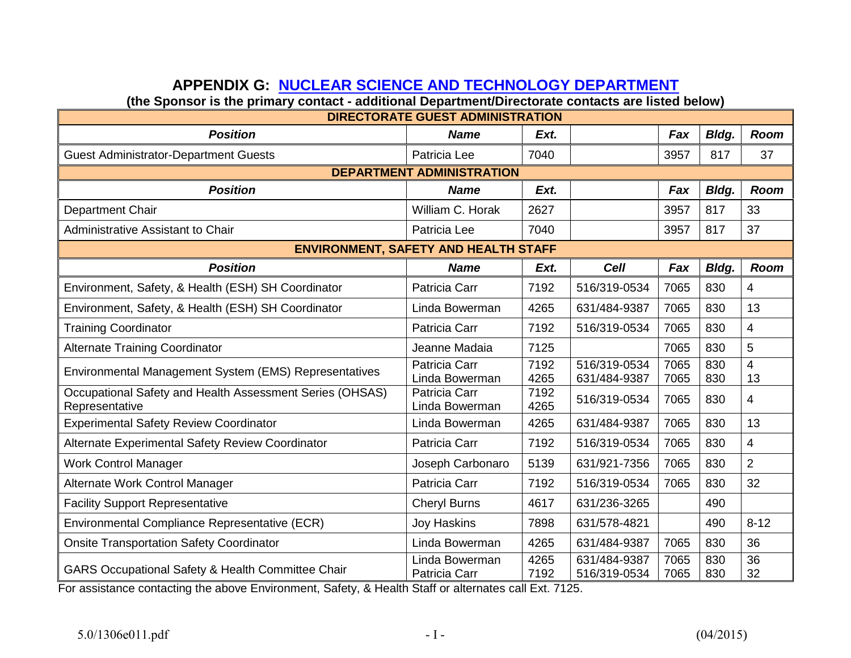# **APPENDIX G: [NUCLEAR SCIENCE AND TECHNOLOGY DEPARTMENT](http://www.bnl.gov/NST/)**

**(the Sponsor is the primary contact - additional Department/Directorate contacts are listed below)** 

| <b>DIRECTORATE GUEST ADMINISTRATION</b>                                    |                                             |              |                              |              |            |                |  |  |  |
|----------------------------------------------------------------------------|---------------------------------------------|--------------|------------------------------|--------------|------------|----------------|--|--|--|
| <b>Position</b>                                                            | <b>Name</b>                                 | Ext.         |                              | Fax          | Bldg.      | <b>Room</b>    |  |  |  |
| <b>Guest Administrator-Department Guests</b>                               | Patricia Lee                                | 7040         |                              | 3957         | 817        | 37             |  |  |  |
| <b>DEPARTMENT ADMINISTRATION</b>                                           |                                             |              |                              |              |            |                |  |  |  |
| <b>Position</b>                                                            | <b>Name</b>                                 | Ext.         |                              | Fax          | Bldg.      | <b>Room</b>    |  |  |  |
| <b>Department Chair</b>                                                    | William C. Horak                            | 2627         |                              | 3957         | 817        | 33             |  |  |  |
| Administrative Assistant to Chair                                          | Patricia Lee                                | 7040         |                              | 3957         | 817        | 37             |  |  |  |
|                                                                            | <b>ENVIRONMENT, SAFETY AND HEALTH STAFF</b> |              |                              |              |            |                |  |  |  |
| <b>Position</b>                                                            | <b>Name</b>                                 | Ext.         | <b>Cell</b>                  | Fax          | Bldg.      | Room           |  |  |  |
| Environment, Safety, & Health (ESH) SH Coordinator                         | Patricia Carr                               | 7192         | 516/319-0534                 | 7065         | 830        | 4              |  |  |  |
| Environment, Safety, & Health (ESH) SH Coordinator                         | Linda Bowerman                              | 4265         | 631/484-9387                 | 7065         | 830        | 13             |  |  |  |
| <b>Training Coordinator</b>                                                | Patricia Carr                               | 7192         | 516/319-0534                 | 7065         | 830        | 4              |  |  |  |
| <b>Alternate Training Coordinator</b>                                      | Jeanne Madaia                               | 7125         |                              | 7065         | 830        | 5              |  |  |  |
| Environmental Management System (EMS) Representatives                      | Patricia Carr<br>Linda Bowerman             | 7192<br>4265 | 516/319-0534<br>631/484-9387 | 7065<br>7065 | 830<br>830 | 4<br>13        |  |  |  |
| Occupational Safety and Health Assessment Series (OHSAS)<br>Representative | Patricia Carr<br>Linda Bowerman             | 7192<br>4265 | 516/319-0534                 | 7065         | 830        | 4              |  |  |  |
| <b>Experimental Safety Review Coordinator</b>                              | Linda Bowerman                              | 4265         | 631/484-9387                 | 7065         | 830        | 13             |  |  |  |
| Alternate Experimental Safety Review Coordinator                           | Patricia Carr                               | 7192         | 516/319-0534                 | 7065         | 830        | 4              |  |  |  |
| <b>Work Control Manager</b>                                                | Joseph Carbonaro                            | 5139         | 631/921-7356                 | 7065         | 830        | $\overline{2}$ |  |  |  |
| Alternate Work Control Manager                                             | Patricia Carr                               | 7192         | 516/319-0534                 | 7065         | 830        | 32             |  |  |  |
| <b>Facility Support Representative</b>                                     | <b>Cheryl Burns</b>                         | 4617         | 631/236-3265                 |              | 490        |                |  |  |  |
| Environmental Compliance Representative (ECR)                              | <b>Joy Haskins</b>                          | 7898         | 631/578-4821                 |              | 490        | $8 - 12$       |  |  |  |
| <b>Onsite Transportation Safety Coordinator</b>                            | Linda Bowerman                              | 4265         | 631/484-9387                 | 7065         | 830        | 36             |  |  |  |
| <b>GARS Occupational Safety &amp; Health Committee Chair</b>               | Linda Bowerman<br>Patricia Carr             | 4265<br>7192 | 631/484-9387<br>516/319-0534 | 7065<br>7065 | 830<br>830 | 36<br>32       |  |  |  |

For assistance contacting the above Environment, Safety, & Health Staff or alternates call Ext. 7125.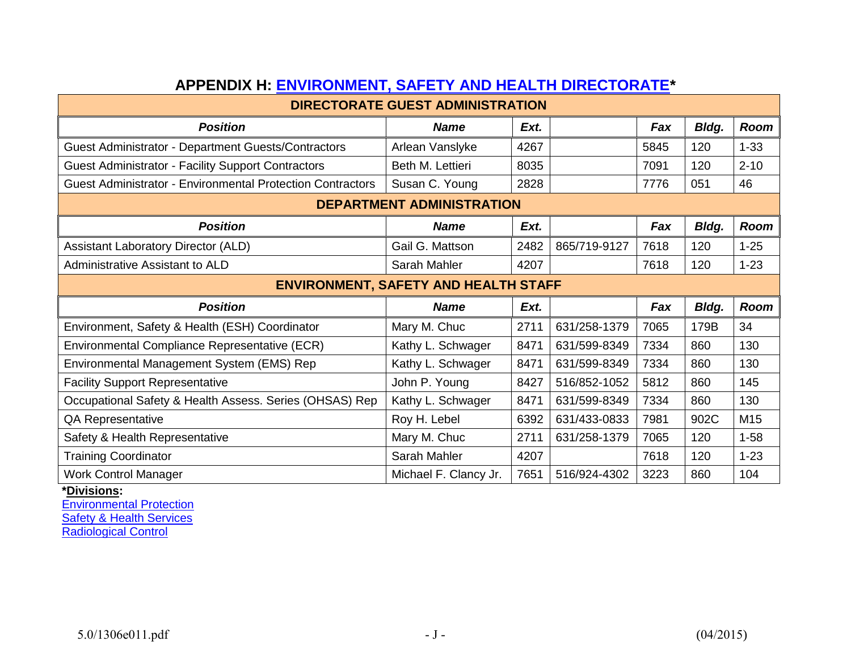| AFFENDIA II. EN VINONMENT, OALETT AND HEALTH DINESTONATE<br><b>DIRECTORATE GUEST ADMINISTRATION</b> |                                             |      |              |      |       |             |  |  |  |
|-----------------------------------------------------------------------------------------------------|---------------------------------------------|------|--------------|------|-------|-------------|--|--|--|
| <b>Position</b>                                                                                     | <b>Name</b>                                 | Ext. |              | Fax  | Bldg. | <b>Room</b> |  |  |  |
| Guest Administrator - Department Guests/Contractors                                                 | Arlean Vanslyke                             | 4267 |              | 5845 | 120   | $1 - 33$    |  |  |  |
| <b>Guest Administrator - Facility Support Contractors</b>                                           | Beth M. Lettieri                            | 8035 |              | 7091 | 120   | $2 - 10$    |  |  |  |
| <b>Guest Administrator - Environmental Protection Contractors</b>                                   | Susan C. Young                              | 2828 |              | 7776 | 051   | 46          |  |  |  |
|                                                                                                     | <b>DEPARTMENT ADMINISTRATION</b>            |      |              |      |       |             |  |  |  |
| <b>Position</b>                                                                                     | <b>Name</b>                                 | Ext. |              | Fax  | Bldg. | <b>Room</b> |  |  |  |
| <b>Assistant Laboratory Director (ALD)</b>                                                          | Gail G. Mattson                             | 2482 | 865/719-9127 | 7618 | 120   | $1 - 25$    |  |  |  |
| <b>Administrative Assistant to ALD</b>                                                              | Sarah Mahler                                | 4207 |              | 7618 | 120   | $1 - 23$    |  |  |  |
|                                                                                                     | <b>ENVIRONMENT, SAFETY AND HEALTH STAFF</b> |      |              |      |       |             |  |  |  |
| <b>Position</b>                                                                                     | <b>Name</b>                                 | Ext. |              | Fax  | Bldg. | Room        |  |  |  |
| Environment, Safety & Health (ESH) Coordinator                                                      | Mary M. Chuc                                | 2711 | 631/258-1379 | 7065 | 179B  | 34          |  |  |  |
| Environmental Compliance Representative (ECR)                                                       | Kathy L. Schwager                           | 8471 | 631/599-8349 | 7334 | 860   | 130         |  |  |  |
| Environmental Management System (EMS) Rep                                                           | Kathy L. Schwager                           | 8471 | 631/599-8349 | 7334 | 860   | 130         |  |  |  |
| <b>Facility Support Representative</b>                                                              | John P. Young                               | 8427 | 516/852-1052 | 5812 | 860   | 145         |  |  |  |
| Occupational Safety & Health Assess. Series (OHSAS) Rep                                             | Kathy L. Schwager                           | 8471 | 631/599-8349 | 7334 | 860   | 130         |  |  |  |
| <b>QA Representative</b>                                                                            | Roy H. Lebel                                | 6392 | 631/433-0833 | 7981 | 902C  | M15         |  |  |  |
| Safety & Health Representative                                                                      | Mary M. Chuc                                | 2711 | 631/258-1379 | 7065 | 120   | $1 - 58$    |  |  |  |
| <b>Training Coordinator</b>                                                                         | Sarah Mahler                                | 4207 |              | 7618 | 120   | $1 - 23$    |  |  |  |
| <b>Work Control Manager</b>                                                                         | Michael F. Clancy Jr.                       | 7651 | 516/924-4302 | 3223 | 860   | 104         |  |  |  |

# **APPENDIX H: [ENVIRONMENT, SAFETY AND HEALTH DIRECTORATE\\*](http://intranet.bnl.gov/ESHQ/)**

**\*Divisions:**

[Environmental Protection](http://intranet.bnl.gov/esh/env/) **[Safety & Health Services](http://www.bnl.gov/ESHQ/SHS.asp)** [Radiological Control](http://www.bnl.gov/ESHQ/RCD.asp)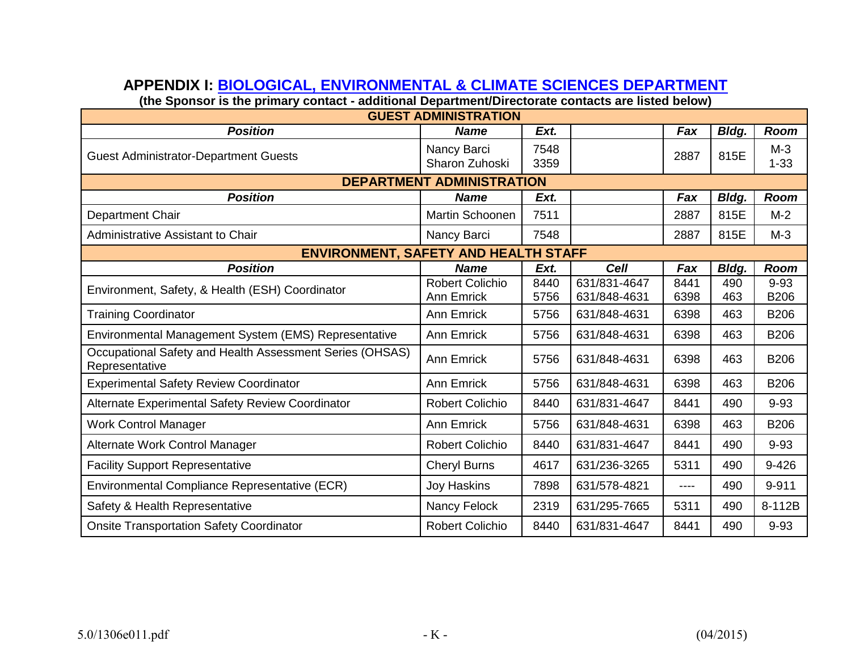# **APPENDIX I: [BIOLOGICAL, ENVIRONMENTAL & CLIMATE SCIENCES DEPARTMENT](http://www.bnl.gov/EBNN/BECS/)**

**(the Sponsor is the primary contact - additional Department/Directorate contacts are listed below)**

| <b>GUEST ADMINISTRATION</b>                                                |                                             |              |                              |              |              |                         |  |  |  |  |
|----------------------------------------------------------------------------|---------------------------------------------|--------------|------------------------------|--------------|--------------|-------------------------|--|--|--|--|
| <b>Position</b>                                                            | <b>Name</b>                                 | Ext.         |                              | Fax          | Bldg.        | Room                    |  |  |  |  |
| <b>Guest Administrator-Department Guests</b>                               | Nancy Barci<br>Sharon Zuhoski               | 7548<br>3359 |                              | 2887         | 815E         | $M-3$<br>$1 - 33$       |  |  |  |  |
|                                                                            | <b>DEPARTMENT ADMINISTRATION</b>            |              |                              |              |              |                         |  |  |  |  |
| <b>Position</b>                                                            | <b>Name</b>                                 | Ext.         |                              | Fax          | Bldg.        | Room                    |  |  |  |  |
| Department Chair                                                           | Martin Schoonen                             | 7511         |                              | 2887         | 815E         | $M-2$                   |  |  |  |  |
| Administrative Assistant to Chair                                          | Nancy Barci                                 | 7548         |                              | 2887         | 815E         | $M-3$                   |  |  |  |  |
| <b>ENVIRONMENT, SAFETY AND HEALTH STAFF</b>                                |                                             |              |                              |              |              |                         |  |  |  |  |
| <b>Position</b>                                                            | <b>Name</b>                                 | Ext.         | <b>Cell</b>                  | Fax          | <b>Bldg.</b> | Room                    |  |  |  |  |
| Environment, Safety, & Health (ESH) Coordinator                            | <b>Robert Colichio</b><br><b>Ann Emrick</b> | 8440<br>5756 | 631/831-4647<br>631/848-4631 | 8441<br>6398 | 490<br>463   | $9 - 93$<br><b>B206</b> |  |  |  |  |
| <b>Training Coordinator</b>                                                | <b>Ann Emrick</b>                           | 5756         | 631/848-4631                 | 6398         | 463          | <b>B206</b>             |  |  |  |  |
| Environmental Management System (EMS) Representative                       | <b>Ann Emrick</b>                           | 5756         | 631/848-4631                 | 6398         | 463          | <b>B206</b>             |  |  |  |  |
| Occupational Safety and Health Assessment Series (OHSAS)<br>Representative | <b>Ann Emrick</b>                           | 5756         | 631/848-4631                 | 6398         | 463          | <b>B206</b>             |  |  |  |  |
| <b>Experimental Safety Review Coordinator</b>                              | <b>Ann Emrick</b>                           | 5756         | 631/848-4631                 | 6398         | 463          | <b>B206</b>             |  |  |  |  |
| Alternate Experimental Safety Review Coordinator                           | <b>Robert Colichio</b>                      | 8440         | 631/831-4647                 | 8441         | 490          | $9 - 93$                |  |  |  |  |
| <b>Work Control Manager</b>                                                | <b>Ann Emrick</b>                           | 5756         | 631/848-4631                 | 6398         | 463          | <b>B206</b>             |  |  |  |  |
| Alternate Work Control Manager                                             | <b>Robert Colichio</b>                      | 8440         | 631/831-4647                 | 8441         | 490          | $9 - 93$                |  |  |  |  |
| <b>Facility Support Representative</b>                                     | Cheryl Burns                                | 4617         | 631/236-3265                 | 5311         | 490          | 9-426                   |  |  |  |  |
| Environmental Compliance Representative (ECR)                              | Joy Haskins                                 | 7898         | 631/578-4821                 | ----         | 490          | 9-911                   |  |  |  |  |
| Safety & Health Representative                                             | Nancy Felock                                | 2319         | 631/295-7665                 | 5311         | 490          | 8-112B                  |  |  |  |  |
| <b>Onsite Transportation Safety Coordinator</b>                            | <b>Robert Colichio</b>                      | 8440         | 631/831-4647                 | 8441         | 490          | $9 - 93$                |  |  |  |  |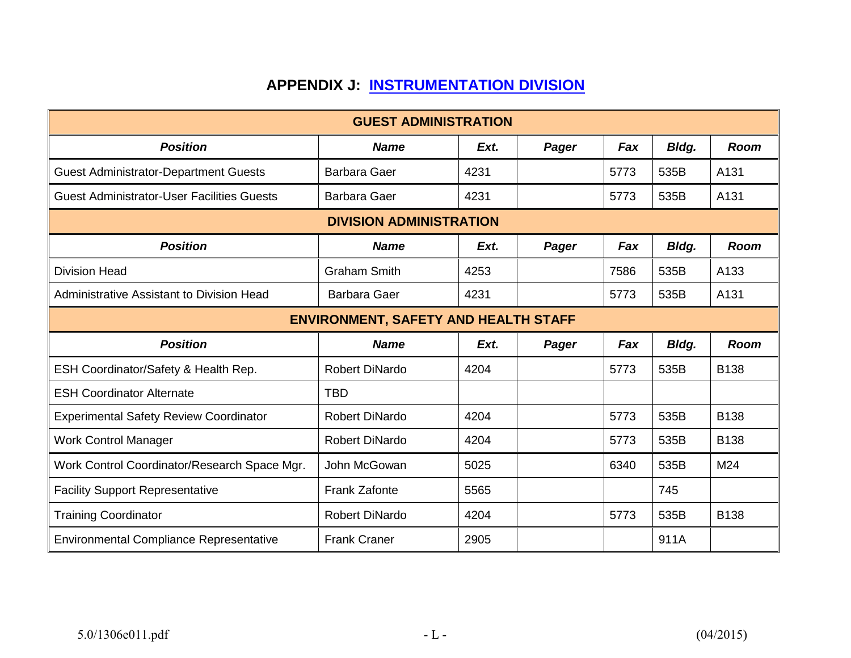# **APPENDIX J: [INSTRUMENTATION DIVISION](http://www.inst.bnl.gov/)**

|                                                   | <b>GUEST ADMINISTRATION</b>    |      |       |      |              |             |  |  |
|---------------------------------------------------|--------------------------------|------|-------|------|--------------|-------------|--|--|
| <b>Position</b>                                   | <b>Name</b>                    | Ext. | Pager | Fax  | Bldg.        | <b>Room</b> |  |  |
| <b>Guest Administrator-Department Guests</b>      | <b>Barbara Gaer</b>            | 4231 |       | 5773 | 535B         | A131        |  |  |
| <b>Guest Administrator-User Facilities Guests</b> | <b>Barbara Gaer</b>            | 4231 |       | 5773 | 535B         | A131        |  |  |
|                                                   | <b>DIVISION ADMINISTRATION</b> |      |       |      |              |             |  |  |
| <b>Position</b>                                   | <b>Name</b>                    | Ext. | Pager | Fax  | <b>Bldg.</b> | <b>Room</b> |  |  |
| <b>Division Head</b>                              | <b>Graham Smith</b>            | 4253 |       | 7586 | 535B         | A133        |  |  |
| Administrative Assistant to Division Head         | <b>Barbara Gaer</b>            | 4231 |       | 5773 | 535B         | A131        |  |  |
| <b>ENVIRONMENT, SAFETY AND HEALTH STAFF</b>       |                                |      |       |      |              |             |  |  |
| <b>Position</b>                                   | <b>Name</b>                    | Ext. | Pager | Fax  | Bldg.        | <b>Room</b> |  |  |
| ESH Coordinator/Safety & Health Rep.              | <b>Robert DiNardo</b>          | 4204 |       | 5773 | 535B         | <b>B138</b> |  |  |
| <b>ESH Coordinator Alternate</b>                  | <b>TBD</b>                     |      |       |      |              |             |  |  |
| <b>Experimental Safety Review Coordinator</b>     | <b>Robert DiNardo</b>          | 4204 |       | 5773 | 535B         | <b>B138</b> |  |  |
| <b>Work Control Manager</b>                       | <b>Robert DiNardo</b>          | 4204 |       | 5773 | 535B         | <b>B138</b> |  |  |
| Work Control Coordinator/Research Space Mgr.      | John McGowan                   | 5025 |       | 6340 | 535B         | M24         |  |  |
| <b>Facility Support Representative</b>            | <b>Frank Zafonte</b>           | 5565 |       |      | 745          |             |  |  |
| <b>Training Coordinator</b>                       | <b>Robert DiNardo</b>          | 4204 |       | 5773 | 535B         | <b>B138</b> |  |  |
| <b>Environmental Compliance Representative</b>    | <b>Frank Craner</b>            | 2905 |       |      | 911A         |             |  |  |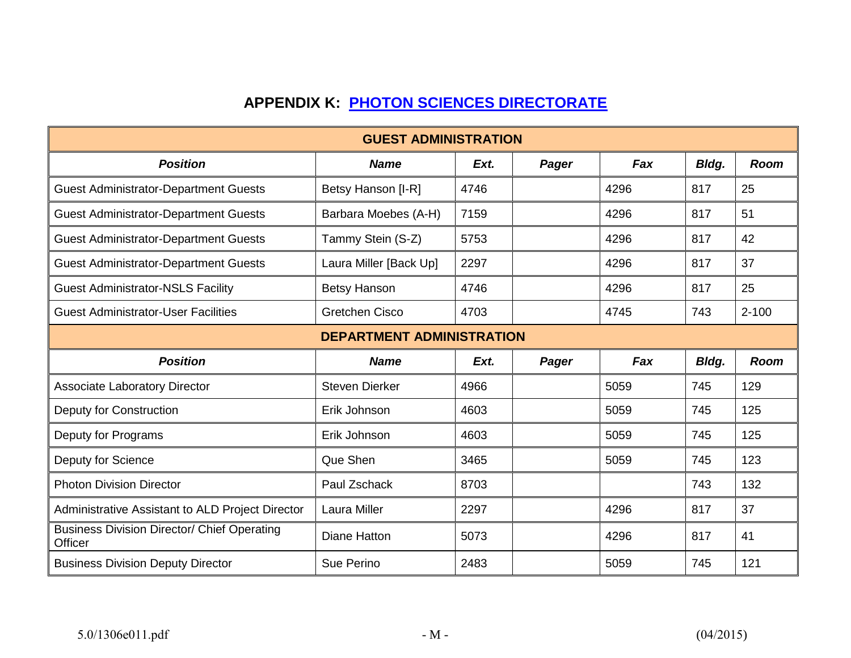# **APPENDIX K: [PHOTON SCIENCES DIRECTORATE](http://www.bnl.gov/ps/)**

| <b>GUEST ADMINISTRATION</b>                                   |                        |      |       |      |       |             |  |  |
|---------------------------------------------------------------|------------------------|------|-------|------|-------|-------------|--|--|
| <b>Position</b>                                               | <b>Name</b>            | Ext. | Pager | Fax  | Bldg. | <b>Room</b> |  |  |
| <b>Guest Administrator-Department Guests</b>                  | Betsy Hanson [I-R]     | 4746 |       | 4296 | 817   | 25          |  |  |
| <b>Guest Administrator-Department Guests</b>                  | Barbara Moebes (A-H)   | 7159 |       | 4296 | 817   | 51          |  |  |
| <b>Guest Administrator-Department Guests</b>                  | Tammy Stein (S-Z)      | 5753 |       | 4296 | 817   | 42          |  |  |
| <b>Guest Administrator-Department Guests</b>                  | Laura Miller [Back Up] | 2297 |       | 4296 | 817   | 37          |  |  |
| <b>Guest Administrator-NSLS Facility</b>                      | <b>Betsy Hanson</b>    | 4746 |       | 4296 | 817   | 25          |  |  |
| <b>Guest Administrator-User Facilities</b>                    | <b>Gretchen Cisco</b>  | 4703 |       | 4745 | 743   | $2 - 100$   |  |  |
| <b>DEPARTMENT ADMINISTRATION</b>                              |                        |      |       |      |       |             |  |  |
| <b>Position</b>                                               | <b>Name</b>            | Ext. | Pager | Fax  | Bldg. | <b>Room</b> |  |  |
| <b>Associate Laboratory Director</b>                          | <b>Steven Dierker</b>  | 4966 |       | 5059 | 745   | 129         |  |  |
| Deputy for Construction                                       | Erik Johnson           | 4603 |       | 5059 | 745   | 125         |  |  |
| Deputy for Programs                                           | Erik Johnson           | 4603 |       | 5059 | 745   | 125         |  |  |
| Deputy for Science                                            | Que Shen               | 3465 |       | 5059 | 745   | 123         |  |  |
| <b>Photon Division Director</b>                               | Paul Zschack           | 8703 |       |      | 743   | 132         |  |  |
| Administrative Assistant to ALD Project Director              | Laura Miller           | 2297 |       | 4296 | 817   | 37          |  |  |
| <b>Business Division Director/ Chief Operating</b><br>Officer | <b>Diane Hatton</b>    | 5073 |       | 4296 | 817   | 41          |  |  |
| <b>Business Division Deputy Director</b>                      | Sue Perino             | 2483 |       | 5059 | 745   | 121         |  |  |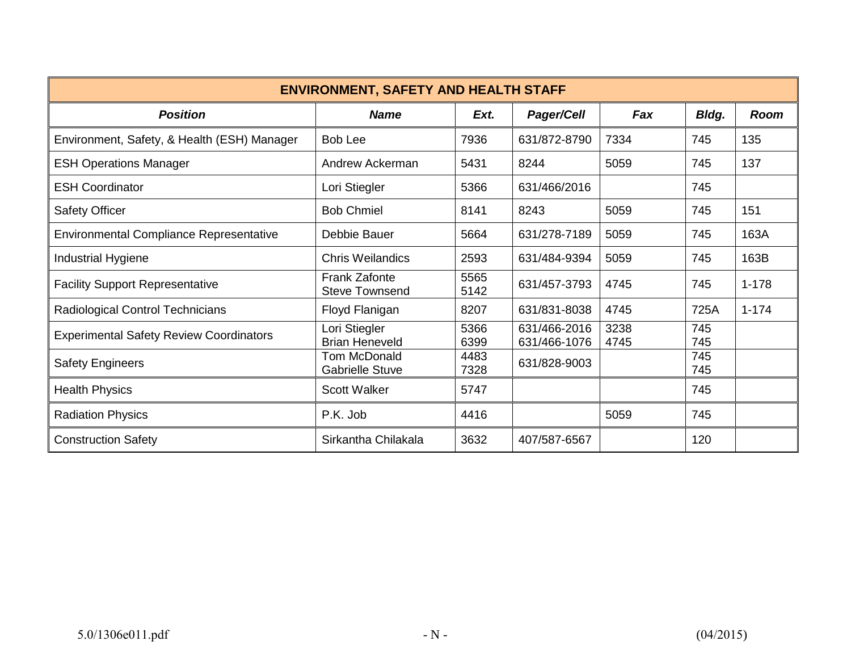| <b>ENVIRONMENT, SAFETY AND HEALTH STAFF</b>    |                                               |              |                              |              |              |             |  |  |
|------------------------------------------------|-----------------------------------------------|--------------|------------------------------|--------------|--------------|-------------|--|--|
| <b>Position</b>                                | <b>Name</b>                                   | Ext.         | <b>Pager/Cell</b>            | Fax          | <b>Bldg.</b> | <b>Room</b> |  |  |
| Environment, Safety, & Health (ESH) Manager    | <b>Bob Lee</b>                                | 7936         | 631/872-8790                 | 7334         | 745          | 135         |  |  |
| <b>ESH Operations Manager</b>                  | Andrew Ackerman                               | 5431         | 8244                         | 5059         | 745          | 137         |  |  |
| <b>ESH Coordinator</b>                         | Lori Stiegler                                 | 5366         | 631/466/2016                 |              | 745          |             |  |  |
| <b>Safety Officer</b>                          | <b>Bob Chmiel</b>                             | 8141         | 8243                         | 5059         | 745          | 151         |  |  |
| <b>Environmental Compliance Representative</b> | Debbie Bauer                                  | 5664         | 631/278-7189                 | 5059         | 745          | 163A        |  |  |
| Industrial Hygiene                             | <b>Chris Weilandics</b>                       | 2593         | 631/484-9394                 | 5059         | 745          | 163B        |  |  |
| <b>Facility Support Representative</b>         | <b>Frank Zafonte</b><br><b>Steve Townsend</b> | 5565<br>5142 | 631/457-3793                 | 4745         | 745          | $1 - 178$   |  |  |
| Radiological Control Technicians               | Floyd Flanigan                                | 8207         | 631/831-8038                 | 4745         | 725A         | $1 - 174$   |  |  |
| <b>Experimental Safety Review Coordinators</b> | Lori Stiegler<br><b>Brian Heneveld</b>        | 5366<br>6399 | 631/466-2016<br>631/466-1076 | 3238<br>4745 | 745<br>745   |             |  |  |
| <b>Safety Engineers</b>                        | Tom McDonald<br><b>Gabrielle Stuve</b>        | 4483<br>7328 | 631/828-9003                 |              | 745<br>745   |             |  |  |
| <b>Health Physics</b>                          | <b>Scott Walker</b>                           | 5747         |                              |              | 745          |             |  |  |
| <b>Radiation Physics</b>                       | P.K. Job                                      | 4416         |                              | 5059         | 745          |             |  |  |
| <b>Construction Safety</b>                     | Sirkantha Chilakala                           | 3632         | 407/587-6567                 |              | 120          |             |  |  |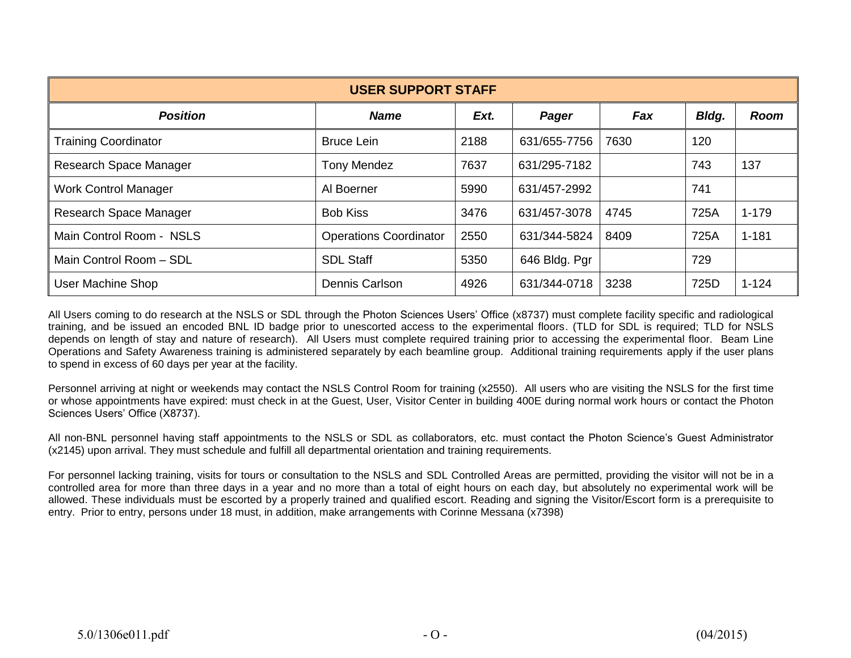| <b>USER SUPPORT STAFF</b>   |                               |      |               |      |       |           |  |  |
|-----------------------------|-------------------------------|------|---------------|------|-------|-----------|--|--|
| <b>Position</b>             | <b>Name</b>                   | Ext. | Pager         | Fax  | Bldg. | Room      |  |  |
| <b>Training Coordinator</b> | <b>Bruce Lein</b>             | 2188 | 631/655-7756  | 7630 | 120   |           |  |  |
| Research Space Manager      | <b>Tony Mendez</b>            | 7637 | 631/295-7182  |      | 743   | 137       |  |  |
| <b>Work Control Manager</b> | Al Boerner                    | 5990 | 631/457-2992  |      | 741   |           |  |  |
| Research Space Manager      | <b>Bob Kiss</b>               | 3476 | 631/457-3078  | 4745 | 725A  | $1 - 179$ |  |  |
| Main Control Room - NSLS    | <b>Operations Coordinator</b> | 2550 | 631/344-5824  | 8409 | 725A  | $1 - 181$ |  |  |
| Main Control Room - SDL     | <b>SDL Staff</b>              | 5350 | 646 Bldg. Pgr |      | 729   |           |  |  |
| <b>User Machine Shop</b>    | Dennis Carlson                | 4926 | 631/344-0718  | 3238 | 725D  | $1 - 124$ |  |  |

All Users coming to do research at the NSLS or SDL through the Photon Sciences Users' Office (x8737) must complete facility specific and radiological training, and be issued an encoded BNL ID badge prior to unescorted access to the experimental floors. (TLD for SDL is required; TLD for NSLS depends on length of stay and nature of research). All Users must complete required training prior to accessing the experimental floor. Beam Line Operations and Safety Awareness training is administered separately by each beamline group. Additional training requirements apply if the user plans to spend in excess of 60 days per year at the facility.

Personnel arriving at night or weekends may contact the NSLS Control Room for training (x2550). All users who are visiting the NSLS for the first time or whose appointments have expired: must check in at the Guest, User, Visitor Center in building 400E during normal work hours or contact the Photon Sciences Users' Office (X8737).

All non-BNL personnel having staff appointments to the NSLS or SDL as collaborators, etc. must contact the Photon Science's Guest Administrator (x2145) upon arrival. They must schedule and fulfill all departmental orientation and training requirements.

For personnel lacking training, visits for tours or consultation to the NSLS and SDL Controlled Areas are permitted, providing the visitor will not be in a controlled area for more than three days in a year and no more than a total of eight hours on each day, but absolutely no experimental work will be allowed. These individuals must be escorted by a properly trained and qualified escort. Reading and signing the Visitor/Escort form is a prerequisite to entry. Prior to entry, persons under 18 must, in addition, make arrangements with Corinne Messana (x7398)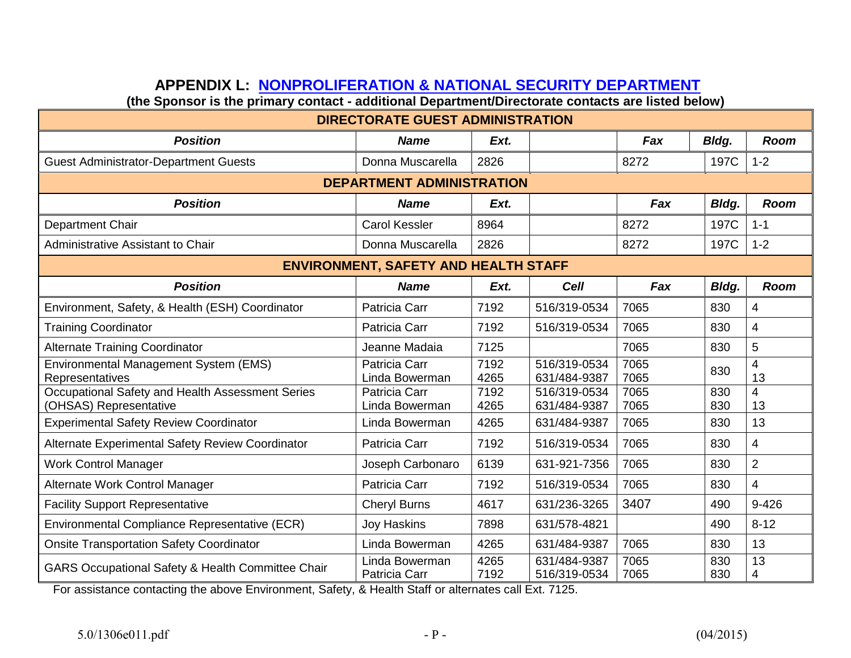# **APPENDIX L: [NONPROLIFERATION & NATIONAL SECURITY DEPARTMENT](http://www.bnl.gov/NNS/)**

**(the Sponsor is the primary contact - additional Department/Directorate contacts are listed below)** 

| <b>DIRECTORATE GUEST ADMINISTRATION</b>                                    |                                             |              |                              |              |            |                      |  |  |  |
|----------------------------------------------------------------------------|---------------------------------------------|--------------|------------------------------|--------------|------------|----------------------|--|--|--|
| <b>Position</b>                                                            | <b>Name</b>                                 | Ext.         |                              | Fax          | Bldg.      | <b>Room</b>          |  |  |  |
| <b>Guest Administrator-Department Guests</b>                               | Donna Muscarella                            | 2826         |                              | 8272         | 197C       | $1 - 2$              |  |  |  |
| <b>DEPARTMENT ADMINISTRATION</b>                                           |                                             |              |                              |              |            |                      |  |  |  |
| <b>Position</b>                                                            | <b>Name</b>                                 | Ext.         |                              | Fax          | Bldg.      | <b>Room</b>          |  |  |  |
| Department Chair                                                           | <b>Carol Kessler</b>                        | 8964         |                              | 8272         | 197C       | $1 - 1$              |  |  |  |
| Administrative Assistant to Chair                                          | Donna Muscarella                            | 2826         |                              | 8272         | 197C       | $1 - 2$              |  |  |  |
|                                                                            | <b>ENVIRONMENT, SAFETY AND HEALTH STAFF</b> |              |                              |              |            |                      |  |  |  |
| <b>Position</b>                                                            | <b>Name</b>                                 | Ext.         | <b>Cell</b>                  | Fax          | Bldg.      | <b>Room</b>          |  |  |  |
| Environment, Safety, & Health (ESH) Coordinator                            | Patricia Carr                               | 7192         | 516/319-0534                 | 7065         | 830        | $\overline{4}$       |  |  |  |
| <b>Training Coordinator</b>                                                | Patricia Carr                               | 7192         | 516/319-0534                 | 7065         | 830        | $\overline{4}$       |  |  |  |
| <b>Alternate Training Coordinator</b>                                      | Jeanne Madaia                               | 7125         |                              | 7065         | 830        | 5                    |  |  |  |
| Environmental Management System (EMS)<br>Representatives                   | Patricia Carr<br>Linda Bowerman             | 7192<br>4265 | 516/319-0534<br>631/484-9387 | 7065<br>7065 | 830        | $\overline{4}$<br>13 |  |  |  |
| Occupational Safety and Health Assessment Series<br>(OHSAS) Representative | Patricia Carr<br>Linda Bowerman             | 7192<br>4265 | 516/319-0534<br>631/484-9387 | 7065<br>7065 | 830<br>830 | $\overline{4}$<br>13 |  |  |  |
| <b>Experimental Safety Review Coordinator</b>                              | Linda Bowerman                              | 4265         | 631/484-9387                 | 7065         | 830        | 13                   |  |  |  |
| Alternate Experimental Safety Review Coordinator                           | Patricia Carr                               | 7192         | 516/319-0534                 | 7065         | 830        | $\overline{4}$       |  |  |  |
| <b>Work Control Manager</b>                                                | Joseph Carbonaro                            | 6139         | 631-921-7356                 | 7065         | 830        | $\overline{2}$       |  |  |  |
| Alternate Work Control Manager                                             | Patricia Carr                               | 7192         | 516/319-0534                 | 7065         | 830        | $\overline{4}$       |  |  |  |
| <b>Facility Support Representative</b>                                     | <b>Cheryl Burns</b>                         | 4617         | 631/236-3265                 | 3407         | 490        | $9 - 426$            |  |  |  |
| Environmental Compliance Representative (ECR)                              | <b>Joy Haskins</b>                          | 7898         | 631/578-4821                 |              | 490        | $8 - 12$             |  |  |  |
| <b>Onsite Transportation Safety Coordinator</b>                            | Linda Bowerman                              | 4265         | 631/484-9387                 | 7065         | 830        | 13                   |  |  |  |
| GARS Occupational Safety & Health Committee Chair                          | Linda Bowerman<br>Patricia Carr             | 4265<br>7192 | 631/484-9387<br>516/319-0534 | 7065<br>7065 | 830<br>830 | 13<br>$\overline{4}$ |  |  |  |

For assistance contacting the above Environment, Safety, & Health Staff or alternates call Ext. 7125.